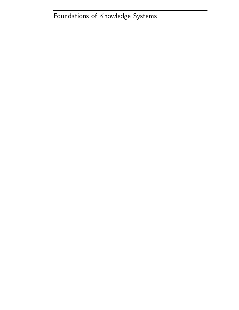# Foundations of Knowledge Systems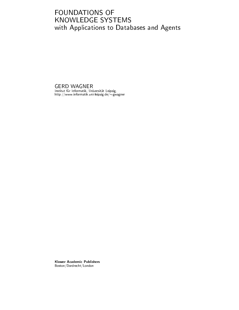# FOUNDATIONS OF KNOWLEDGE SYSTEMS with Applications to Databases and Agents

**GERD WAGNER** Institut fur Informatik, Universitat Leipzig, http://www.informatik.uni-leipzig.de/gwagner

Kluwer Academic Publishers Boston/Dordrecht/London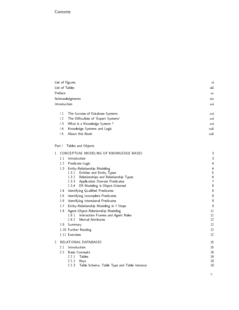Contents

| List of Tables<br>XIII<br>Preface<br>XV<br>Acknowledgments<br>xix<br>Introduction<br>XXİ<br>The Success of Database Systems<br>$\overline{1.1}$<br><b>XXI</b><br>$\overline{1.2}$<br>The Difficulties of 'Expert Systems'<br>xxi<br>What is a Knowledge System ?<br>$\overline{3}$<br>XXİ<br>Knowledge Systems and Logic<br>$\overline{1.4}$<br>xxii<br>About this Book<br>1.5<br><b>xxii</b><br>Tables and Objects<br>Part I<br>CONCEPTUAL MODELING OF KNOWLEDGE BASES<br>3<br>1 <sub>1</sub><br>Introduction<br>3<br>1.1<br>Predicate Logic<br>1.2<br>4 | List of Figures | xi |
|-----------------------------------------------------------------------------------------------------------------------------------------------------------------------------------------------------------------------------------------------------------------------------------------------------------------------------------------------------------------------------------------------------------------------------------------------------------------------------------------------------------------------------------------------------------|-----------------|----|
|                                                                                                                                                                                                                                                                                                                                                                                                                                                                                                                                                           |                 |    |
|                                                                                                                                                                                                                                                                                                                                                                                                                                                                                                                                                           |                 |    |
|                                                                                                                                                                                                                                                                                                                                                                                                                                                                                                                                                           |                 |    |
|                                                                                                                                                                                                                                                                                                                                                                                                                                                                                                                                                           |                 |    |
|                                                                                                                                                                                                                                                                                                                                                                                                                                                                                                                                                           |                 |    |
|                                                                                                                                                                                                                                                                                                                                                                                                                                                                                                                                                           |                 |    |
|                                                                                                                                                                                                                                                                                                                                                                                                                                                                                                                                                           |                 |    |
|                                                                                                                                                                                                                                                                                                                                                                                                                                                                                                                                                           |                 |    |
|                                                                                                                                                                                                                                                                                                                                                                                                                                                                                                                                                           |                 |    |
|                                                                                                                                                                                                                                                                                                                                                                                                                                                                                                                                                           |                 |    |
|                                                                                                                                                                                                                                                                                                                                                                                                                                                                                                                                                           |                 |    |
|                                                                                                                                                                                                                                                                                                                                                                                                                                                                                                                                                           |                 |    |
|                                                                                                                                                                                                                                                                                                                                                                                                                                                                                                                                                           |                 |    |
| Entity-Relationship Modeling<br>13<br>4                                                                                                                                                                                                                                                                                                                                                                                                                                                                                                                   |                 |    |
| <b>Entities and Entity Types</b><br>13.1<br>5                                                                                                                                                                                                                                                                                                                                                                                                                                                                                                             |                 |    |
| Relationships and Relationship Types<br>132<br>6                                                                                                                                                                                                                                                                                                                                                                                                                                                                                                          |                 |    |
| Application Domain Predicates<br>133<br>7<br>ER Modeling Is Object-Oriented<br>134<br>8                                                                                                                                                                                                                                                                                                                                                                                                                                                                   |                 |    |
| Identifying Qualified Predicates<br>1.4<br>8                                                                                                                                                                                                                                                                                                                                                                                                                                                                                                              |                 |    |
| Identifying Incomplete Predicates<br>1.5<br>8                                                                                                                                                                                                                                                                                                                                                                                                                                                                                                             |                 |    |
| 1.6                                                                                                                                                                                                                                                                                                                                                                                                                                                                                                                                                       |                 |    |
| Identifying Intensional Predicates<br>9                                                                                                                                                                                                                                                                                                                                                                                                                                                                                                                   |                 |    |
| Entity-Relationship Modeling in 7 Steps<br>9<br>1.7                                                                                                                                                                                                                                                                                                                                                                                                                                                                                                       |                 |    |
| Agent-Object-Relationship Modeling<br>1.8<br>11<br>181<br>11                                                                                                                                                                                                                                                                                                                                                                                                                                                                                              |                 |    |
| Interaction Frames and Agent Roles<br>182<br>Mental Attributes<br>12                                                                                                                                                                                                                                                                                                                                                                                                                                                                                      |                 |    |

| 19  | Summary                                              | 12 |
|-----|------------------------------------------------------|----|
|     | 1.10 Further Reading                                 | 12 |
|     | 1 11 Exercises                                       | 12 |
|     | P. RELATIONAL DATABASES                              | 15 |
| 2.1 | Introduction                                         | 15 |
|     | 2.2 Basic Concepts                                   | 16 |
|     | Tables<br>2.2.1                                      | 16 |
|     | 2.2.2<br>Keys                                        | 18 |
|     | Table Schema, Table Type and Table Instance<br>2.2.3 | 18 |

v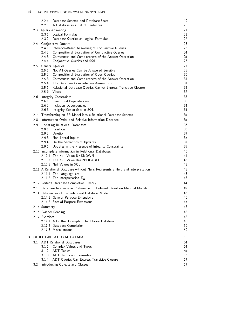|     | 224<br>225     | Database Schema and Database State<br>A Database as a Set of Sentences        | 19<br>20 |
|-----|----------------|-------------------------------------------------------------------------------|----------|
| 23  |                | Query Answering                                                               | 21       |
|     | 231            | Logical Formulas                                                              | 21       |
|     | 2.3.2          | Database Queries as Logical Formulas                                          | 22       |
| 2.4 |                | Conjunctive Queries                                                           | 23       |
|     | 2.4.1          | Inference-Based Answering of Conjunctive Queries                              | 23       |
|     | 242            | Compositional Evaluation of Conjunctive Queries                               | 24       |
|     | 2.43           | Correctness and Completeness of the Answer Operation                          | 25       |
|     | 244            | Conjunctive Queries and SQL                                                   | 26       |
| 25  |                | General Queries                                                               | 27       |
|     | 2.5.1          | Not All Queries Can Be Answered Sensibly                                      | 28       |
|     | 2.5.2          | Compositional Evaluation of Open Queries                                      | 30       |
|     | 2.5.3          | Correctness and Completeness of the Answer Operation                          | 31       |
|     | 2.5.4          | The Database Completeness Assumption                                          | 31       |
|     | 255            | Relational Database Queries Cannot Express Transitive Closure                 | 32       |
|     | 2.5.6          | Views                                                                         | 32       |
| 26  |                | Integrity Constraints                                                         | 33       |
|     | 261            | Functional Dependencies                                                       | 33       |
|     | 262            | Inclusion Dependencies                                                        | 34       |
|     | 263            | Integrity Constraints in SQL                                                  | 34       |
| 2.7 |                | Transforming an ER Model into a Relational Database Schema                    | 35       |
| 2.8 |                | Information Order and Relative Information Distance                           | 35       |
| 2.9 |                | Updating Relational Databases                                                 | 36       |
|     |                | 291 Insertion                                                                 | 36       |
|     | 2.9.2          | Deletion                                                                      | 37       |
|     | 2.9.3          | Non-Literal Inputs                                                            | 37       |
|     | 294            | On the Semantics of Updates                                                   | 37       |
|     | 295            | Updates in the Presence of Integrity Constraints                              | 39       |
|     |                | 2.10 Incomplete Information in Relational Databases                           | 40       |
|     |                | 2.10.1 The Null Value UNKNOWN                                                 | 41       |
|     |                | 2.10.2 The Null Value INAPPLICABLE                                            | 43       |
|     |                | 2.10.3 Null Values in SQL                                                     | 43       |
|     |                | 2.11 A Relational Database without Nulls Represents a Herbrand Interpretation | 43       |
|     |                | 2.11.1 The Language $L_{\Sigma}$                                              | 43       |
|     |                | 2.11.2 The Interpretation $\mathcal{I}_\Delta$                                | 43       |
|     |                | 2.12 Reiter's Database Completion Theory                                      | 44       |
|     |                | 2.13 Database Inference as Preferential Entailment Based on Minimal Models    | 45       |
|     |                | 2.14 Deficiencies of the Relational Database Model                            | 46       |
|     |                | 2141 General Purpose Extensions                                               | 46       |
|     |                | 2142 Special Purpose Extensions                                               | 47       |
|     | 2.15 Summary   |                                                                               | 48       |
|     |                | 2.16 Further Reading                                                          | 48       |
|     | 2.17 Exercises |                                                                               | 48       |
|     |                | 2.17.1 A Further Example: The Library Database                                | 48       |
|     |                | 2172 Database Completion                                                      | 50       |
|     |                | 2.17.3 Miscellaneous                                                          | 50       |
|     |                | OBJECT-RELATIONAL DATABASES                                                   | 53       |
| 31  |                | <b>ADT-Relational Databases</b>                                               | 54       |
|     | 311            | Complex Values and Types                                                      | 54       |
|     | 312            | <b>ADT</b> Tables                                                             | 55       |
|     |                | 3.1.3 ADT Terms and Formulas                                                  | 56       |
|     | 3.1.4          | ADT Queries Can Express Transitive Closure                                    | 57       |
| 3.2 |                | Introducing Objects and Classes                                               | 57       |
|     |                |                                                                               |          |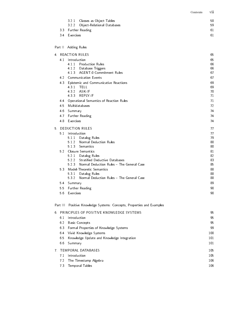Contents vii

| 3.2.1 Classes as Object Tables  | 58 |
|---------------------------------|----|
| 322 Object-Relational Databases | 59 |
| 33 Further Reading              | 61 |
| 34 Exercises                    | 61 |

## Part II Adding Rules

| 4. |     | REACTION RULES                                     | 65 |
|----|-----|----------------------------------------------------|----|
|    | 4 1 | Introduction                                       | 65 |
|    |     | <b>Production Rules</b><br>4.1.1                   | 66 |
|    |     | Database Triggers<br>4 1 2                         | 66 |
|    |     | AGENT-0 Commitment Rules<br>4 1 3                  | 67 |
|    | 4.2 | Communication Events                               | 67 |
|    | 43  | Epistemic and Communicative Reactions              | 69 |
|    |     | <b>TELL</b><br>431                                 | 69 |
|    |     | ASK-IF<br>432                                      | 70 |
|    |     | <b>REPLY-IF</b><br>4.3.3                           | 71 |
|    | 4.4 | Operational Semantics of Reaction Rules            | 71 |
|    | 4.5 | Multidatabases                                     | 72 |
|    | 4.6 | Summary                                            | 74 |
|    | 4.7 | <b>Further Reading</b>                             | 74 |
|    | 4.8 | Exercises                                          | 74 |
| 5. |     | <b>DEDUCTION RULES</b>                             | 77 |
|    | 5.1 | Introduction                                       | 77 |
|    |     | Datalog Rules<br>5 1 1                             | 79 |
|    |     | Normal Deduction Rules<br>5.1.2                    | 80 |
|    |     | Semantics<br>5 1 3                                 | 80 |
|    | 5.2 | Closure Semantics                                  | 81 |
|    |     | Datalog Rules<br>521                               | 82 |
|    |     | <b>Stratified Deductive Databases</b><br>5.2.2     | 83 |
|    |     | Normal Deduction Rules - The General Case<br>5.23  | 85 |
|    | 53  | Model Theoretic Semantics                          | 88 |
|    |     | Datalog Rules<br>531                               | 88 |
|    |     | Normal Deduction Rules - The General Case<br>5.3.2 | 88 |
|    | 54  | Summary                                            | 89 |
|    | 55  | Further Reading                                    | 90 |
|    | 5.6 | <b>Exercises</b>                                   | 90 |
|    |     |                                                    |    |

## Part III Positive Knowledge Systems: Concepts, Properties and Examples

|     | <b>PRINCIPLES OF POSITIVE KNOWLEDGE SYSTEMS</b> | 95  |  |
|-----|-------------------------------------------------|-----|--|
| 61  | Introduction                                    | 95  |  |
| 6.2 | <b>Basic Concepts</b>                           | 95  |  |
|     | 6.3 Formal Properties of Knowledge Systems      | 99  |  |
| 6.4 | Vivid Knowledge Systems                         | 100 |  |
| 65  | Knowledge Update and Knowledge Integration      | 101 |  |
| 6.6 | Summary                                         | 101 |  |
|     | TEMPORAL DATABASES                              | 105 |  |
| 71  | Introduction                                    | 105 |  |
| 7.2 | The Timestamp Algebra                           | 106 |  |
| 7.3 | Temporal Tables                                 | 106 |  |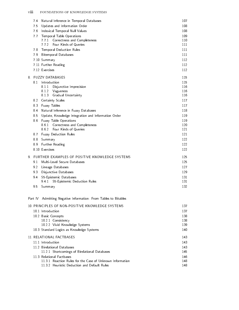| 7.4     | Natural Inference in Temporal Databases                 | 107 |
|---------|---------------------------------------------------------|-----|
| 75      | Updates and Information Order                           | 108 |
| 7.6     | Indexical Temporal Null Values                          | 108 |
| 7.7     | Temporal Table Operations                               | 109 |
|         | 771 Correctness and Completeness                        | 110 |
|         | Four Kinds of Queries<br>7.7.2                          | 111 |
| 7.8     | Temporal Deduction Rules                                | 111 |
| 7.9     | Bitemporal Databases                                    | 111 |
|         | 7.10 Summary                                            | 112 |
|         | 7.11 Further Reading                                    | 112 |
|         | 7.12 Exercises                                          | 112 |
|         | 8 FUZZY DATABASES                                       | 115 |
| 8.1     | Introduction                                            | 115 |
|         | Disjunctive Imprecision<br>811                          | 116 |
|         | Vagueness<br>8.1.2                                      | 116 |
|         | Gradual Uncertainty<br>8.1.3                            | 116 |
| 82      | Certainty Scales                                        | 117 |
| 83      | Fuzzy Tables                                            | 117 |
| 8.4     | Natural Inference in Fuzzy Databases                    | 118 |
| 8.5     | Update, Knowledge Integration and Information Order     | 119 |
| 8.6     | Fuzzy Table Operations                                  | 119 |
|         | Correctness and Completeness<br>86.1                    | 120 |
|         | Four Kinds of Queries<br>862                            | 121 |
| 8.7     | Fuzzy Deduction Rules                                   | 121 |
| 8.8     | Summary                                                 | 122 |
| 8.9     | <b>Further Reading</b>                                  | 122 |
|         | 8 10 Exercises                                          | 122 |
|         | 9. FURTHER EXAMPLES OF POSITIVE KNOWLEDGE SYSTEMS       | 125 |
| 9.1     | Multi-Level Secure Databases                            | 125 |
| 9.2     | Lineage Databases                                       | 127 |
| 9.3     | Disjunctive Databases                                   | 129 |
| 94      | S5-Epistemic Databases                                  | 131 |
|         | 941 S5-Epistemic Deduction Rules                        | 131 |
| 95      | Summary                                                 | 132 |
| Part IV | Admitting Negative Information: From Tables to Bitables |     |
|         | 10. PRINCIPLES OF NON-POSITIVE KNOWLEDGE SYSTEMS        | 137 |
|         |                                                         |     |

| 10. PRINCIPLES OF NON-POSITIVE KNOWLEDGE SYSTEMS          | 137 |
|-----------------------------------------------------------|-----|
| 10.1 Introduction                                         | 137 |
| 10 2 Basic Concepts                                       | 138 |
| 1021 Consistency                                          | 138 |
| 1022 Vivid Knowledge Systems                              | 139 |
| 10.3 Standard Logics as Knowledge Systems                 | 140 |
| 11 RELATIONAL FACTBASES                                   | 143 |
| 11.1 Introduction                                         | 143 |
| 11.2 Birelational Databases                               | 143 |
| 1121 Shortcomings of Birelational Databases               | 145 |
| 11.3 Relational Factbases                                 | 146 |
| 11.3.1 Reaction Rules for the Case of Unknown Information | 148 |
| 11.3.2 Heuristic Deduction and Default Rules              | 148 |
|                                                           |     |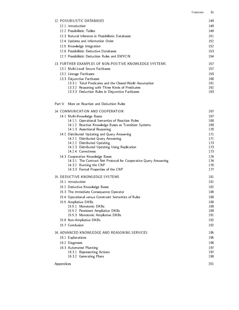| Contents |  |
|----------|--|
|          |  |

| 12 POSSIBILISTIC DATABASES                              | 149 |
|---------------------------------------------------------|-----|
| 12 1 Introduction                                       | 149 |
| 12.2 Possibilistic Tables                               | 149 |
| 12.3 Natural Inference in Possibilistic Databases       | 151 |
| 12.4 Updates and Information Order                      | 152 |
| 12.5 Knowledge Integration                              | 152 |
| 12.6 Possibilistic Deductive Databases                  | 153 |
| 12.7 Possibilistic Deduction Rules and EMYCIN           | 154 |
| 13. FURTHER EXAMPLES OF NON-POSITIVE KNOWLEDGE SYSTEMS  | 157 |
| 13.1 Multi-Level Secure Factbases                       | 157 |
| 13.2 Lineage Factbases                                  | 159 |
| 13.3 Disjunctive Factbases                              | 160 |
| 13.3.1 Total Predicates and the Closed-World Assumption | 161 |
| 1332 Reasoning with Three Kinds of Predicates           | 162 |
| 13 3 3 Deduction Rules in Disjunctive Factbases         | 163 |
|                                                         |     |
|                                                         |     |

Part V More on Reaction and Deduction Rules

| 14. COMMUNICATION AND COOPERATION                                | 167        |
|------------------------------------------------------------------|------------|
| 14.1 Multi-Knowledge Bases                                       | 167        |
| 14.1.1 Operational Semantics of Reaction Rules                   | 168        |
| 14.1.2 Reactive Knowledge Bases as Transition Systems            | 169        |
| 14 1 3 Assertional Reasoning                                     | 170        |
| 14.2 Distributed Updating and Query Answering                    | 171        |
| 14.2.1 Distributed Query Answering                               | 171        |
| 14.2.2 Distributed Updating                                      | 173        |
| 14.2.3 Distributed Updating Using Replication                    | 173        |
| 14.2.4 Correctness                                               | 173        |
| 14 3 Cooperative Knowledge Bases                                 | 174        |
| 14.3.1 The Contract Net Protocol for Cooperative Query Answering | 174        |
| 1432 Running the CNP<br>14 3 3 Formal Properties of the CNP      | 176<br>177 |
|                                                                  |            |
| 15. DEDUCTIVE KNOWLEDGE SYSTEMS                                  | 181        |
| 15.1 Introduction                                                | 181        |
| 15.2 Deductive Knowledge Bases                                   | 182        |
| 15.3 The Immediate Consequence Operator                          | 186        |
| 15.4 Operational versus Constraint Semantics of Rules            | 188        |
| 15 5 Ampliative DKBs                                             | 188        |
| 15 5 1 Monotonic DKBs                                            | 189        |
| 15 5 2 Persistent Ampliative DKBs                                | 189        |
| 15 5 3 Monotonic Ampliative DKBs                                 | 191        |
| 15.6 Non-Ampliative DKBs                                         | 192        |
| 15 7 Conclusion                                                  | 192        |
| 16. ADVANCED KNOWLEDGE AND REASONING SERVICES                    | 195        |
| 16.1 Explanations                                                | 195        |
| 16.2 Diagnoses                                                   | 196        |
| 16.3 Automated Planning                                          | 197        |
| 16 3 1 Representing Actions                                      | 197        |
| 16.3.2 Generating Plans                                          | 198        |
| Appendices                                                       | 201        |

Appendices 201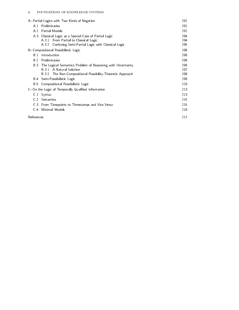| A-Partial Logics with Two Kinds of Negation                     | 201 |
|-----------------------------------------------------------------|-----|
| A 1 Preliminaries                                               | 201 |
| A.2 Partial Models                                              | 201 |
| A 3 Classical Logic as a Special Case of Partial Logic          | 204 |
| A 3 1 From Partial to Classical Logic                           | 204 |
| A 32 Confusing Semi-Partial Logic with Classical Logic          | 205 |
| B-Compositional Possibilistic Logic                             | 206 |
| B 1 Introduction                                                | 206 |
| <b>B.2</b> Preliminaries                                        | 206 |
| B 3 The Logical Semantics Problem of Reasoning with Uncertainty | 206 |
| - A Natural Solution<br><b>B</b> 31                             | 207 |
| The Non-Compositional Possibility-Theoretic Approach<br>B 3 2   | 208 |
| B 4 Semi-Possibilistic Logic                                    | 208 |
| B 5 Compositional Possibilistic Logic                           | 210 |
| C-On the Logic of Temporally Qualified Information              | 213 |
| C <sub>1</sub> Syntax                                           | 213 |
| C <sub>2</sub> Semantics                                        | 215 |
| C 3 From Timepoints to Timestamps and Vice Versa                | 215 |
| Minimal Models<br>C 4                                           | 216 |
| References                                                      | 217 |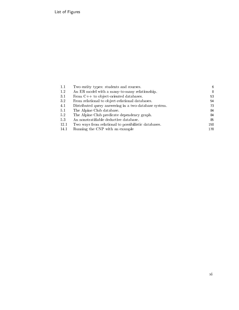List of Figures

| Two entity types: students and courses.               | 6   |
|-------------------------------------------------------|-----|
| An ER model with a many-to-many relationship.         | 8   |
| From $C++$ to object-oriented databases.              | 53  |
| From relational to object-relational databases.       | 54  |
| Distributed query answering in a two-database system. | 73  |
| The Alpine Club database.                             | -84 |
| The Alpine Club predicate dependency graph.           | 84  |
| An nonstratifiable deductive database.                | 85  |
| Two ways from relational to possibilistic databases.  | 150 |
| Running the CNP with an example                       | 178 |
|                                                       |     |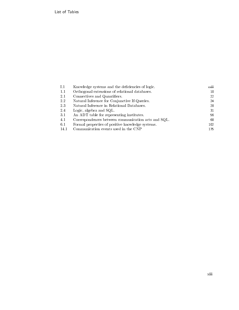List of Tables

| 1.1  | Knowledge systems and the deficiencies of logic.    | xxiii |
|------|-----------------------------------------------------|-------|
| 1.1  | Orthogonal extensions of relational databases.      | 10    |
| 2.1  | Connectives and Quantifiers.                        | 22    |
| 2.2  | Natural Inference for Conjunctive If-Queries.       | 24    |
| 2.3  | Natural Inference in Relational Databases.          | 28    |
| 2.4  | Logic, algebra and SQL.                             | 31    |
| 3.1  | An ADT table for representing institutes.           | 56    |
| 4.1  | Correspondences between communication acts and SQL. | 68    |
| -6.1 | Formal properties of positive knowledge systems.    | 102   |
| 14.1 | Communication events used in the CNP                | 175   |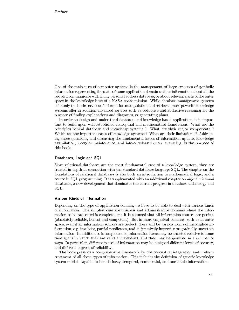One of the main uses of computer systems is the management of large amounts of symbolic information representing the state of some application domain such as information about all the people I communicate with in my personal address database, or about relevant parts of the outer space in the knowledge base of a NASA space mission. While database management systems offer only the basic services of information manipulation and retrieval, more powerful knowledge systems offer in addition advanced services such as deductive and abductive reasoning for the purpose of nding explanations and diagnoses, or generating plans.

In order to design and understand database and knowledge-based applications it is important to build upon well-established conceptual and mathematical foundations. What are the principles behind database and knowledge systems ? What are their ma jor components ? Which are the important cases of knowledge systems ? What are their limitations ? Addressing these questions, and discussing the fundamental issues of information update, knowledge assimilation, integrity maintenance, and inference-based query answering, is the purpose of this book.

#### Databases, Logic and SQL

Since relational databases are the most fundamental case of a knowledge system, they are treated in-depth in connection with the standard database language SQL. The chapter on the foundations of relational databases is also both an introduction to mathematical logic, and a course in SQL programming. It is supplemented with an additional chapter on object-relational databases, a new development that dominates the current progress in database technology and  $SQL.$ 

#### Various Kinds of Information

Depending on the type of application domain, we have to be able to deal with various kinds of information. The simplest case are business and administrative domains where the information to be processed is complete, and it is assumed that all information sources are perfect (absolutely reliable, honest and competent). But in more empirical domains, such as in outer space, even if all information sources are perfect, there will be various forms of incomplete information, e.g. involving partial predicates, and disjunctively imprecise or gradually uncertain information. In addition to incompleteness, information items may be asserted relative to some time spans in which they are valid and believed, and they may be qualified in a number of ways. In particular, different pieces of information may be assigned different levels of security, and different degrees of reliability.

The book presents a comprehensive framework for the conceptual integration and uniform treatment of all these types of information. This includes the definition of generic knowledge system models capable to handle fuzzy, temporal, confidential, and unreliable information.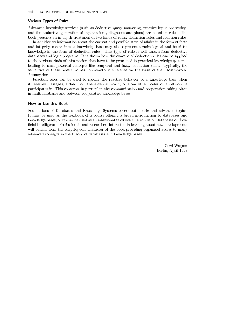#### Various Types of Rules

Advanced knowledge services (such as deductive query answering, reactive input processing, and the abductive generation of explanations, diagnoses and plans) are based on rules. The book presents an in-depth treatment of two kinds of rules: deduction rules and reaction rules.

In addition to information about the current and possible state of affairs in the form of facts and integrity constraints, a knowledge base may also represent terminological and heuristic knowledge in the form of deduction rules. This type of rule is well-known from deductive databases and logic programs. It is shown how the concept of deduction rules can be applied to the various kinds of information that have to be processed in practical knowledge systems, leading to such powerful concepts like temporal and fuzzy deduction rules. Typically, the semantics of these rules involves nonmonotonic inference on the basis of the Closed-World Assumption.

Reaction rules can be used to specify the reactive behavior of a knowledge base when it receives messages, either from the external world, or from other nodes of a network it participates in. This concerns, in particular, the communication and cooperation taking place in multidatabases and between cooperative knowledge bases.

#### How to Use this Book

Foundations of Databases and Knowledge Systems covers both basic and advanced topics. It may be used as the textbook of a course offering a broad introduction to databases and knowledge bases, or it may be used as an additional textbook in a course on databases or Arti cial Intelligence. Professionals and researchers interested in learning about new developments will benefit from the encyclopedic character of the book providing organized access to many advanced concepts in the theory of databases and knowledge bases.

> Gerd Wagner Berlin, April 1998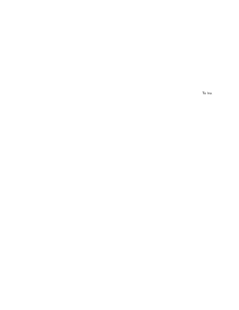To Ina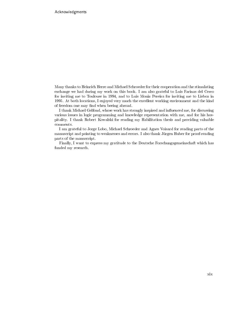Many thanks to Heinrich Herre and Michael Schroeder for their cooperation and the stimulating exchange we had during my work on this book. I am also grateful to Luis Farinas del Cerro for inviting me to Toulouse in 1994, and to Luis Moniz Pereira for inviting me to Lisboa in 1995. At both locations, I enjoyed very much the excellent working environment and the kind of freedom one may find when beeing abroad.

I thank Michael Gelfond, whose work has strongly inspired and in
uenced me, for discussing various issues in logic programming and knowledge representation with me, and for his hospitality. I thank Robert Kowalski for reading my Habilitation thesis and providing valuable comments.

I am grateful to Jorge Lobo, Michael Schroeder and Agnes Voisard for reading parts of the manuscript and pointing to weaknesses and errors. I also thank Jürgen Huber for proof-reading parts of the manuscript.

Finally,Iwant to express my gratitude to the Deutsche Forschungsgemeinschaft which has funded my research.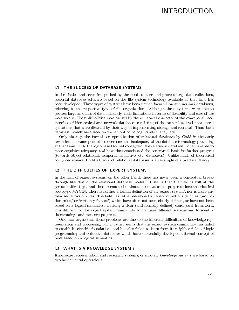## INTRODUCTION

#### $\vert$  1 THE SUCCESS OF DATABASE SYSTEMS

In the sixties and seventies, pushed by the need to store and process large data collections, powerful database software based on the le system technology available at that time has been developed. These types of systems have been named *hierarchical* and *network* databases, referring to the respective type of file organization. Although these systems were able to process large amounts of data efficiently, their limitations in terms of flexibility and ease of use were severe. Those difficulties were caused by the unnatural character of the conceptual userinterface of hierarchical and network databases consisting of the rather low-level data access operations that were dictated by their way of implementing storage and retrieval. Thus, both database models have later on turned out to be cognitively inadequate.

Only through the formal conceptualization of relational databases by Codd in the early seventies it became possible to overcome the inadequacy of the database technology prevailing at that time. Only the logic-based formal concepts of the relational database model have led to more cognitive adequacy, and have thus constituted the conceptual basis for further progress (towards ob ject-relational, temporal, deductive, etc. databases). Unlike much of theoretical computer science, Codd's theory of relational databases is an example of a practical theory.

### **I.2 THE DIFFICULTIES OF 'EXPERT SYSTEMS'**

In the field of expert systems, on the other hand, there has never been a conceptual breakthrough like that of the relational database model. It seems that the field is still at the pre-scientic stage, and there seems to be almost no measurable progress since the classical prototype MYCIN. There is neither a formal definition of an 'expert system', nor is there any clear semantics of rules. The field has rather developed a variety of notions (such as 'production rules,' or 'certainty factors') which have often not been clearly defined, or have not been based on a logical semantics. Lacking a clear (and formally defined) conceptual framework, it is difficult for the expert system community to compare different systems and to identify shortcomings and measure progress.

One may argue that these problems are due to the inherent difficulties of knowledge representation and processing, but it rather seems that the expert system community has failed to establish scientific foundations and has also failed to learn from its neighbor fields of logic programming and deductive databases which have successfully developed a formal concept of rules based on a logical semantics.

#### **WHAT IS A KNOWLEDGE SYSTEM?**  $1.3$

Knowledge representation and reasoning systems, or shorter: knowledge systems are based on two fundamental operations :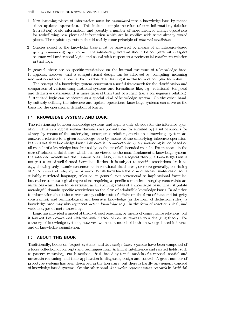- 1. New incoming pieces of information must be *assimilated* into a knowledge base by means of an update operation. This includes simple insertion of new information, deletion (retraction) of old information, and possibly a number of more involved change operations for assimilating new pieces of information which are in conflict with some already-stored pieces. The update operation should satisfy some principle of minimal mutilation.
- 2. Queries posed to the knowledge base must be answered by means of an inference-based query answering operation. The inference procedure should be complete with respect to some well-understood logic, and sound with respect to a preferential entailment relation in that logic.

In general, there are no specific restrictions on the internal structure of a knowledge base. It appears, however, that a computational design can be achieved by 'compiling' incoming information into some normal form rather than leaving it in the form of complex formulas.

The concept of a knowledge system constitutes a useful framework for the classication and comparison of various computational systems and formalisms like, e.g., relational, temporal and deductive databases. It is more general than that of a logic (i.e. a consequence relation). A standard logic can be viewed as a special kind of knowledge system. On the other hand, by suitably defining the inference and update operations, knowledge systems can serve as the basis for the operational definition of logics.

#### $1.4$ KNOWLEDGE SYSTEMS AND LOGIC

The relationship between knowledge systems and logic is only obvious for the inference operation: while in a logical system theorems are proved from (or entailed by) a set of axioms (or theory) by means of the underlying consequence relation, queries in a knowledge system are answered relative to a given knowledge base by means of the underlying inference operation. It turns out that knowledge-based inference is nonmonotonic: query answering is not based on all models of a knowledge base but solely on the set of all intended models. For instance, in the case of relational databases, which can be viewed as the most fundamental knowledge system, the intended models are the minimal ones. Also, unlike a logical theory, a knowledge base is not just a set of well-formed formulas. Rather, it is subject to specific restrictions (such as, e.g., allowing only atomic sentences as in relational databases), or more generally, consisting of facts, rules and integrity constraints. While facts have the form of certain sentences of some suitably restricted language, rules do, in general, not correspond to implicational formulas, but rather to meta-logical expressions requiring a specic semantics. Integrity constraints are sentences which have to be satisfied in all evolving states of a knowledge base. They stipulate meaningful domain-specic restrictions on the class of admissible knowledge bases. In addition to information about the current and possible state of affairs (in the form of facts and integrity constraints), and terminological and heuristic knowledge (in the form of deduction rules), a knowledge base may also represent *action knowledge* (e.g., in the form of reaction rules), and various types of meta-knowledge.

Logic has provided a model of theory-based reasoning by means of consequence relations, but it has not been concerned with the assimilation of new sentences into a changing theory. For a theory of knowledge systems, however, we need a model of both knowledge-based inference and of knowledge assimilation.

#### I.5 ABOUT THIS BOOK

Traditionally, books on 'expert systems' and knowledge-based systems have been composed of a loose collection of concepts and techniques from Artificial Intelligence and related fields, such as pattern matching, search methods, `rule-based systems', models of temporal, spatial and uncertain reasoning, and their application in diagnosis, design and control. A great number of prototype systems has been described in the literature, but there is hardly any generic concept of knowledge-based systems. On the other hand, knowledge representation research in Artificial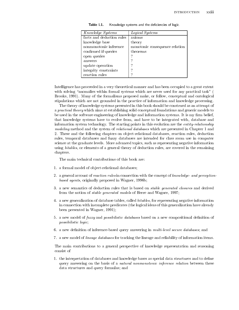| Knowledge Systems         | Logical Systems                |
|---------------------------|--------------------------------|
| facts and deduction rules | axioms                         |
| knowledge base            | theory                         |
| nonmonotonic inference    | monotonic consequence relation |
| confirmed if-queries      | t heorems                      |
| open queries              | າ                              |
| answers                   | າ                              |
| update operation          |                                |
| integrity constraints     | າ                              |
| reaction rules            | റ                              |

Table 1.1. Knowledge systems and the deficiencies of logic.

Intelligence has proceeded in a very theoretical manner and has been occupied to a great extent with solving "anomalies within formal systems which are never used for any practical task" Brooks, 1991). Many of the formalisms proposed make, or follow, conceptual and ontological stipulations which are not grounded in the practice of information and knowledge processing.

The theory of knowledge systems presented in this book should be construed as an attempt of a practical theory which aims at establishing solid conceptual foundations and generic models to be used in the software engineering of knowledge and information systems. It is my firm belief, that knowledge systems have to evolve from, and have to be integrated with, database and information system technology. The starting points in this evolution are the *entity-relationship* modeling method and the system of *relational databases* which are presented in Chapter 1 and 2. These and the following chapters on object-relational databases, reaction rules, deduction rules, temporal databases and fuzzy databases are intended for class room use in computer science at the graduate levels. More advanced topics, such as representing negative information using bitables, or elements of a general theory of deduction rules, are covered in the remaining chapters.

The main technical contributions of this book are:

- 1. a formal model of ob ject-relational databases;
- 2. a general account of reaction rules in connection with the concept of knowledge- and perceptionbased agents, originally proposed in Wagner, 1996b;
- 3. a new semantics of deduction rules that is based on stable generated closures and derived from the notion of *stable generated models* of Herre and Wagner, 1997;
- 4. a new generalization of database tables, called bitables, for representing negative information in connection with incomplete predicates (the logical ideas of this generalization have already been presented in Wagner, 1991);
- 5. a new model of *fuzzy* and *possibilistic databases* based on a new compositional definition of possibilistic logic;
- 6. a new definition of inference-based query answering in multi-level secure databases; and
- 7. a new model of lineage databases for tracking the lineage and reliability of information items.

The main contributions to a general perspective of knowledge representation and reasoning

1. the interpretation of databases and knowledge bases as special data structures and to define query answering on the basis of a *natural nonmonotonic inference relation* between these data structures and query formulas; and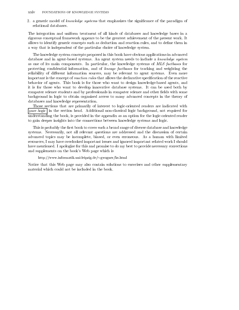2. a generic model of knowledge systems that emphasizes the significance of the paradigm of relational databases.

The integration and uniform treatment of all kinds of databases and knowledge bases in a rigorous conceptual framework appears to be the greatest achievement of the present work. It allows to identify generic concepts such as deduction and reaction rules, and to define them in a way that is independent of the particular choice of knowledge system.

The knowledge system concepts proposed in this book have obvious applications in advanced database and in agent-based systems. An agent system needs to include a knowledge system as one of its main components. In particular, the knowledge systems of MLS factbases for protecting confidential information, and of *lineage factbases* for tracking and weighting the reliability of different information sources, may be relevant to agent systems. Even more important is the concept of *reaction rules* that allows the declarative specification of the reactive behavior of agents. This book is for those who want to design knowledge-based agents, and it is for those who want to develop innovative database systems. It can be used both by computer science students and by professionals in computer science and other fields with some background in logic to obtain organized access to many advanced concepts in the theory of databases and knowledge representation.

Those sections that are primarily of interest to logic-oriented readers are indicated with pure  $\lambda$ ogic in the section head. Additional non-classical logic background, not required for understanding the book, is provided in the appendix as an option for the logic-oriented reader to gain deeper insights into the connections between knowledge systems and logic.

This is probably the first book to cover such a broad range of diverse database and knowledge systems. Necessarily, not all relevant questions are addressed and the discussion of certain advanced topics may be incomplete, biased, or even erroneous. As a human with limited resources, I may have overlooked important issues and ignored important related work I should have mentioned. I apologize for this and promise to do my best to provide necessary corrections and supplements on the book's Web page which is

#### http://www.informatik.uni-leipzig.de/~gwagner/ks.html

Notice that this Web page may also contain solutions to exercises and other supplementary material which could not be included in the book.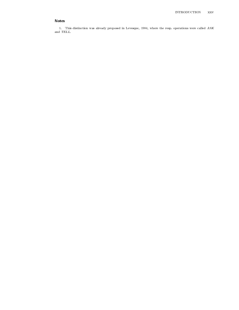## Notes

1. This distinction was already proposed in Levesque, 1984, where the resp. operations were called ASK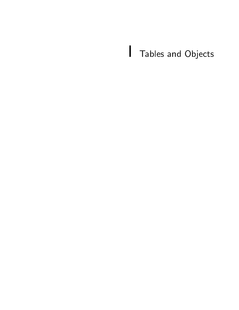Tables and Objects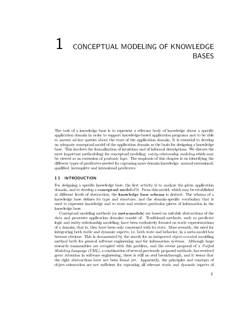# <sup>1</sup> CONCEPTUAL MODELING OF KNOWLEDGE **BASES**

The task of a knowledge base is to represent a relevant body of knowledge about a specific application domain in order to support knowledge-based application programs and to be able to answer ad-hoc queries about the state of the application domain. It is essential to develop an adequate conceptual model of the application domain as the basis for designing a knowledge base. This involves the formalization of intuitions and of informal descriptions. We discuss the most important methodology for conceptual modeling: entity-relationship modeling which may be viewed as an extension of predicate logic. The emphasis of this chapter is on identifying the different types of predicates needed for capturing more domain knowledge: normal extensional, qualied, incomplete and intensional predicates.

#### 1.1 INTRODUCTION

For designing a specific knowledge base, the first activity is to analyze the given application domain, and to develop a conceptual model of it. From this model, which may be established at different levels of abstraction, the **knowledge base schema** is derived. The schema of a knowledge base defines its type and structure, and the domain-specific vocabulary that is used to represent knowledge and to store and retrieve particular pieces of information in the knowledge base.

Conceptual modeling methods (or **meta-models**) are based on suitable abstractions of the data and processes application domains consist of. Traditional methods, such as predicate logic and entity-relationship modeling, have been exclusively focused on static representations of a domain, that is, they have been only concerned with its state. More recently, the need for integrating both static and dynamic aspects, i.e. both state and behavior, in a meta-model has become obvious. This is documented by the search for an integrated object-oriented modeling method both for general software engineering and for information systems. Although large research communities are occupied with this problem, and the recent proposal of a Unified *Modeling Language (UML)*, a combination of several previously proposed methods, has received great attention in software engineering, there is still no real breakthrough, and it seems that the right abstractions have not been found yet.Apparently, the principles and concepts of object-orientation are not sufficient for capturing all relevant static and dynamic aspects of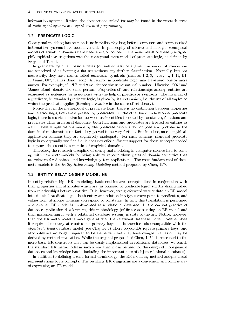information systems. Rather, the abstractions seeked for may be found in the research areas of multi-agent systems and agent-oriented programming.

## 1.2 PREDICATE LOGIC

Conceptual modeling has been an issue in philosophy long before computers and computerized information systems have been invented. In philosophy of science and in logic, conceptual models of scientific domains have been a major concern. The main result of these principled philosophical investigations was the conceptual meta-model of predicate logic, as dened by Frege and Tarski.

In predicate logic, all basic entities (or individuals) of a given universe of discourse are conceived of as forming a flat set without any further classification. Normally, but not necessarily, they have names called **constant symbols** (such as  $1, 2, 3, \ldots, \pi, \ldots, I$ , II, III, :::Venus, 007, `James Bond', etc.). An entity, in predicate logic, may have zero, one or more names. For example, '2', 'II' and 'two' denote the same natural number. Likewise, '007' and `James Bond' denote the same person. Properties of, and relationships among, entities are expressed as sentences (or assertions) with the help of predicate symbols. The meaning of a predicate, in standard predicate logic, is given by its extension, i.e. the set of all tuples to which the predicate applies (forming a *relation* in the sense of set theory).

Notice that in the meta-model of predicate logic, there is no distinction between properties and relationships, both are expressed by predicates. On the other hand, in first order predicate logic, there is a strict distinction between basic entities (denoted by constants), functions and predicates while in natural discourse, both functions and predicates are treated as entities as well. These simplifications made by the predicate calculus do not pose any problem in the domain of mathematics (in fact, they proved to be very fertile). But in other, more empirical, application domains they are cognitively inadequate. For such domains, standard predicate logic is conceptually too flat, i.e. it does not offer sufficient support for those concepts needed to capture the essential semantics of empirical domains.

Therefore, the research discipline of conceptual modeling in computer science had to come up with new meta-models for being able to capture those parts of domain semantics that are relevant for database and knowledge system applications. The most fundamental of these meta-models is the Entity-Relationship Modeling method proposed by Chen, 1976.

#### 1.3 ENTITY-RELATIONSHIP MODELING

In entity-relationship (ER) modeling, basic entities are conceptualized in conjunction with their properties and attributes which are (as opposed to predicate logic) strictly distinguished from relationships between entities. It is, however, straightforward to translate an ER model into classical predicate logic: both entity and relationship types correspond to predicates, and values from attribute domains correspond to constants. In fact, this translation is performed whenever an ER model is implemented as a relational database. In the current practice of database application development, this methodology (of first constructing an ER model and then implementing it with a relational database system) is state of the art. Notice, however, that the ER meta-model is more general than the relational database model. Neither does it require elementary attributes nor primary keys. It is therefore also compatible with the object-relational database model (see Chapter 3) where object-IDs replace primary keys, and attributes are no longer required to be elementary but may have complex values or may be derived by method invocation. While the original proposal of Chen, 1976, is restricted to the more basic ER constructs that can be easily implemented in relational databases, we enrich the standard ER meta-model in such a way that it can be used for the design of more general databases and knowledge bases (including the important case of object-relational databases).

In addition to defining a semi-formal terminology, the ER modeling method assigns visual representations to its concepts. The resulting ER diagrams are a convenient and concise way of expressing an ER model.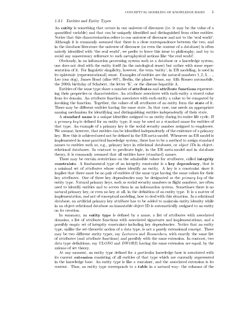#### 1.3.1 Entities and Entity Types

An entity is something that occurs in our universe of discourse (i.e. it may be the value of a quantied variable) and that can be uniquely identied and distinguished from other entities. Notice that this characterization refers to our universe of discourse and not to the `real world'. Although it is commonly assumed that there is a close correspondence between the two, and in the database literature the universe of discourse (or even the content of a database) is often naively identified with 'the real world', we prefer to leave this issue to philosophy, and try to avoid any unnecessary reference to such metaphysical notions like `the real world'.

Obviously, in an information processing system such as a database or a knowledge system, one does not deal with the entity itself (in the ontological sense) but rather with some representation of it. For linguistic simplicity, however, the term 'entity', in ER modeling, is used in its epistemic (representational) sense. Examples of entities are the natural numbers  $1, 2, 3, \ldots$ Leo (our dog), James Bond (alias 007), Berlin, the planet Venus, my Alfa Romeo automobile, the 200th birthday of Schubert, the letter `K', or the disease hepatitis A.

Entities of the same type share a number of attributes and attribute functions representing their properties or characteristics. An attribute associates with each entity a stored value from its domain. An attribute function associates with each entity a value to be computed by invoking the function. Together, the values of all attributes of an entity form the state of it. There may be different entities having the same state. In that case, one needs an appropriate naming mechanism for identifying and distinguishing entities independently of their state.

A **standard name** is a unique identifier assigned to an entity during its entire life cycle. If a primary key is defined for an entity type, it may be used as a standard name for entities of that type. An example of a primary key is the social security number assigned to employees. We assume, however, that entities can be identified independently of the existence of a primary key. How this is achieved need not be defined in the ER meta-model. Whenever an ER model is implemented in some practical knowledge system, there has to be a method to assign standard names to entities such as, e.g., primary keys in relational databases, or *object IDs* in objectrelational databases. In contrast to predicate logic, in the ER meta-model and in database theory, it is commonly assumed that all entities have (standard) names.

There may be certain restrictions on the admissible values for attributes, called **integrity** constraints. A fundamental type of an integrity constraint is a key dependency, that is a minimal set of attributes whose values identify an entity. A key is a constraint since it implies that there must be no pair of entities of the same type having the same values for their key attributes. One of these key dependencies may be designated as the *primary key* of the entity type. Natural primary keys, such as social security numbers or flight numbers, are often used to identify entities and to access them in an information system. Sometimes there is no natural primary key, or even no key at all, in the definition of an entity type. It is a matter of implementation, and not of conceptual modeling, how to deal with this situation. In a relational database, an artificial primary key attribute has to be added to maintain entity identity while in an object-relational database an immutable object ID is automatically assigned to an entity on its creation.

In summary, an entity type is defined by a name, a list of attributes with associated domains, a list of attribute functions with associated signatures and implementations, and a possibly empty set of integrity constraints including key dependencies. Notice that an entity type, unlike the set-theoretic notion of a data type, is not a purely extensional concept. There may be two different entity types, say *Lecturers* and *Researchers*, with exactly the same list of attributes (and attribute functions) and possibly with the same extension. In contrast, two data type definitions, say  $ULONG$  and  $DWORD$ , having the same extension are equal, by the axioms of set theory.

At any moment, an entity type defined for a particular knowledge base is associated with its current extension consisting of all entities of that type which are currently represented in the knowledge base. An entity type is like a container, and the associated extension is its content. Thus, an entity type corresponds to a table in a natural way: the columns of the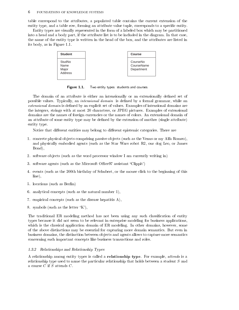table correspond to the attributes, a populated table contains the current extension of the entity type, and a table row, forming an attribute value tuple, corresponds to a specific entity.

Entity types are visually represented in the form of a labeled box which may be partitioned into a head and a body part, if the attribute list is to be included in the diagram. In that case, the name of the entity type is written in the head of the box, and the attributes are listed in its body, as in Figure 1.1.

| <b>Student</b>                     | <b>Course</b>                        |
|------------------------------------|--------------------------------------|
| StudNo<br>Name<br>Major<br>Address | CourseNo<br>CourseName<br>Department |

Figure 1.1. Two entity types: students and courses.

The domain of an attribute is either an intensionally or an extensionally defined set of possible values. Typically, an *intensional domain* is defined by a formal grammar, while an extensional domain is defined by an explicit set of values. Examples of intensional domains are the integers, strings with at most 20 characters, or JPEG pictures. Examples of extensional domains are the names of foreign currencies or the names of colors. An extensional domain of an attribute of some entity type may be defined by the extension of another (single attribute) entity type.

Notice that different entities may belong to different epistemic categories. There are

- 1. concrete physical ob jects comprising passive ob jects (such as the Venus or my Alfa Romeo), and physically embodied agents (such as the Star Wars robot R2, our dog Leo, or James Bond),
- 2. software ob jects (such as the word processor window I am currently writing in)
- 3. software agents (such as the Microsoft Office97 assistant 'Clippit')
- 4. events (such as the 200th birthday of Schubert, or the mouse click to the beginning of this line),
- 5. locations (such as Berlin)
- 6. analytical concepts (such as the natural number 1),
- 7. empirical concepts (such as the disease hepatitis A),
- 8. symbols (such as the letter  $K'$ ),

The traditional ER modeling method has not been using any such classication of entity types because it did not seem to be relevant in enterprise modeling for business applications, which is the classical application domain of ER modeling. In other domains, however, some of the above distinctions may be essential for capturing more domain semantics. But even in business domains, the distinction between ob jects and agents allows to capture more semantics concerning such important concepts like business transactions and roles.

## 1.3.2 Relationships and Relationship Types

A relationship among entity types is called a relationship type. For example, attends is a relationship type used to name the particular relationship that holds between a student S and a course  $C$  if  $S$  attends  $C$ .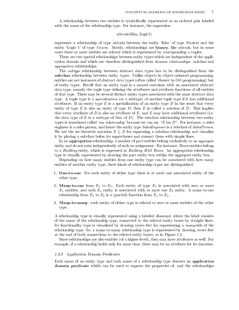A relationship between two entities is symbolically represented as an ordered pair labeled with the name of the relationship type. For instance, the expression

#### attends (Kim; Logic1)

represents a relationship of type *attends* between the entity 'Kim' of type *Student* and the entity 'Logic 1' of type *Course*. Mostly, relationships are **binary**, like *attends*, but in some cases three or more entities are related which is represented by corresponding n-tuples.

There are two special relationships between entity types which are independent of the application domain and which are therefore distinguished from domain relationships: subclass and aggregation relationships.

The subtype relationship between abstract data types has to be distinguished from the subclass relationship between entity types. Unlike objects in object-oriented programming, entities are not instances of abstract data types (often called 'classes' in OO programming) but of entity types. Recall that an entity type is a named container with an associated abstract data type, namely the tuple type defining the attributes and attribute functions of all entities of that type. There may be several distinct entity types associated with the same abstract data type. A tuple type is a specialization (or a subtype) of another tuple type if it has additional attributes. If an entity type E is a specialization of an entity type  $D$  in the sense that every entity of type E is also an entity of type D, then E is called a *subclass* of D. This implies that every attribute of D is also an attribute of E, and E may have additional attributes (i.e. the data type of E is a subtype of that of  $D$ ). The subclass relationship between two entity types is sometimes called *'isa relationship'* because we can say "E isa  $D$ ". For instance, a sales engineer is a sales person, and hence the entity type SalesEngineer is a subclass of SalesPerson. We use the set-theoretic notation  $E \subseteq D$  for expressing a subclass relationship and visualize it by placing a subclass below its superclasses and connect them with simple lines.

In an **aggregation** relationship, a number of *part* entities belong exclusively to an *aggregate* entity and do not exist independently of such an assignment. For instance, Room entities belong to a Building entity, which is expressed as Building HAS Room. An aggregation relationship type is visually represented by drawing the part entity box within the aggregate entity box.

Depending on how many entities from one entity type can be associated with how many entities of another entity type, three kinds of relationship types are distinguished:

- 1. One-to-one: For each entity of either type there is at most one associated entity of the other type.
- 2. Many-to-one from  $E_1$  to  $E_2$ : Each entity of type  $E_2$  is associated with zero or more  $E_1$  entities, and each  $E_1$  entity is associated with at most one  $E_2$  entity. A many-to-one relationship from  $E_1$  to  $E_2$  is a (partial) function from  $E_1$  to  $E_2$ .
- 3. Many-to-many: each entity of either type is related to zero or more entities of the other type.

A relationship type is visually represented using a labeled diamond, where the label consists of the name of the relationship type, connected to the related entity boxes by straight lines. Its functionality type is visualized by drawing crows feet for representing a many-side of the relationship type. So, a many-to-many relationship type is represented by drawing crows feet at the end of both connections to the related entity boxes, as in Figure 1.2.

Since relationships are also entities (of a higher-level), they may have attributes as well. For example, if a relationship holds only for some time, there may be an attribute for its duration.

#### 1.3.3 Application Domain Predicates

Each name of an entity type and each name of a relationship type denotes an application domain predicate which can be used to express the properties of, and the relationships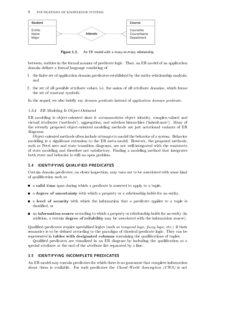

Figure 1.2. An ER model with a many-to-many relationship.

between, entities in the formal manner of predicate logic. Thus, an ER model of an application domain defines a formal language consisting of

- 1. the finite set of application domain predicates established by the entity-relationship analysis,
- 2. the set of all possible attribute values, i.e. the union of all attribute domains, which forms the set of constant symbols.

In the sequel, we also briefly say *domain predicate* instead of *application domain predicate*.

## 1.3.4 ER Modeling Is Object-Oriented

ER modeling is object-oriented since it accommodates object identity, complex-valued and virtual attributes ('methods'), aggregation, and subclass hierarchies ('inheritance'). Many of the recently proposed ob ject-oriented modeling methods are just notational variants of ER diagrams.

Ob ject-oriented methods often include attempts to model the behavior of a system. Behavior modeling is a signicant extension to the ER meta-model. However, the proposed methods, such as Petri nets and state transition diagrams, are not well-integrated with the constructs of state modeling and therefore not satisfactory. Finding a modeling method that integrates both state and behavior is still an open problem.

#### $1.4$ IDENTIFYING QUALIFIED PREDICATES

Certain domain predicates, on closer inspection, may turn out to be associated with some kind of qualication such as

- **a** a **valid time** span during which a predicate is asserted to apply to a tuple,
- a degree of uncertainty with which a property or a relationship holds for an entity,
- **a** level of security with which the information that a predicate applies to a tuple is classied, or
- an information source according to which a property or relationship holds for an entity (in addition, a certain degree of reliability may be associated with the information source).

Qualied predicates require specialized logics (such as temporal logic, fuzzy logic, etc.) if their semantics is to be defined according to the paradigm of classical predicate logic. They can be represented in tables with designated columns containing the qualications of tuples.

Qualied predicates are visualized in an ER diagram by including the qualication as a special attribute at the end of the attribute list separated by a line.

## 1.5 IDENTIFYING INCOMPLETE PREDICATES

An ER model may contain predicates for which there is no guarantee that complete information about them is available. For such predicates the Closed-World Assumption (CWA) is not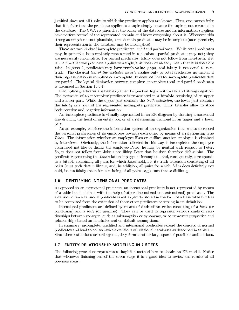justied since not all tuples to which the predicate applies are known. Thus, one cannot infer that it is false that the predicate applies to a tuple simply because the tuple is not recorded in the database. The CWA requires that the owner of the database and its information suppliers have perfect control of the represented domain and know everything about it. Whenever this strong assumption is not plausible, some domain predicates may be incomplete (more precisely, their representation in the database may be incomplete).

There are two kinds of incomplete predicates: total and partial ones. While total predicates may, in principle, be completely represented in a database, partial predicates may not; they are necessarily incomplete. For partial predicates, falsity does not follow from non-truth: if it is not true that the predicate applies to a tuple, this does not already mean that it is therefore false. In general, predicates may have **truth-value gaps**, and falsity is not equal to nontruth. The classical law of the excluded middle applies only to total predicates no matter if their representation is complete or incomplete. It does not hold for incomplete predicates that are partial. The logical distinction between complete, incomplete total and partial predicates is discussed in Section 13.3.1.

Incomplete predicates are best explained by partial logic with weak and strong negation. The extension of an incomplete predicate is represented in a bitable consisting of an upper and a lower part. While the upper part contains the *truth extension*, the lower part contains the falsity extension of the represented incomplete predicate. Thus, bitables allow to store both positive and negative information.

An incomplete predicate is visually represented in an ER diagram by drawing a horizontal line dividing the head of an entity box or of a relationship diamond in an upper and a lower part.

As an example, consider the information system of an organization that wants to record the personal preferences of its employees towards each other by means of a relationship type Likes. The information whether an employee likes or dislikes another employee is obtained by interviews. Obviously, the information collected in this way is incomplete: the employee John need not like or dislike the employee Peter, he may be neutral with respect to Peter. So, it does not follow from John's not liking Peter that he does therefore dislike him. The predicate representing the Like relationship type is incomplete, and, consequently, corresponds to a bitable containing all pairs for which Likes hold, i.e. its truth extension consisting of all pairs  $\langle x, y \rangle$  such that x likes y, and, in addition, all pairs for which Likes does definitely not hold, i.e. its falsity extension consisting of all pairs  $\langle x, y \rangle$  such that x dislikes y.

## 1.6 IDENTIFYING INTENSIONAL PREDICATES

As opposed to an extensional predicate, an intensional predicate is not represented by means of a table but is defined with the help of other (intensional and extensional) predicates. The extension of an intensional predicate is not explicitly stored in the form of a base table but has to be computed from the extension of those other predicates occurring in its definition.

Intensional predicates are defined by means of deduction rules consisting of a head (or conclusion) and a body (or premise). They can be used to represent various kinds of relationships between concepts, such as subsumption or synonymy, or to represent properties and relationships based on heuristics and on default assumptions.

In summary, incomplete, qualied and intensional predicates extend the concept of normal predicates and lead to conservative extensions of relational databases as described in table 1.1. Since these extensions are orthogonal, they form a rather large space of possible combinations.

#### $1.7$ 1.7 ENTITY-RELATIONSHIP MODELING IN 7 STEPS

The following procedure represents a simplied method how to obtain an ER model. Notice that whenever finishing one of the seven steps it is a good idea to review the results of all previous steps.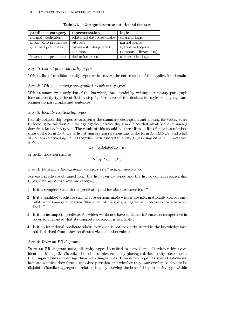| predicate category                       | representation             | logic                   |
|------------------------------------------|----------------------------|-------------------------|
| normal predicates                        | relational database tables | classical logic         |
| incomplete predicates                    | bitables                   | partial logics          |
| qualified predicates                     | tables with designated     | specialized logics      |
|                                          | columns                    | (temporal, fuzzy, etc.) |
| intensional predicates   deduction rules |                            | constructive logics     |

Table 1.1 Orthogonal extensions of relational databases.

Step 1: List all potential entity types.

Write a list of candidate entity types which covers the entire scope of the application domain.

Step 2: Write a summary paragraph for each entity type.

Write a summary description of the knowledge base model by writing a summary paragraph for each entity type identified in step 1. Use a restricted declarative style of language and enumerate paragraphs and sentences.

#### Step 3: Identify relationship types.

Identify relationship types by analyzing the summary description and looking for verbs. Start by looking for subclass and for aggregation relationships, and after that identify the remaining domain relationship types. The result of this should be three lists: a list of subclass relationships of the form  $E_1 \subseteq E_2$ , a list of aggregation relationships of the form  $E_1$  HAS  $E_2$ , and a list of domain relationship names together with associated entity types using either infix notation

 $E_1$  isRelatedTo  $E_2$ 

or prex notation such as

 $R(E_1, E_2,\ldots,E_n)$ 

Step 4: Determine the epistemic category of all domain predicates.

For each predicate obtained from the list of entity types and the list of domain relationship types, determine its epistemic category:

- 1. Is it a complete extensional predicate good for absolute assertions ?
- 2. Is it a qualied predicate such that assertions made with it are informationally correct only relative to some qualification (like a valid-time span, a degree of uncertainty, or a security level) ?
- 3. Is it an incomplete predicate for which we do not have sufficient information competence in order to guarantee that its complete extension is available ?
- 4. Is it an intensional predicate whose extension is not explicitly stored in the knowledge base but is derived from other predicates via deduction rules ?

#### Step 5: Draw an ER diagram.

Draw an ER diagram using all entity types identified in step 1 and all relationship types identied in step 3. Visualize the subclass hierarchies by placing subclass entity boxes below their superclasses connecting them with simple lines. If an entity type has several subclasses, indicate whether they form a complete partition and whether they may overlap or have to be disjoint. Visualize aggregation relationships by drawing the box of the part entity type within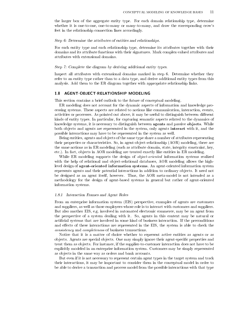the larger box of the aggregate entity type. For each domain relationship type, determine whether it is one-to-one, one-to-many or many-to-many, and draw the corresponding crow's feet in the relationship connection lines accordingly.

#### Step 6: Determine the attributes of entities and relationships.

For each entity type and each relationship type, determine its attributes together with their domains and its attribute functions with their signatures. Mark complex-valued attributes and attributes with extensional domains.

#### Step 7: Complete the diagram by deriving additional entity types.

Inspect all attributes with extensional domains marked in step 6. Determine whether they refer to an entity type rather than to a data type, and derive additional entity types from this analysis. Add them to the ER diagram together with appropriate relationship links.

## 1.8 AGENT-OBJECT-RELATIONSHIP MODELING

This section contains a brief outlook to the future of conceptual modeling.

ER modeling does not account for the dynamic aspects of information and knowledge processing systems. These aspects are related to notions like communication, interaction, events, activities or processes. As pointed out above, it may be useful to distinguish between different kinds of entity types. In particular, for capturing semantic aspects related to the dynamics of knowledge systems, it is necessary to distinguish between **agents** and passive **objects**. While both objects and agents are represented in the system, only agents **interact** with it, and the possible interactions may have to be represented in the system as well.

Being entities, agents and ob jects of the same type share a number of attributes representing their properties or characteristics. So, in agent-ob ject-relationship (AOR) modeling, there are the same notions as in ER modeling (such as attribute domain, state, integrity constraint, key, etc.). In fact, objects in AOR modeling are treated exactly like entities in ER modeling.

While ER modeling supports the design of *object-oriented* information systems realized with the help of relational and object-relational databases, AOR modeling allows the highlevel design of agent-oriented information systems. An agent-oriented information system represents agents and their potential interactions in addition to ordinary objects. It need not be designed as an agent itself, however. Thus, the AOR meta-model is not intended as a methodology for the design of agent-based systems in general but rather of agent-oriented information systems.

#### 1.8.1 Interaction Frames and Agent Roles

From an enterprise information system (EIS) perspective, examples of agents are customers and suppliers, as well as those employees whose role is to interact with customers and suppliers. But also another EIS, e.g. involved in automated electronic commerce, may be an agent from the perspective of a system dealing with it. So, agents in this context may be natural or articial systems that are involved in some kind of business interaction. If the preconditions and effects of these interactions are represented in the EIS, the system is able to check the consistency and completeness of business transactions.

Notice that it is a matter of choice whether to represent active entities as agents or as ob jects. Agents are special ob jects. One may simply ignore their agent-specic properties and treat them as ob jects. For instance, if the supplier-to-customer interaction does not have to be explicitly modeled in an enterprise information system. Customers may be simply represented as ob jects in the same way as orders and bank accounts.

But even if it is not necessary to represent certain agent types in the target system and track their interactions, it may be important to consider them in the conceptual model in order to be able to derive a transaction and process model from the possible interactions with that type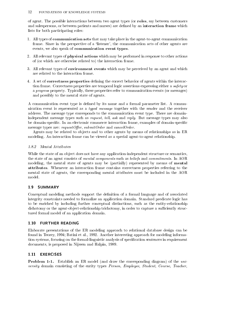#### 12 FOUNDATIONS OF KNOWLEDGE SYSTEMS

of agent. The possible interactions between two agent types (or roles, say between customers and salespersons, or between patients and nurses) are defined by an interaction frame which lists for both participating roles:

- 1. All types of communication acts that may take place in the agent-to-agent communication frame. Since in the perspective of a 'listener', the communication acts of other agents are events, we also speak of communication event types.
- 2. All relevant types of physical actions which may be performed in response to other actions of (or which are otherwise related to) the interaction frame.
- 3. All relevant types of environment events which may be perceived by an agent and which are related to the interaction frame.
- 4. A set of **correctness properties** defining the correct behavior of agents within the interaction frame. Correctness properties are temporal logic assertions expressing either a safety or a progress property. Typically, these properties refer to communication events (or messages) and possibly to the mental state of agents.

A communication event type is defined by its name and a formal parameter list. A communication event is represented as a typed message together with the sender and the receiver address. The message type corresponds to the communication event type. There are domainindependent message types such as *request*, *tell*,  $ask$  and  $reply$ . But message types may also be domain-specific. In an electronic commerce interaction frame, examples of domain-specific message types are:  $requestOffer, submitOrder$  and  $cancelOrder$ .

Agents may be related to objects and to other agents by means of relationships as in ER modeling. An interaction frame can be viewed as a special agent-to-agent relationship.

## 1.8.2 Mental Attributes

While the state of an object does not have any application-independent structure or semantics, the state of an agent consists of mental components such as beliefs and commitments. In AOR modeling, the mental state of agents may be (partially) represented by means of mental attributes. Whenever an interaction frame contains correctness properties referring to the mental state of agents, the corresponding mental attributes must be included in the AOR model.

#### $1.9$ **SUMMARY**

Conceptual modeling methods support the denition of a formal language and of associated integrity constraints needed to formalize an application domain. Standard predicate logic has to be enriched by including further conceptual distinctions, such as the entity-relationship dichotomy or the agent-object-relationship trichotomy, in order to capture a sufficiently structured formal model of an application domain.

## 1.10 FURTHER READING

Elaborate presentations of the ER modeling approach to relational database design can be found in Teorey, 1994; Batini et al., 1992. Another interesting approach for modeling information systems, focusing on the formal-linguistic analysis of specification sentences in requirement documents, is proposed in Nijssen and Halpin, 1989.

# 1.11 EXERCISES

**Problem 1-1.** Establish an ER model (and draw the corresponding diagram) of the university domain consisting of the entity types Person, Employee, Student, Course, Teacher,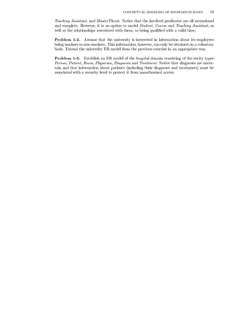Teaching Assistant, and MasterThesis. Notice that the involved predicates are all extensional and complete. However, it is an option to model Student, Course and Teaching Assistant, as well as the relationships associated with them, as being qualified with a valid time.

Problem 1-2. Assume that the university is interested in information about its employees being smokers or non-smokers. This information, however, can only be obtained on a voluntary basis. Extend the university ER model from the previous exercise in an appropriate way.

**Problem 1-3.** Establish an ER model of the *hospital* domain consisting of the entity types Person, Patient, Room, Physician, Diagnosis and Treatment. Notice that diagnoses are uncertain and that information about patients (including their diagnoses and treatments) must be associated with a security level to protect it from unauthorized access.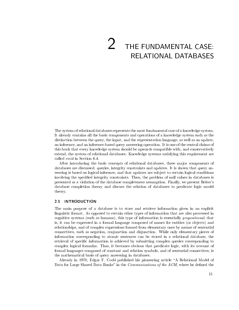# $\sum$ THE FUNDAMENTAL CASE: RELATIONAL DATABASES

The system of relational databases represents the most fundamental case of a knowledge system. It already contains all the basic components and operations of a knowledge system such as the distinction between the query, the input, and the representation language, as well as an update, an inference, and an inference-based query answering operation. It is one of the central claims of this book that every knowledge system should be upwards compatible with, and conservatively extend, the system of relational databases. Knowledge systems satisfying this requirement are called vivid in Section 6.4.

After introducing the basic concepts of relational databases, three major components of databases are discussed: queries, integrity constraints and updates. It is shown that query answering is based on logical inference, and that updates are sub ject to certain logical conditions involving the specified integrity constraints. Then, the problem of null values in databases is presented as a violation of the database completeness assumption. Finally, we present Reiter's database completion theory and discuss the relation of databases to predicate logic model theory.

The main purpose of a database is to store and retrieve information given in an explicit linguistic format. As opposed to certain other types of information that are also processed in cognitive systems (such as humans), this type of information is essentially propositional, that is, it can be expressed in a formal language composed of names for entities (or objects) and relationships, and of complex expressions formed from elementary ones by means of sentential connectives, such as negation, conjunction and disjunction. While only elementary pieces of information corresponding to atomic sentences can be stored in a relational database, the retrieval of specific information is achieved by submitting complex queries corresponding to complex logical formulas. Thus, it becomes obvious that predicate logic, with its account of formal languages composed of constant and relation symbols, and of sentential connectives, is the mathematical basis of query answering in databases.

Already in 1970, Edgar F. Codd published his pioneering article \A Relational Model of Data for Large Shared Data Banks" in the *Communications of the ACM*, where he defined the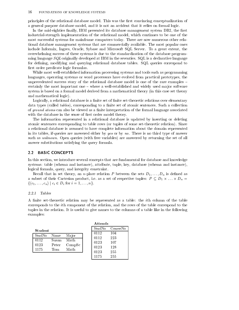principles of the relational database model. This was the first convincing conceptualization of a general purpose database model, and it is not an accident that it relies on formal logic.

In the mid-eighties finally, IBM presented its database management system DB2, the first industrial-strength implementation of the relational model, which continues to be one of the most successful systems for mainframe computers today. There are now numerous other relational database management systems that are commercially available. The most popular ones include Informix, Ingres, Oracle, Sybase and Microsoft SQL Server. To a great extent, the overwhelming success of these systems is due to the standardization of the database programming language  $SQL$  originally developed at IBM in the seventies.  $SQL$  is a declarative language for defining, modifying and querying relational database tables. SQL queries correspond to first order predicate logic formulas.

While most well-established information processing systems and tools such as programming languages, operating systems or word processors have evolved from practical prototypes, the unprecedented success story of the relational database model is one of the rare examples  $$ certainly the most important one  $-\theta$  where a well-established and widely used major software system is based on a formal model derived from a mathematical theory (in this case set theory and mathematical logic).

Logically, a relational database is a finite set of finite set-theoretic relations over elementary data types (called *tables*), corresponding to a finite set of atomic sentences. Such a collection of ground atoms can also be viewed as a finite interpretation of the formal language associated with the database in the sense of first order model theory.

The information represented in a relational database is updated by inserting or deleting atomic sentences corresponding to table rows (or tuples of some set-theoretic relation). Since a relational database is assumed to have complete information about the domain represented in its tables, if-queries are answered either by yes or by no. There is no third type of answer such as unknown. Open queries (with free variables) are answered by returning the set of all answer substitutions satisfying the query formula.

### 2.2 BASIC CONCEPTS

In this section, we introduce several concepts that are fundamental for database and knowledge systems: table (schema and instance), attribute, tuple, key, database (schema and instance), logical formula, query, and integrity constraint.

Recall that in set theory, an *n*-place relation P between the sets  $D_1, \ldots, D_n$  is defined as a subset of their Cartesian product, i.e. as a set of respective tuples:  $P \subseteq D_1 \times \ldots \times D_n =$ Recall that in set theory, an *n*-place rela<br>a subset of their Cartesian product, i.e. as<br> $\{\langle c_1, \ldots, c_n \rangle \mid c_i \in D_i \text{ for } i = 1, \ldots, n\}.$ 

#### 2.2.1 Tables

A finite set-theoretic relation may be represented as a table: the *i*th column of the table corresponds to the ith component of the relation, and the rows of the table correspond to the tuples in the relation. It is useful to give names to the columns of a table like in the following examples:

|              |                |                | Attends              |                   |
|--------------|----------------|----------------|----------------------|-------------------|
| Student      |                |                | StudNo               | CourseNo          |
| StudNo       | Name           | Major          | 0112                 | 104               |
| 0112<br>0123 | Susan<br>Peter | Math<br>CompSc | 0112<br>0123<br>0123 | 223<br>107<br>128 |
| 1175         | Tom            | Math           | 0123<br>1175         | 255<br>255        |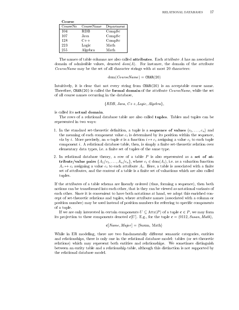| Course   |            |            |
|----------|------------|------------|
| CourseNo | CourseName | Department |
| 104      | RDB        | CompSc     |
| 107      | Java       | CompSc     |
| 128      | $C++$      | CompSc     |
| 223      | Logic      | Math       |
| 255      | Algebra    | Math       |

The names of table columns are also called **attributes**. Each attribute A has an associated domain of admissible values, denoted  $dom(A)$ . For instance, the domain of the attribute CourseName may be the set of all character strings with at most 20 characters:

$$
\text{dom}(\mathit{CourseName}) = \text{CHAR}(20)
$$

Intuitively, it is clear that not every string from CHAR(20) is an acceptable course name. Therefore, CHAR(20) is called the **formal domain** of the attribute *CourseName*, while the set of all course names occurring in the database,

$$
{RDB, Java, C++, Logic, Algebra},
$$

is called its actual domain.

The rows of a relational database table are also called tuples. Tables and tuples can be represented in two ways:

- 1. In the standard set-theoretic definition, a tuple is a sequence of values  $\langle c_1, \ldots, c_n \rangle$  and the meaning of each component value  $c_i$  is determined by its position within the sequence, viz by i. More precisely, an *n*-tuple c is a function  $i \mapsto c_i$  assigning a value  $c_i$  to each tuple component  $i$ . A relational database table, then, is simply a finite set-theoretic relation over elementary data types, i.e. a finite set of tuples of the same type.
- 2. In relational database theory, a row of a table  $P$  is also represented as a set of attribute/value pairs  $\{A_1/c_1,\ldots,A_n/c_n\}$ , where  $c_i \in \text{dom}(A_i)$ , i.e. as a valuation function  $A_i \mapsto c_i$  assigning a value  $c_i$  to each attribute  $A_i$ . Here, a table is associated with a finite set of attributes, and the content of a table is a finite set of valuations which are also called tuples.

If the attributes of a table schema are linearly ordered (thus, forming a sequence), then both notions can be transformed into each other, that is they can be viewed as notational variants of each other. Since it is convenient to have both notations at hand, we adopt this enriched concept of set-theoretic relations and tuples, where attribute names (associated with a column or position number) may be used instead of position numbers for referring to specic components of a tuple.

If we are only interested in certain components  $U \subseteq \text{Attr}(P)$  of a tuple  $c \in P$ , we may form its projection to these components denoted  $c[U]$ . E.g., for the tuple  $c = \langle 0112, Susan, Math \rangle$ ,

$$
\boldsymbol{c}[\textit{Name}, \textit{Major}] = \langle \text{Susan}, \text{Math} \rangle
$$

While in ER modeling, there are two fundamentally different semantic categories, entities and relationships, there is only one in the relational database model: tables (or set-theoretic relations) which may represent both entities and relationships. We sometimes distinguish between an entity table and a relationship table, although this distinction is not supported by the relational database model.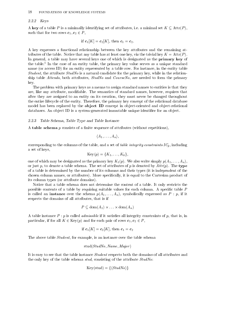#### 2.2.2 Keys

A key of a table P is a minimally identifying set of attributes, i.e. a minimal set  $K \subseteq \text{Attr}(P)$ , such that for two rows  $c_1, c_2 \in P$ ,

if 
$$
\mathbf{c}_1[K] = \mathbf{c}_2[K]
$$
, then  $\mathbf{c}_1 = \mathbf{c}_2$ .

A key expresses a functional relationship between the key attributes and the remaining attributes of the table. Notice that any table has at least one key, viz the trivial key  $K = \text{Attr}(P)$ . In general, a table may have several keys one of which is designated as the primary key of the table.1 In the case of an entity table, the primary key value serves as a unique standard name (or access ID) for an entity represented by a table row. For instance, in the entity table Student, the attribute  $StudNo$  is a natural candidate for the primary key, while in the relationship table Attends, both attributes,  $StudNo$  and  $CourseNo$ , are needed to form the primary key.<br>The problem with primary keys as a means to assign standard names to entities is that they

are, like any attribute, modiable. The semantics of standard names, however, requires that after they are assigned to an entity on its creation, they must never be changed throughout the entire lifecycle of the entity. Therefore, the primary key concept of the relational database model has been replaced by the **object ID** concept in object-oriented and object-relational databases. An object ID is a system-generated immutable unique identifier for an object.

#### 2.2.3 Table Schema, Table Type and Table Instance

A table schema  $p$  consists of a finite sequence of attributes (without repetitions),

$$
\langle A_1,\ldots,A_n\rangle,
$$

corresponding to the columns of the table, and a set of *table integrity constraints*  $IC_p$ , including a set of keys,

$$
Key(p) = \{K_1, \ldots, K_k\},\
$$

one of which may be designated as the primary key  $K_1(p)$ . We also write simply  $p(A_1,\ldots,A_n)$ , or just p, to denote a table schema. The set of attributes of p is denoted by  $Attr(p)$ . The type of a table is determined by the number of its columns and their types (it is independent of the chosen column names, or attributes). More specically, it is equal to the Cartesian product of its column types (or attribute domains).

Notice that a table schema does not determine the content of a table. It only restricts the possible contents of a table by requiring suitable values for each column. A specific table  $P$ is called an **instance** over the schema  $p(A_1,\ldots,A_n)$ , symbolically expressed as P : p, if it respects the domains of all attributes, that is if

$$
P \subseteq \text{dom}(A_1) \times \ldots \times \text{dom}(A_n)
$$

A table instance  $P : p$  is called *admissible* if it satisfies all integrity constraints of p, that is, in particular, if for all  $K \in \text{Key}(p)$  and for each pair of rows  $c_1, c_2 \in P$ ,

$$
\text{if } \boldsymbol{c}_1[K] = \boldsymbol{c}_2[K], \text{ then } \boldsymbol{c}_1 = \boldsymbol{c}_2
$$

The above table *Student*, for example, is an instance over the table schema

$$
stud(StudNo,Name, Major)
$$

It is easy to see that the table instance Student respects both the domains of all attributes and the only key of the table schema *stud*, consisting of the attribute  $StudNo$ :

$$
Key(stud) = \{\langle StudNo \rangle\}
$$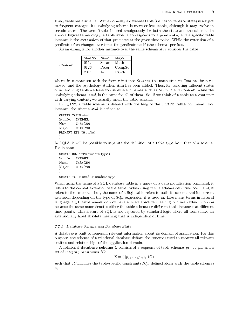Every table has a schema. While normally a database table (i.e. its contents or state) is sub ject to frequent changes, its underlying schema is more or less stable, although it may evolve in certain cases. The term `table' is used ambiguously for both the state and the schema. In a more logical terminology, a table schema corresponds to a **predicate**, and a specific table instance is the extension of that predicate at the given time point. While the extension of a predicate often changes over time, the predicate itself (the schema) persists.

As an example for another instance over the same schema *stud* consider the table

|              | StudNo | Name  | Major  |
|--------------|--------|-------|--------|
| $Student' =$ | 0112   | Susan | Math   |
|              | 0123   | Peter | CompSc |
|              | 2015   | A nn  | Psych  |

where, in comparison with the former instance *Student*, the math student Tom has been removed, and the psychology student Ann has been added. Thus, for denoting different states of an evolving table we have to use different names such as  $Student$  and  $Student'$ , while the underlying schema, stud, is the same for all of them. So, if we think of a table as a container with varying content, we actually mean the table schema.

In SQL92, a table schema is defined with the help of the CREATE TABLE command. For instance, the schema  $stud$  is defined as

```
CREATE TABLE stud(
StudNo INTEGER, Name CHAR(20).
Major CHAR(20)
PRIMARY KEY (StudNo)
\mathbf{I} , and the set of \mathbf{I}
```
In SQL3, it will be possible to separate the definition of a table type from that of a schema. For instance,

```
CREATE ROW TYPE student type (
StudNoINTEGER,
Name CHAR(20),
Major CHAR(20)
);
```
CREATE TABLE stud OF student type

When using the name of a SQL database table in a query or a data modification command, it refers to the current extension of the table. When using it in a schema definition command, it refers to the schema. Thus, the name of a SQL table refers to both its schema and its current extension depending on the type of SQL expression it is used in. Like many terms in natural language, SQL table names do not have a fixed absolute meaning but are rather *indexical* because the same name denotes either the table schema or different table instances at different time points. This feature of SQL is not captured by standard logic where all terms have an extensionally fixed absolute meaning that is independent of time.

#### 2.2.4 Database Schema and Database State

A database is built to represent relevant information about its domain of application. For this purpose, the schema of a relational database denes the concepts used to capture all relevant entities and relationships of the application domain.

A relation decrease schema is the sequence of table schema in the sequence of table schemas p1;:::;p $\mu_{lb}$  and an set of integrity constraints IC:  $\Sigma$  consists of a sequence of table s<br> $\Sigma = \langle (p_1, \ldots, p_m), IC \rangle$ 

$$
\Sigma = \langle \langle p_1, \ldots, p_m \rangle, IC \rangle
$$

such that IC includes the table-specific constraints  $IC_{p_i}$  defined along with the table schemas  $p_i$ .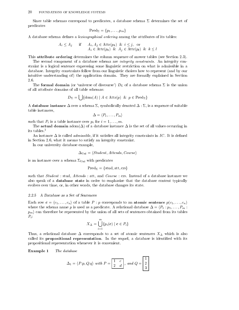Since table schemas correspond to predicates, a database schema  $\Sigma$  determines the set of predicates

$$
\operatorname{Pred}_{\Sigma} = \{p_1, \ldots, p_m\}
$$

A database schema defines a *lexicographical ordering* among the attributes of its tables:

$$
A_i \le A_j \quad \text{if} \quad A_i, A_j \in \text{Attr}(p_k) \ \& \ i \le j, \ \text{or}
$$
\n
$$
A_i \in \text{Attr}(p_k) \ \& \ A_j \in \text{Attr}(p_l) \ \& \ k \le l
$$

This attribute ordering determines the column sequence of answer tables (see Section 2.3).

The second component of a database schema are *integrity constraints*. An integrity constraint is a logical sentence expressing some linguistic restriction on what is admissible in a database. Integrity constraints follow from our linguistic choices how to represent (and by our intuitive understanding of) the application domain. They are formally explained in Section 2.6.

The **formal domain** (or 'universe of discourse')  $D_{\Sigma}$  of a database schema  $\Sigma$  is the union of all attribute domains of all table schemas:

$$
D_{\Sigma} = \bigcup \{ \text{dom}(A) \mid A \in \text{Attr}(p) \& p \in \text{Pred}_{\Sigma} \}
$$

A database instance  $\Delta$  over a schema  $\Sigma$ , symbolically denoted  $\Delta : \Sigma$ , is a sequence of suitable table instances,

$$
\Delta = \langle P_1, \ldots, P_m \rangle
$$

such that  $P_i$  is a table instance over  $p_i$  for  $i = 1, \ldots, m$ .

The **actual domain** adom( $\Delta$ ) of a database instance  $\Delta$  is the set of all values occurring in its tables.2

An instance  $\Delta$  is called *admissible*, if it satisfies all integrity constraints in IC. It is defined in Section 2.6, what it means to satisfy an integrity constraint.

In our university database example,

$$
\Delta_{\rm Uni} = \langle Student,\,Attends,\,Course\rangle
$$

is an instance over a schema  $\Sigma_{\text{Uni}}$  with predicates

$$
\text{Pred}_{\Sigma} = \{\text{stud}, \text{att}, \text{crs}\}
$$

such that *Student* : stud, *Attends* : att, and *Course* : crs. Instead of a database instance we also speak of a database state in order to emphasize that the database content typically evolves over time, or, in other words, the database changes its state.

### 2.2.5 A Database as a Set of Sentences

Each row  $\mathbf{c} = \langle c_1, \ldots, c_n \rangle$  of a table P : p corresponds to an atomic sentence  $p(c_1, \ldots, c_n)$ where the schema name p is used as a predicate. A relational database  $\Delta = \langle P_1 : p_1, \ldots, P_m :$  $p_m$ ) can therefore be represented by the union of all sets of sentences obtained from its tables  $P_i$ 

$$
X_\Delta = \bigcup_{i=1}^m \{p_i(\boldsymbol{c}) \mid \boldsymbol{c} \in P_i\}
$$

Thus, a relational database  $\Delta$  corresponds to a set of atomic sentences  $X_{\Delta}$  which is also called its propositional representation. In the sequel, a database is identified with its propositional representation whenever it is convenient.

Example 1 The database

$$
\Delta_1 = \langle P : p, Q : q \rangle \text{ with } P = \begin{bmatrix} 1 & c \\ 2 & d \end{bmatrix}, \text{ and } Q = \begin{bmatrix} 1 \\ 2 \\ 3 \end{bmatrix}
$$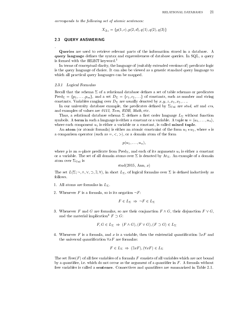corresponds to the following set of atomic sentences:

$$
X_{\Delta_1} = \{p(1, c), p(2, d), q(1), q(2), q(3)\}\
$$

### 2.3 QUERY ANSWERING

Queries are used to retrieve relevant parts of the information stored in a database. A query language defines the syntax and expressiveness of database queries. In SQL, a query is formed with the **SELECT** keyword.<sup>3</sup>

In terms of conceptual clarity, the language of (suitably extended versions of ) predicate logic is the query language of choice. It can also be viewed as a generic standard query language to which all practical query languages can be mapped.

#### 2.3.1 Logical Formulas

Recall that the schema  $\Sigma$  of a relational database defines a set of table schemas or predicates  $Pred_{\Sigma} = \{p_1,\ldots,p_m\}$ , and a set  $D_{\Sigma} = \{c_1,c_2,\ldots\}$  of constants, such as number and string constants. Variables ranging over  $D_{\Sigma}$  are usually denoted by  $x, y, z, x_1, x_2, \ldots$ 

In our university database example, the predicates defined by  $\Sigma_{\text{Uni}}$  are stud, att and crs. and examples of values are 0112, Tom, RDB, Math, etc.

Thus, a relational database schema  $\Sigma$  defines a first order language  $L_{\Sigma}$  without function symbols. A term in such a language is either a constant or a variable. A tuple  $u = \langle u_1, \ldots, u_n \rangle$ , where each component  $u_i$  is either a variable or a constant, is called **mixed tuple**.

An atom (or atomic formula) is either an atomic constraint of the form  $u_1 \star u_2$ , where  $\star$  is a comparison operator (such as  $=$ ,  $\lt$ ,  $>$ ), or a domain atom of the form

$$
p(u_1,\ldots,u_n),
$$

where p is an n-place predicate from  $Pred_{\Sigma}$ , and each of its arguments  $u_i$  is either a constant or a variable. The set of all domain atoms over  $\Sigma$  is denoted by At<sub> $\Sigma$ </sub>. An example of a domain atom over  $\Sigma_{\text{Uni}}$  is

$$
stud(2015, \text{ Ann}, x)
$$

The set  $L(\Sigma; \neg, \wedge, \vee, \supset, \exists, \forall)$ , in short  $L_{\Sigma}$ , of logical formulas over  $\Sigma$  is defined inductively as follows.

- 1. All atoms are formulas in  $L_{\Sigma}$ .
- 2. Whenever F is a formula, so is its negation  $\neg F$ :

$$
F \in L_{\Sigma} \Rightarrow \neg F \in L_{\Sigma}
$$

3. Whenever F and G are formulas, so are their conjunction  $F \wedge G$ , their disjunction  $F \vee G$ , and the material implication<sup>4</sup>  $F \supset G$ :

$$
F, G \in L_{\Sigma} \Rightarrow (F \wedge G), (F \vee G), (F \supset G) \in L_{\Sigma}
$$

4. Whenever F is a formula, and x is a variable, then the existential quantification  $\exists x F$  and the universal quantification  $\forall x F$  are formulas:

$$
F \in L_{\Sigma} \Rightarrow (\exists x F), (\forall x F) \in L_{\Sigma}
$$

The set  $Free(F)$  of all free variables of a formula F consists of all variables which are not bound by a quantifier, i.e. which do not occur as the argument of a quantifier in  $F$ . A formula without free variables is called a **sentence**. Connectives and quantifiers are summarized in Table 2.1.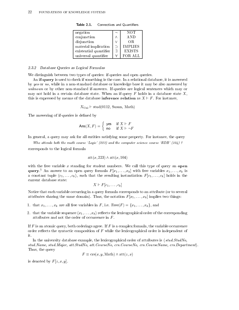| negation               |           | <b>NOT</b>     |  |
|------------------------|-----------|----------------|--|
| conjunction            |           | AND            |  |
| disjunction            |           | OR.            |  |
| material implication   | $\supset$ | <b>IMPLIES</b> |  |
| existential quantifier | Ε         | <b>EXISTS</b>  |  |
| universal quantifier   |           | FOR ALL        |  |

Connectives and Quantifiers. Table 2.1

#### 2.3.2 Database Queries as Logical Formulas

We distinguish between two types of queries: if-queries and open queries.

An if-query is used to check if something is the case. In a relational database, it is answered by yes or no, while in a non-standard database or knowledge base it may be also answered by unknown or by other non-standard if-answers. If-queries are logical sentences which may or may not hold in a certain database state. When an if-query  $F$  holds in a database state  $X$ , this is expressed by means of the database **inference relation** as  $X \vdash F$ . For instance,

 $X_{\text{Uni}}$   $\vdash$  stud(0112, Susan, Math)

The answering of if-queries is defined by

$$
\operatorname{Ans}(X, F) = \begin{cases} \text{ yes } & \text{ if } X \vdash F \\ \text{ no } & \text{ if } X \vdash \neg F \end{cases}
$$

In general, a query may ask for all entities satisfying some property. For instance, the query

Who attends both the math course 'Logic' (223) and the computer science course 'RDB' (104) ?

corresponds to the logical formula

$$
att(x, 223) \wedge att(x, 104)
$$

with the free variable  $x$  standing for student numbers. We call this type of query an open **query.**<sup>5</sup> An answer to an open query formula  $F[x_1,\ldots,x_k]$  with free variables  $x_1,\ldots,x_k$  is a constant tuple  $\langle c_1,\ldots,c_k \rangle$ , such that the resulting instantiation  $F[c_1,\ldots,c_k]$  holds in the current database state:

$$
X \vdash F[c_1, \ldots, c_k]
$$

Notice that each variable occurring in a query formula corresponds to an attribute (or to several attributes sharing the same domain). Thus, the notation  $F[x_1,\ldots,x_k]$  implies two things:

- 1. that  $x_1,\ldots,x_k$  are all free variables in F, i.e.  $Free(F) = \{x_1,\ldots,x_k\}$ , and
- 2. that the variable sequence  $\langle x_1,\ldots,x_k \rangle$  reflects the lexicographical order of the corresponding attributes and not the order of occurrence in F .

If  $F$  is an atomic query, both orderings agree. If  $F$  is a complex formula, the variable occurrence order reflects the syntactic composition of  $F$  while the lexicographical order is independent of

In the university database example, the lexicographical order of attributes is  $\langle$  stud.StudNo, stud.Name, stud.Major, att.StudNo, att.CourseNo, crs.CourseNo, crs.CourseName, crs.Departmenti. Thus, the query

$$
F \equiv \mathrm{crs}(x, y, \mathrm{Math}) \land \mathrm{att}(z, x)
$$

is denoted by  $F[z, x, y]$ .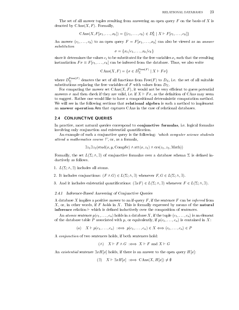The set of all answer tuples resulting from answering an open query  $F$  on the basis of  $X$  is  $\alpha$  ,  $\alpha$  ,  $\alpha$  ,  $\alpha$  ,  $\alpha$  ,  $\alpha$  ,  $\alpha$  ,  $\alpha$  ,  $\alpha$  ,  $\alpha$  ,  $\alpha$  ,  $\alpha$  ,  $\alpha$ cans $(X, F)$ . Formally,<br>CAns $(X, F[x_1, \ldots, x_k]) = \{(c_1, \ldots, c_k) \in D_{\Sigma}^k \mid X \vdash F[x_k, \ldots, x_k]\}$ 

$$
\text{CAns}(X, F[x_1,\ldots,x_k]) = \{ \langle c_1,\ldots,c_k \rangle \in D_{\Sigma}^k \mid X \vdash F[c_1,\ldots,c_k] \}
$$

An answer  $\langle c_1,\ldots,c_k \rangle$  to an open query  $F = F[x_1,\ldots,x_k]$  can also be viewed as an answer substitution

$$
\sigma = \{x_1/c_1, \ldots, x_k/c_k\}
$$

since it determines the values  $c_i$  to be substituted for the free variables  $x_i$  such that the resulting instantiation  $F\sigma \equiv F[c_1,\ldots,c_k]$  can be inferred from the database. Thus, we also write

$$
CAns(X, F) = \{ \sigma \in D_{\Sigma}^{\operatorname{Free}(F)} \mid X \vdash F\sigma \}
$$

where  $D_{\Sigma}$  are denotes the set of all functions from Free(F) to  $D_{\Sigma}$ , i.e. the set of all suitable substitutions replacing the free variables of F with values from  $D_{\Sigma}$ .

For computing the answer set  $\text{CAns}(X, F)$ , it would not be very efficient to guess potential answers  $\sigma$  and then check if they are valid, i.e. if  $X \vdash F\sigma$ , as the definition of CAns may seem to suggest. Rather one would like to have a compositional deterministic computation method. We will see in the following sections that **relational algebra** is such a method to implement an **answer operation** Ansthat captures CAns in the case of relational databases.

#### $2.4$ **CONJUNCTIVE QUERIES**

In practice, most natural queries correspond to **conjunctive formulas**, i.e. logical formulas involving only conjunction and existential quantification.

An example of such a conjunctive query is the following: 'which computer science students attend a mathematics course ?', or, as a formula,

$$
\exists z_1 \exists z_2 (\text{stud}(x, y, \text{CompSc}) \land \text{att}(x, z_1) \land \text{crs}(z_1, z_2, \text{Math}))
$$

Formally, the set  $L(\Sigma; \wedge, \exists)$  of conjunctive formulas over a database schema  $\Sigma$  is defined inductively as follows.

- 1.  $L(\Sigma; \wedge, \exists)$  includes all atoms.
- 2. It includes conjunctions:  $(F \wedge G) \in L(\Sigma; \wedge, \exists)$  whenever  $F, G \in L(\Sigma; \wedge, \exists)$ .
- 3. And it includes existential quantifications:  $(\exists x F) \in L(\Sigma; \wedge, \exists)$  whenever  $F \in L(\Sigma; \wedge, \exists)$ .

#### 2.4.1 Inference-Based Answering of Conjunctive Queries

A database X implies a positive answer to an if-query  $F$ , if the sentence  $F$  can be inferred from  $X$ , or, in other words, if F holds in X. This is formally expressed by means of the **natural inference** relation  $\vdash$  which is defined inductively over the composition of sentences.

An *atomic* sentence  $p(c_1,\ldots,c_n)$  holds in a database X, if the tuple  $\langle c_1,\ldots,c_n \rangle$  is an element of the database table P associated with p, or equivalently, if  $p$  (c1;::;  $\frac{1}{r}$ ) is contained in  $\frac{1}{r}$ : se table P associated with p, or equivalently, if  $p(c_1,\ldots,c_n)$  is contained in X:<br>(a)  $X \vdash p(c_1,\ldots,c_n) \iff p(c_1,\ldots,c_n) \in X \iff \langle c_1,\ldots,c_n \rangle \in P$ 

(a) 
$$
X \vdash p(c_1, \ldots, c_n) \iff p(c_1, \ldots, c_n) \in X \iff \langle c_1, \ldots, c_n \rangle \in P
$$

A conjunction of two sentences holds, if both sentences hold:

(A)  $X \vdash F \wedge G \iff X \vdash F$  and  $X \vdash G$ 

An existential sentence  $\exists x H[x]$  holds, if there is an answer to the open query  $H[x]$ :<br>
( $\exists$ )  $X \vdash \exists x H[x] : \iff$  CAns $(X, H[x]) \neq \emptyset$ 

$$
(\exists) \quad X \vdash \exists x H[x] \iff \text{CAns}(X, H[x]) \neq \emptyset
$$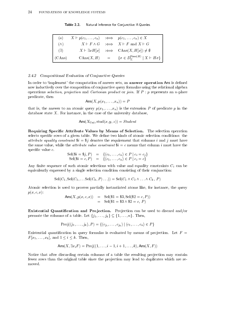Table 2.2. Natural Inference for Conjunctive If-Queries.

| (a)         |  | $X \vdash p(c_1, \ldots, c_n) \iff p(c_1, \ldots, c_n) \in X$                                  |
|-------------|--|------------------------------------------------------------------------------------------------|
| $(\wedge)$  |  | $X \vdash F \land G \iff X \vdash F$ and $X \vdash G$                                          |
| $(\exists)$ |  | $X \vdash \exists x H[x] \quad :\Longleftrightarrow \quad \text{CAns}(X, H[x]) \neq \emptyset$ |
| (CAns)      |  | CAns $(X, H)$ = $\{\sigma \in D_{\Sigma}^{\text{Free}(H)} \mid X \vdash H\sigma\}$             |

### 2.4.2 Compositional Evaluation of Conjunctive Queries

In order to 'implement' the computation of answer sets, an **answer operation** Ans is defined now inductively over the composition of conjunctive query formulas using the relational algebra operations selection, projection and Cartesian product or join. If  $P$ : p represents an n-place predicate, then

$$
\mathsf{Ans}(X,p(x_1,\ldots,x_n))=P
$$

that is, the answer to an atomic query  $p(x_1,...,x_n)$  is the extension P of predicate p in the database state  $X$ . For instance, in the case of the university database,

Ans
$$
(X_{\text{Uni}}, \text{stud}(x, y, z)) = Student
$$

Requiring Specific Attribute Values by Means of Selection. The selection operation selects specific rows of a given table. We define two kinds of atomic selection conditions: the attribute equality constraint  $i = \frac{1}{2}$  denotes the requirement that columns i and j must have the same value, while the attribute value constraint \$i = c means that column i must have the specific value  $c$ . be *attribute value constraint*  $i = c$  means that column *i*:<br> $\text{Sel}(\$i = \$j, P) = \{ \langle c_1, \ldots, c_n \rangle \in P \mid c_i = c_j \}$ 

$$
\text{Sel}(\$i = \$j, P) = \{ \langle c_1, \dots, c_n \rangle \in P \mid c_i = c_j \} \n\text{Sel}(\$i = c, P) = \{ \langle c_1, \dots, c_n \rangle \in P \mid c_i = c \}.
$$

Any finite sequence of such atomic selections with value and equality constraints  $C_i$  can be equivalently expressed by a single selection condition consisting of their conjunction:

$$
Sel(C_1, Sel(C_2, \ldots Sel(C_k, P) \ldots)) = Sel(C_1 \wedge C_2 \wedge \ldots \wedge C_k, P)
$$

Atomic selection is used to process partially instantiated atoms like, for instance, the query  $p(x, c, x)$ :

Ans
$$
(X, p(x, c, x))
$$
 = Sel $(\$1 = \$3, \text{Sel}(\$2 = c, P))$   
= Sel $(\$1 = \$3 \land \$2 = c, P)$ 

Existential Quantification and Projection. Projection can be used to discard and/or permute the columns of a table. Let  $\{j_1,\ldots,j_k\} \subseteq \{1,\ldots,n\}$ . Then,<br> $\text{Proj}(\langle j_1,\ldots,j_k\rangle, P) = \{\langle c_{j_1},\ldots,c_{j_k}\rangle \mid \langle c_1,\ldots,c_n\rangle \in P\}$ 

$$
Proj(\langle j_1, \ldots, j_k \rangle, P) = \{ \langle c_{j_1}, \ldots, c_{j_k} \rangle \mid \langle c_1, \ldots, c_n \rangle \in P \}
$$

Existential quantification in query formulas is evaluated by means of projection. Let  $F =$  $F[x_1,\ldots,x_k]$ , and  $1 \leq i \leq k$ . Then,

Ans
$$
(X, \exists x_i F)
$$
 = Proj $((1, \ldots, i-1, i+1, \ldots, k),$  Ans $(X, F)$ )

Notice that after discarding certain columns of a table the resulting projection may contain fewer rows than the original table since the projection may lead to duplicates which are removed.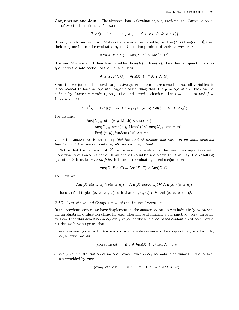Conjunction and Join. The algebraic basis of evaluating conjunction is the Cartesian product of two tables defined as follows: as follows:<br> $Q = \{ \langle c_1,\ldots,c_m, d_1,\ldots,d_n \rangle \mid \pmb{c} \in P \ \& \ \ \pmb{d} \in Q \}$ 

$$
P \times Q = \{ \langle c_1, \ldots, c_m, d_1, \ldots, d_n \rangle \mid \mathbf{c} \in P \& \mathbf{d} \in Q \}
$$

If two query formulas F and G do not share any free variable, i.e.  $Free(F) \cap Free(G) = \emptyset$ , then their conjunction can be evaluated by the Cartesian product of their answer sets:

$$
Ans(X, F \wedge G) = Ans(X, F) \times Ans(X, G)
$$

If F and G share all of their free variables,  $Free(F) = Free(G)$ , then their conjunction corresponds to the intersection of their answer sets:

$$
\mathsf{Ans}(X,F\wedge G)=\mathsf{Ans}(X,F)\cap\mathsf{Ans}(X,G)
$$

Since the conjuncts of natural conjunctive queries often share some but not all variables, it is convenient to have an operator capable of handling this: the join operation which can be defined by Cartesian product, projection and atomic selection. Let  $i = 1, \ldots, m$  and  $j =$  $1,\ldots,n$ . Then,

$$
P \overset{i=1}{\bowtie} Q = \text{Proj}(\langle 1,...,m+j-1,m+j+1,...,m+n \rangle, \text{Sel}(\$i = \$j, P \times Q))
$$

For instance,

 $\omega = \omega$ 

 $\sim$ 

$$
Ans(XUni, stud(x, y, Math) \land att(x, z))
$$
  
= Ans(X<sub>Uni</sub>, stud(x, y, Math)) <sup>1</sup> $\overline{R}$ <sup>1</sup> Ans(X<sub>Uni</sub>, att(x, z))  
= Proj(\langle x, y \rangle, Student) <sup>1</sup> $\overline{R}$ <sup>1</sup> Attends

yields the answer set to the query 'list the student number and name of all math students together with the course number of all courses they attend'.

Notice that the definition of  $\overrightarrow{M}$  can be easily generalized to the case of a conjunction with more than one shared variable. If all shared variables are treated in this way, the resulting operation  $\bowtie$  is called *natural join*. It is used to evaluate general conjunctions:

$$
Ans(X, F \wedge G) = Ans(X, F) \bowtie Ans(X, G)
$$

For instance,

$$
Ans(X, p(x, y, z) \land q(x, z, u)) = Ans(X, p(x, y, z)) \bowtie Ans(X, q(x, z, u))
$$

is the set of all tuples  $\langle c_1, c_2, c_3, c_4 \rangle$  such that  $\langle c_1, c_2, c_3 \rangle \in P$  and  $\langle c_1, c_3, c_4 \rangle \in Q$ .

#### 2.4.3 Correctness and Completeness of the Answer Operation

In the previous section, we have 'implemented' the answer operation Ans inductively by providing an algebraic evaluation clause for each alternative of forming a conjunctive query. In order to show that this definition adequately captures the inference-based evaluation of conjunctive queries we have to prove that

1. every answer provided by Ans leads to an inferable instance of the conjunctive query formula, or, in other words,

$$
(\text{correctness}) \qquad \text{if } \sigma \in \text{Ans}(X, F), \text{ then } X \vdash F\sigma
$$

2. every valid instantiation of an open conjunctive query formula is contained in the answer set provided by Ans:

(completeness) if  $X \vdash F\sigma$ , then  $\sigma \in \text{Ans}(X, F)$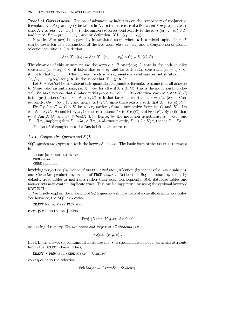**Proof of Correctness.** The proof advances by induction on the complexity of conjunctive formulas. Let P : p and Q : q be tables in X. In the base case of a free atom F = p(x1;:::;xn), **Proof of Correctness.** The proof advances by induction on the complexity of conjunctive formulas. Let  $P : p$  and  $Q : q$  be tables in  $X$ . In the base case of a free atom  $F = p(x_1, \ldots, x_n)$ , since  $\text{Ans}(X, p(x_1, \ldots, x_n)) = P$ , the and hence,  $F \sigma = p(c_1, \ldots, c_n)$ , and by definition,  $X \vdash p(c_1, \ldots, c_n)$ .

Now, let  $F = p(u)$  be a partially instantiated atom, where u is a mixed tuple. Then, F can be rewritten as a conjunction of the free atom  $p(x_1,...,x_n)$  and a conjunction of atomic selection conditions C such that

$$
Ans(X, p(u)) = Ans(X, p(x_1, \ldots, x_n) \wedge C) = Sel(C, P)
$$

The elements of this answer set are the rows  $c \in P$  satisfying C, that is, for each equality constraint  $(x_i = x_j) \in C$ , it holds that  $c_i = c_j$ , and for each value constraint  $(x_i = c) \in C$ , it holds that  $c_i = c$ . Clearly, each such row represents a valid answer substitution  $\sigma =$  ${x_1/c_1,\ldots,x_n/c_n}$  for  $p(\boldsymbol{u})$  in the sense that  $X \vdash (p(\boldsymbol{u}))\sigma$ .

Let  $F = \exists x G(x)$  be an existentially quantified conjunctive formula. Assume that all answers to G are valid instantiations, i.e.  $X \vdash G\sigma$  for all  $\sigma \in \text{Ans}(X, G)$  (this is the induction hypothesis). We have to show that F inherits this property from G. By definition, each  $\sigma' \in \text{Ans}(X, F)$  is the projection of som sis). We have to show that F inherits this property from G. By definition, each  $\sigma' \in \text{Ans}(X, F)$ sequently,  $G\sigma = (G(c))\sigma'$ , and hence,  $X \vdash F\sigma'$ , since there exists c such that  $X \vdash (G(c))\sigma'$ .

Finally, let  $F = G \wedge H$  be a conjunction of two conjunctive formulas G and H. Let  $\sigma \in \text{Ans}(X, G \wedge H)$  and let  $\sigma_1, \sigma_2$  be the restrictions of  $\sigma$  to Free(G) and Free(H). By definition,  $\sigma_1 \in \text{Ans}(X, G)$  and  $\sigma_2 \in \text{Ans}(X, H)$ . Hence, by the induction hypothesis,  $X \vdash G\sigma_1$  and  $X \vdash H\sigma_2$ , implying that  $X \vdash G\sigma_1 \wedge H\sigma_2$ , and consequently,  $X \vdash (G \wedge H)\sigma$ , that is  $X \vdash F\sigma$ .

The proof of completeness for Ans is left as an exercise.

#### 2.4.4 Conjunctive Queries and SQL

SQL queries are expressed with the keyword SELECT. The basic form of the SELECT statement is

SELECT [DISTINCT] attributes FROM tables WHERE condition

involving projection (by means of SELECT attributes), selection (by means of WHERE condition), and Cartesian product (by means of FROM tables). Notice that SQL database systems, by default, treat tables as multi-sets rather than sets. Consequently, SQL database tables and answer sets may contain duplicate rows. This can be suppressed by using the optional keyword DISTINCT.

We briefly explain the meaning of SQL queries with the help of some illustrating examples. For instance, the SQL expression

SELECT Name, Major FROM stud

corresponds to the projection

 $Proj(\langle Name, Major \rangle, Student)$ 

evaluating the query 'list the name and major of all students', or

$$
\exists x (\text{stud}(x, y, z)).
$$

In SQL, the answer set contains all attributes if a '\*' is specified instead of a particular attribute list in the SELECT clause. Thus,

SELECT  $*$  FROM stud WHERE Major = 'CompSc'

corresponds to the selection

```
Sel(Major = 'CompSc', Student),
```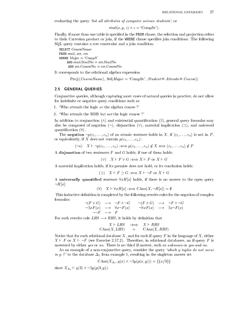evaluating the query 'list all attributes of computer science students', or

$$
stud(x, y, z) \wedge z = 'CompSc').
$$

Finally, if more than one table is specified in the FROM clause, the selection and projection refers to their Cartesian product or join, if the WHERE clause specifies join conditions. The following SQL query contains a row constraint and a join condition:

SELECT CourseName FROM stud, att, crs WHERE  $Major = 'CompS'$  $\texttt{AND} \ \texttt{stud}. \texttt{StudNo} = \texttt{att}. \texttt{StudNo}$ AND att.CourseNo = crs.CourseNo

It corresponds to the relational algebra expression

 $Proj(\langle CourseName \rangle, Sel(Major = 'CompSc', Student \bowtie Attends \bowtie Course))$ 

#### $2.5$ **GENERAL QUERIES** 2.5 GENERAL QUERIES

Conjunctive queries, although capturing most cases of natural queries in practice, do not allow for indefinite or negative query conditions such as

1. `Who attends the logic or the algebra course ?'

2. 'Who attends the RDB but not the logic course?'

In addition to conjunction  $(\wedge)$  and existential quantification  $(\exists)$ , general query formulas may also be composed of negation  $(\neg)$ , disjunction  $(V)$ , material implication  $(\neg)$ , and universal quantification  $(\forall)$ .

The **negation**  $\neg p(c_1, \ldots, c_n)$  or an atomic sentence holds in X, if  $\langle c_1, \ldots, c_n \rangle$  is not in P, equivalently, if X does not contain  $p(c_1, \ldots, c_n)$ :<br> $(\neg a) \quad X \vdash \neg p(c_1, \ldots, c_n) \iff p(c_1, \ldots, c_n) \notin X \iff \langle c_1, \ldots, c_n \rangle \notin P$ or equivalently, if X does not contain  $p(c_1,\ldots,c_n)$ :

$$
(\neg a) \quad X \vdash \neg p(c_1, \ldots, c_n) : \iff p(c_1, \ldots, c_n) \notin X \iff \langle c_1, \ldots, c_n \rangle \notin P
$$

A disjunction of two sentences  $F$  and  $G$  holds, if one of them holds:

(v)  $X \vdash F \lor G : \Longleftrightarrow X \vdash F$  or  $X \vdash G$ 

A material implication holds, if its premise does not hold, or its conclusion holds: (ds, if its premise does not hold, or its conclusion holds<br>( $\supset$ )  $X \vdash F \supset G$ ;  $\Longleftrightarrow X \vdash \neg F$  or  $X \vdash G$ 

$$
\Box) \quad X \vdash F \supset G : \Longleftrightarrow X \vdash \neg F \text{ or } X \vdash G
$$

A universally quantified sentence  $\forall x H[x]$  holds, if there is no answer to the open query  $\neg H[x]$ :<br> $(\forall)$   $X \vdash \forall x H[x] : \iff \text{CAns}(X, \neg H[x]) = \emptyset$  $\neg H[x]$ :

$$
(\forall) \quad X \vdash \forall x H[x] : \iff \text{CAns}(X, \neg H[x]) = \emptyset
$$

This inductive definition is completed by the following rewrite rules for the negation of complexes  $\mathcal{L}$ formulas: finition is completed by the following rewrite rules for the negation of com<br>  $\neg(F \lor G) \longrightarrow \neg F \land \neg G \qquad \neg(F \land G) \longrightarrow \neg F \lor \neg G$ 

$$
\neg (F \lor G) \quad \longrightarrow \quad \neg F \land \neg G \qquad \neg (F \land G) \quad \longrightarrow \quad \neg F \lor \neg G
$$
  
\n
$$
\neg \exists x F(x) \quad \longrightarrow \quad \forall x \neg F(x) \qquad \neg \forall x F(x) \quad \longrightarrow \quad \exists x \neg F(x)
$$
  
\n
$$
\neg \neg F \quad \longrightarrow \quad F
$$

For each rewrite rule  $LHS \longrightarrow RHS$ , it holds by definition that

$$
X \vdash LHS \quad :\iff \quad X \vdash RHS
$$
  

$$
CAns(X, LHS) \quad = \quad CAns(X, RHS)
$$

 $N$  . That for each relational database  $N$  is each if-query F in the language of  $N$  in the language of  $N$  in the language of  $N$  $\text{Cans}(X, LHS)$  =  $\text{Cans}(X, RHS)$ <br>Notice that for each relational database X, and for each if-query F in the language of X, either<br> $X \vdash F$  or  $X \vdash \neg F$  (see Exercise 2.17.2). Therefore, in relational databases, an if-query F i answered by either yes or no. There is no third if-answer, such as unknown or yes-and-no.

As an example of a non-conjunctive query, consider the query 'which q-tuples do not occur in p ?' to the database  $\Delta_1$  from example 1, resulting in the singleton answer set<br>CAns $(X_{\Delta_1}, q(x) \wedge \neg \exists y(p(x, y))) = \{\{x/3\}\}\$ 

$$
CAns(X_{\Delta_1}, q(x) \wedge \neg \exists y(p(x, y))) = \{\{x/3\}\}\
$$

since  $X_{\Delta_1} \vdash q(3) \land \neg \exists y(p(3, y)).$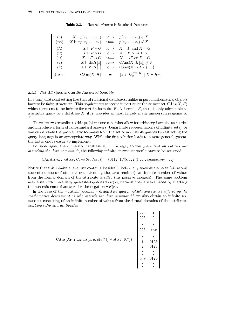| (a)         | $X \vdash p(c_1, \ldots, c_n) \iff p(c_1, \ldots, c_n) \in X$                                    |                                                                           |
|-------------|--------------------------------------------------------------------------------------------------|---------------------------------------------------------------------------|
| $(\neg a)$  | $X \vdash \neg p(c_1, \ldots, c_n) \quad \Longleftrightarrow \quad p(c_1, \ldots, c_n) \notin X$ |                                                                           |
| $(\wedge)$  | $X \vdash F \wedge G$                                                                            | $\iff X \vdash F$ and $X \vdash G$                                        |
| (V)         | $X \vdash F \wedge G$                                                                            | $\iff X \vdash F$ or $X \vdash G$                                         |
| $(\supset)$ | $X \vdash F \supset G$                                                                           | $\iff X \vdash \neg F \text{ or } X \vdash G$                             |
| $(\exists)$ | $X \vdash \exists x H[x]$                                                                        | $\iff$ $\text{CAns}(X, H[x]) \neq \emptyset$                              |
| (A)         | $X \vdash \forall x H[x]$                                                                        | $\iff$ CAns $(X, \neg H[x]) = \emptyset$                                  |
| (CAns)      | $\operatorname{CAns}(X,H)$                                                                       | $= \{ \sigma \in D_{\Sigma}^{\mathrm{Free}(H)} \mid X \vdash H\sigma \}.$ |

Table 2.3 Natural Inference in Relational Databases.

#### 2.5.1 Not All Queries Can Be Answered Sensibly

In a computational setting like that of relational databases, unlike in pure mathematics, ob jects have to be finite structures. This requirement concerns in particular the answer set  $\text{Can}(X, F)$ which turns out to be infinite for certain formulas  $F$ . A formula  $F$ , thus, is only admissible as a sensible query to a database  $X$ , if  $X$  provides at most finitely many answers in response to  $\boldsymbol{F}$  .

There are two remedies to this problem: one can either allow for arbitrary formulas as queries and introduce a form of non-standard answers (being finite representations of infinite sets), or one can exclude the problematic formulas from the set of admissible queries by restricting the query language in an appropriate way. While the first solution leads to a more general system, the latter one is easier to implement.

Consider again the university database  $X_{\text{Uni}}$ . In reply to the query 'list all entities not attending the Java seminar ?', the following infinite answer set would have to be returned:

 $\text{CAns}(X_{\text{Uni}}; \text{–att}(x, \text{CompSc}, \text{Java})) = \{0112, 1175, 1, 2, 3, ..., \text{anynumber}, ...\}$ 

Notice that this infinite answer set contains, besides finitely many sensible elements (viz actual student numbers of students not attending the Java seminar), an infinite number of values from the formal domain of the attribute  $StudNo$  (viz positive integers). The same problem may arise with universally quantified queries  $\forall x F(x)$ , because they are evaluated by checking the non-existence of answers for the negation  $\neg F(x)$ .

In the case of the  $-$  rather peculiar  $-$  disjunctive query, 'which courses are offered by the mathematics department or who attends the Java seminar  $?$ , we also obtain an infinite answer set consisting of an infinite number of values from the formal domains of the attributes crs.CourseNo and att.StudNo

| 223<br>$\overline{2}$<br>223<br>٠<br>٠<br>223<br>any<br>$\bullet$ | $\text{CAns}(X_{\text{Uni}}, \exists y(\text{crs}(x, y, Math)) \vee \text{att}(z, 107)) =$<br>1<br>0123 |  |        |
|-------------------------------------------------------------------|---------------------------------------------------------------------------------------------------------|--|--------|
|                                                                   |                                                                                                         |  |        |
|                                                                   |                                                                                                         |  |        |
|                                                                   |                                                                                                         |  |        |
|                                                                   |                                                                                                         |  |        |
|                                                                   |                                                                                                         |  |        |
|                                                                   |                                                                                                         |  |        |
| $\overline{2}$<br>0123                                            |                                                                                                         |  | ٠      |
|                                                                   |                                                                                                         |  |        |
|                                                                   |                                                                                                         |  |        |
| 0123<br>any                                                       |                                                                                                         |  | ٠<br>٠ |
|                                                                   |                                                                                                         |  |        |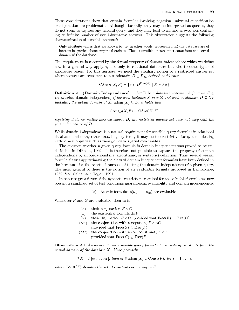These considerations show that certain formulas involving negation, universal quantication or disjunction are problematic. Although, formally, they may be interpreted as queries, they do not seem to express any natural query, and they may lead to infinite answer sets containing an infinite number of non-informative answers. This observation suggests the following characterization of `sensible answers':

Only attribute values that are known to (or, in other words, represented in) the database are of interest in queries about empirical entities. Thus, a sensible answer must come from the actual domain of the database.

This requirement is captured by the formal property of *domain independence* which we define now in a general way applying not only to relational databases but also to other types of knowledge bases. For this purpose, we need the auxiliary notion of a restricted answer set where answers are restricted to a subdomain  $D \subseteq D_{\Sigma}$ , defined as follows:

$$
\text{CAns}_D(X, F) = \{ \sigma \in D^{\text{Free}(F)} \mid X \vdash F\sigma \}
$$

**Definition 2.1 (Domain Independence)** Let  $\Sigma$  be a database schema. A formula  $F \in$  $L_{\Sigma}$  is called domain independent, if for each instance X over  $\Sigma$  and each subdomain  $D \subseteq D_{\Sigma}$ including the actual domain of X, adom $(X) \subseteq D$ , it holds that

$$
CAns_D(X, F) = CAns(X, F)
$$

requiring that, no matter how we choose D, the restricted answer set does not vary with the particular choice of D.

While domain independence is a natural requirement for sensible query formulas in relational databases and many other knowledge systems, it may be too restrictive for systems dealing with formal objects such as time points or spatial coordinates.

The question whether a given query formula is domain independent was proved to be undecidable in DiPaola, 1969. It is therefore not possible to capture the property of domain independence by an operational (i.e. algorithmic, or syntactic) definition. Thus, several weaker formula classes approximating the class of domain independent formulas have been defined in the literature for the practical purpose of testing the domain independence of a given query. The most general of these is the notion of an **evaluable** formula proposed in Demolombe, 1982; Van Gelder and Topor, 1991.

In order to get a flavor of the syntactic restrictions required for an evaluable formula, we now present a simplied set of test conditions guaranteeing evaluability and domain independence.

(a) Atomic formulas  $p(u_1,\ldots,u_m)$  are evaluable.

Whenever  $F$  and  $G$  are evaluable, then so is

- $(\wedge)$  their conjunction  $F \wedge G$
- ( $\exists$ ) the existential formula  $\exists x F$
- (v) their disjunction  $F \vee G$ , provided that  $F$ ree( $F$ ) = Free(G) ( $\exists$ ) the existential formula  $\exists x F$ <br>
( $\vee$ ) their disjunction  $F \vee G$ , provided that  $Free(F) = Fre$ <br>
( $\wedge \neg$ ) the conjunction with a negation,  $F \wedge \neg G$ ,
- provided that  $Free(G) \subset Free(F)$
- $(AC)$  the conjunction with a row constraint,  $F \wedge C$ ; provided that  $Free(C) \subseteq Free(F)$

**Observation 2.1** An answer to an evaluable query formula F consists of constants from the actual domain of the database X. More precisely,

if  $X \vdash F[c_1,\ldots,c_k]$ , then  $c_i \in \text{adom}(X) \cup \text{Const}(F)$ , for  $i = 1,\ldots,k$ 

where  $\text{Const}(F)$  denotes the set of constants occurring in F.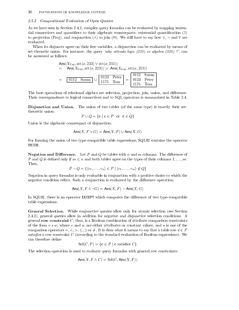### 2.5.2 Compositional Evaluation of Open Queries

As we have seen in Section 2.4.2, complex query formulas can be evaluated by mapping sentential connectives and quantifiers to their algebraic counterparts: existential quantification  $(\exists)$ to projection (Proj), and conjunction ( $\wedge$ ) to join ( $\vee$ ). We still have to say how  $\vee$ ,  $\neg$  and  $\forall$  are evaluated.

When its disjuncts agree on their free variables, a disjunction can be evaluated by means of set-theoretic union. For instance, the query 'who attends logic (223) or algebra (255) ?', can be answered as follows:

Ans(
$$
X_{\text{Uni}}
$$
, att( $x$ , 223)  $\vee$  att( $x$ , 255))  
\n= Ans( $X_{\text{Uni}}$ , att( $x$ , 223))  $\cup$  Ans( $X_{\text{Uni}}$ , att( $x$ , 255))  
\n=  $\boxed{0112 \quad \text{Susan}} \cup \boxed{0123 \quad \text{Peter}} = \boxed{0123 \quad \text{Peter}} \quad 0123 \quad \text{Peter}} \quad 1175 \quad \text{Tom}$ 

The base operations of relational algebra are selection, projection, join, union, and difference. Their correspondence to logical connectives and to SQL operators is summarized in Table 2.4.

————————————————————

Disjunction and Union. The union of two tables (of the same type) is exactly their settheoretic union:

$$
P \cup Q = \{c \mid c \in P \text{ or } c \in Q\}
$$

Union is the algebraic counterpart of disjunction:

$$
Ans(X, F \vee G) = Ans(X, F) \cup Ans(X, G)
$$

For forming the union of two type-compatible table expressions, SQL92 contains the operator UNION.

**Negation and Difference.** Let P and Q be tables with n and m columns. The difference of P and Q is defined only if  $m \le n$  and both tables agree on the types of their columns  $1, \ldots, m$ .<br>Then,<br> $P - Q = \{ \langle c_1, \ldots, c_n \rangle \in P \mid \langle c_1, \ldots, c_m \rangle \notin Q \}$ Then,

$$
P - Q = \{ \langle c_1, \ldots, c_n \rangle \in P \mid \langle c_1, \ldots, c_m \rangle \notin Q \}
$$

Negation in query formulas is only evaluable in conjunction with a positive choice to which the negative condition refers. Such a conjunction is evaluated by the dierence operation: Such a conjunction is evaluated by the difference<br> $\text{Ans}(X, F \land \neg G) = \text{Ans}(X, F) - \text{Ans}(X, G)$ 

$$
Ans(X, F \wedge \neg G) = Ans(X, F) - Ans(X, G)
$$

In SQL92, there is an operator EXCEPT which computes the difference of two type-compatible table expressions.

General Selection. While conjunctive queries allow only for atomic selection (see Section 2.4.2), general queries allow in addition for negative and disjunctive selection conditions. A general **row constraint**  $C$ , thus, is a Boolean combination of attribute comparison constraints of the form  $v \star w$ , where v and w are either attributes or constant values, and  $\star$  is one of the comparison operators =, <, >,  $\leq$ ,  $\geq$  or  $\neq$ . It is clear what it means to say that a table row  $c \in P$ satisfies a row constraint  $C$  (according to the standard evaluation of Boolean expressions). We can therefore define

$$
\text{Sel}(C, P) = \{ \boldsymbol{c} \in P \mid \boldsymbol{c} \text{ satisfies } C \}
$$

The selection operation is used to evaluate query formulas with general row constraints:

$$
Ans(X, F \wedge C) = Sel(C, Ans(X, F))
$$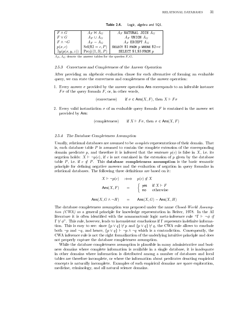| $F \wedge G$          | $A_F \bowtie A_G$              | $A_F$ NATURAL JOIN $A_G$        |
|-----------------------|--------------------------------|---------------------------------|
| $F \vee G$            | $A_F \cup A_G$                 | $A_F$ UNION $A_G$               |
| $F \wedge \neg G$     | $A_F - A_G$                    | $A_F$ EXCEPT $A_G$              |
| p(x, c)               | $\text{Sel}(\$2 = c, P)$       | SELECT \$1 FROM $p$ where \$2=c |
| $\exists y(p(x,y,z))$ | $Proj(\langle 1,3 \rangle, P)$ | SELECT $$1, $3$ FROM $p$        |
|                       |                                | $\cdot$ $\cdot$ $\cdot$         |

Table 2.4. Logic, algebra and SQL.

 $A_F$ ,  $A_G$  denote the answer tables for the queries F, G.

#### 2.5.3 Correctness and Completeness of the Answer Operation

After providing an algebraic evaluation clause for each alternative of forming an evaluable query, we can state the correctness and completeness of the answer operation:

1. Every answer  $\sigma$  provided by the answer operation Ans corresponds to an inferable instance  $F\sigma$  of the query formula F, or, in other words,

$$
(\text{correctness})
$$
 if  $\sigma \in \text{Ans}(X, F)$ , then  $X \vdash F\sigma$ 

2. Every valid instantiation  $\sigma$  of an evaluable query formula F is contained in the answer set provided by Ans:

(completeness) if  $X \vdash F\sigma$ , then  $\sigma \in \text{Ans}(X, F)$ 

#### 2.5.4 The Database Completeness Assumption

Usually, relational databases are assumed to be complete representations of their domain. That is, each database table  $P$  is assumed to contain the complete extension of the corresponding domain predicate p, and therefore it is inferred that the sentence p(c) is false in X, i.e. its is, each database table P is assumed to contain the complete extension of the corresponding<br>domain predicate p, and therefore it is inferred that the sentence  $p(c)$  is false in X, i.e. its<br>negation holds:  $X \vdash \neg p(c)$ , if table P, i.e. if  $c \notin P$ . This database completeness assumption is the basic semantic principle for defining negative answers and the evaluation of negation in query formulas in  $\mathbf{f}$ for the diffusion of the condition of higher<br>diffusion in the based on it:<br> $X \models \neg p(c) \iff p(c) \notin X$ 

$$
X \vdash \neg p(c) \quad :\iff \quad p(c) \notin X
$$
\n
$$
\text{Ans}(X, F) \quad = \quad \left\{ \begin{array}{ll} \text{yes} & \text{if } X \vdash F \\ \text{no} & \text{otherwise} \end{array} \right.
$$
\n
$$
\text{Ans}(X, G \land \neg H) \quad = \quad \text{Ans}(X, G) - \text{Ans}(X, H)
$$

The database completeness assumption was proposed under the name *Closed-World Assump*tion (CWA) as a general principle for knowledge representation in Reiter, 1978. In the AI literature it is often identified with the nonmonotonic logic meta-inference rule  $\mathcal{T} \vdash \neg \phi$  if  $1\,$   $\sigma$   $\varphi$  . This rule, however, leads to inconsistent conclusions if I represents indefinite informaliterature it is often identified with the nonmonotonic logic meta-inference rule " $\Gamma \vdash \neg \phi$  *if*  $\Gamma \not\models \phi$ ". This rule, however, leads to inconsistent conclusions if  $\Gamma$  represents indefinite information. This is easy tion. This is easy to see: since  $\{p \lor q\} \not\vdash p$  and  $\{p \lor q\} \not\vdash q$ , the CWA rule allows to conclude both  $\neg p$  and  $\neg q$ , and hence,  $\{p \lor q\} \vdash \neg p \land \neg q$  which is a contradiction. Consequently, the CWA inference rule is not the right formalization of the underlying intuitive principle and does not properly capture the database completeness assumption.

While the database completeness assumption is plausible in many administrative and business domains where complete information is available in a single database, it is inadequate in other domains where information is distributed among a number of databases and local tables are therefore incomplete, or where the information about predicates denoting empirical concepts is naturally incomplete. Examples of such empirical domains are space exploration, medicine, criminology, and all natural science domains.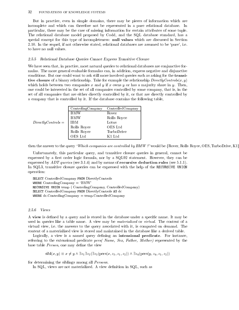#### 32 FOUNDATIONS OF KNOWLEDGE SYSTEMS

But in practice, even in simple domains, there may be pieces of information which are incomplete and which can therefore not be represented in a pure relational database. In particular, there may be the case of missing information for certain attributes of some tuple. The relational database model proposed by Codd, and the SQL database standard, has a special concept for this type of incompleteness: null values which are discussed in Section 2.10. In the sequel, if not otherwise stated, relational databases are assumed to be `pure', i.e. to have no null values.

#### 2.5.5 Relational Database Queries Cannot Express Transitive Closure

We have seen that, in practice, most natural queries to relational databases are conjunctive for mulas. The more general evaluable formulas can, in addition, express negative and disjunctive conditions. But one could want to ask still more involved queries such as asking for the transitive closure of a binary relationship. Take for example the relationship  $DirectlyContents(x, y)$ which holds between two companies x and y if x owns y or has a majority share in y. Then, one could be interested in the set of all companies controlled by some company, that is, in the set of all companies that are either directly controlled by it, or that are directly controlled by a company that is controlled by it. If the database contains the following table,

|                       | ControlingCompany  | ControlledCompany |
|-----------------------|--------------------|-------------------|
|                       | BMW                | Rover             |
|                       | BMW                | Rolls Royce       |
| $Directly Controls =$ | IBM                | Lotus             |
|                       | Rolls Royce        | OES Ltd           |
|                       | Rolls Royce        | TurboDrive        |
|                       | ${\rm OES\,\,Ltd}$ | K1 Ltd            |

then the answer to the query 'Which companies are controlled by  $BMW$  ?' would be {Rover, Rolls Royce, OES, TurboDrive, K1}

Unfortunately, this particular query, and transitive closure queries in general, cannot be expressed by a first order logic formula, nor by a  $SQL92$  statement. However, they can be expressed by  $ADT$  queries (see 3.1.4) and by means of **recursive deduction rules** (see 5.1.1). In SQL3, transitive closure queries can be expressed with the help of the RECURSIVE UNION operation:

SELECT ControlledCompany FROM DirectlyControls WHERE ControlingCompany  $=$  'BMW' RECURSIVE UNION temp ( ControlingCompany, ControlledCompany) SELECT ControlledCompany FROM DirectlyControls AS dc WHERE  $dc$ . Controling Company = temp. Controlled Company

#### 2.5.6 Views

A view is defined by a query and is stored in the database under a specific name. It may be used in queries like a table name. A view may be materialized or virtual. The content of a virtual view, i.e. the answers to the query associated with it, is computed on demand. The content of a materialized view is stored and maintained in the database like a derived table.

Logically, a view is a named query defining an intensional predicate. For instance, referring to the extensional predicate pers( Name, Sex, Father, Mother) represented by the base table *Person*, one may define the view

 $\text{sibl}(x, y) \equiv x \neq y \land \exists z_1 \exists z_2(\exists z_3(\text{pers}(x, z_3, z_1, z_2)) \land \exists z_4(\text{pers}(y, z_4, z_1, z_2))$ 

for determining the siblings among all Persons.

In SQL, views are not materialized. A view definition in SQL, such as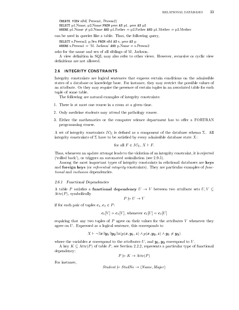CREATE VIEW sibl( Person1, Person2) SELECT p1.Name, p2.Name FROM pers AS p1, pers AS p2 WHERE p1. Name  $\neq$  p2. Name AND p1. Father = p2. Father AND p1. Mother = p2. Mother

can be used in queries like a table. Thus, the following query,

SELECT s.Person2, p.Sex FROM sibl AS s, pers AS p

WHERE s. Person1 =  $'M$ . Jackson' AND p. Name = s. Person2

asks for the name and sex of all siblings of M. Jackson.

A view definition in SQL may also refer to other views. However, recursive or cyclic view definitions are not allowed.

#### 2.6 INTEGRITY CONSTRAINTS

Integrity constraints are logical sentences that express certain conditions on the admissible states of a database or knowledge base. For instance, they may restrict the possible values of an attribute. Or they may require the presence of certain tuples in an associated table for each tuple of some table.

The following are natural examples of integrity constraints:

- 1. There is at most one course in a room at a given time.
- 2. Only medicine students may attend the pathology course.
- 3. Either the mathematics or the computer science department has to offer a FORTRAN programming course.

A set of integrity constraints  $IC_{\Sigma}$  is defined as a component of the database schema  $\Sigma$ . All integrity constraints of  $\Sigma$  have to be satisfied by every admissible database state X:

for all 
$$
F \in IC_{\Sigma}
$$
,  $X \vdash F$ .

Thus, whenever an update attempt leads to the violation of an integrity constraint, it is rejected (`rolled back'), or triggers an automated assimilation (see 2.9.5).

Among the most important types of integrity constraints in relational databases are keys and foreign keys (or *referential integrity* constraints). They are particular examples of functional and inclusion dependencies.

#### 2.6.1 Functional Dependencies

A table P satisfies a functional dependency  $U \to V$  between two attribute sets  $U, V \subset$  $Attr(P)$ , symbolically

$$
P \models U \rightarrow V
$$

if for each pair of tuples  $c_1, c_2 \in P$ :

$$
\boldsymbol{c}_1[V] = \boldsymbol{c}_2[V], \text{ whenever } \boldsymbol{c}_1[U] = \boldsymbol{c}_2[U]
$$

requiring that any two tuples of  $P$  agree on their values for the attributes V whenever they agree on U. Expressed as a logical sentence, this corresponds to the corresponds to the corresponds to the corresponds to the corresponds to the corresponds to the corresponds to the corresponds to the corresponds to the sed as a logical sentence, this corresponds to<br>  $X \vdash \neg \exists x \exists y_1 \exists y_2 \exists z (p(x, y_1, z) \land p(x, y_2, z) \land y_1 \neq y_2)$ 

$$
X \vdash \neg \exists x \exists y_1 \exists y_2 \exists z (p(x, y_1, z) \land p(x, y_2, z) \land y_1 \neq y_2)
$$

where the variables x correspond to the attributes U, and  $y_1, y_2$  correspond to V.

A key  $K \subset \text{Attr}(P)$  of table P, see Section 2.2.2, represents a particular type of functional dependency:

$$
P \models K \rightarrow \text{Attr}(P)
$$

For instance,

$$
\mathit{Student} \models \mathit{StudNo} \rightarrow \langle \mathit{Name}, \mathit{Major} \rangle
$$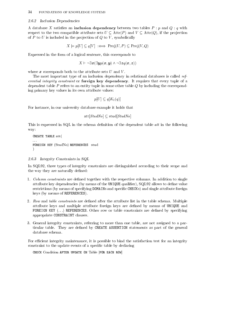#### 2.6.2 Inclusion Dependencies

A database X satisfies an inclusion dependency between two tables  $P : p$  and  $Q : q$  with respect to the two compatible attribute sets  $U \subseteq \text{Attr}(P)$  and  $V \subseteq \text{Attr}(Q)$ , if the projection of P to U is included in the projection of Q to V, symbolically

$$
X \models p[U] \subseteq q[V] \iff \operatorname{Proj}(U, P) \subseteq \operatorname{Proj}(V, Q)
$$

Expressed in the form of a logical sentence, this corresponds to cal sentence, this corresponds to<br>  $X \vdash \neg \exists x(\exists w(x, y) \land \neg \exists zg(x, z))$ 

$$
X \vdash \neg \exists x (\exists y p(x, y) \land \neg \exists z q(x, z))
$$

where  $x$  corresponds both to the attribute sets  $U$  and  $V$ .

The most important type of an inclusion dependency in relational databases is called referential integrity constraint or foreign key dependency. It requires that every tuple of a dependent table  $P$  refers to an entity tuple in some other table  $Q$  by including the corresponding primary key values in its own attribute values:

$$
p[U] \subseteq q[K_1(q)]
$$

For instance, in our university database example it holds that

```
att[Stu dNo] \subseteqstud[Stu dNo]
```
This is expressed in  $SQL$  in the schema definition of the dependent table *att* in the following way:

```
CREATE TABLE att(
::: FOREIGN KEY (StudNo) REFERENCES stud
)
```
2.6.3 Integrity Constraints in SQL

In SQL92, three types of integrity constraints are distinguished according to their scope and the way they are naturally defined:

- 1. Column constraints are defined together with the respective columns. In addition to single attribute key dependencies (by means of the UNIQUE qualifier), SQL92 allows to define value restrictions (by means of specifying DOMAINs and specic CHECKs) and single attribute foreign keys (by means of REFERENCES).
- 2. Row and table constraints are defined after the attribute list in the table schema. Multiple attribute keys and multiple attribute foreign keys are dened by means of UNIQUE and FOREIGN KEY  $(\ldots)$  REFERENCES. Other row or table constraints are defined by specifying appropriate CONSTRAINT clauses.
- 3. General integrity constraints, referring to more than one table, are not assigned to a particular table. They are defined by CREATE ASSERTION statements as part of the general database schema.

For efficient integrity maintenance, it is possible to bind the satisfaction test for an integrity constraint to the update events of a specic table by declaring

```
CHECK Condition AFTER UPDATE ON Table [FOR EACH ROW]
```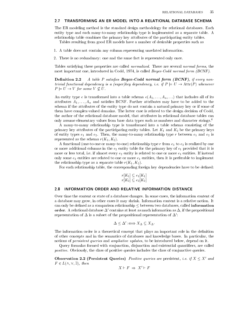The ER modeling method is the standard design methodology for relational databases. Each entity type and each many-to-many relationship type is implemented as a separate table. A relationship table combines the primary key attributes of the participating entity tables.

Tables resulting from good ER models have a number of desirable properties such as

- 1. A table does not contain any column representing unrelated information.
- 2. There is no redundancy: one and the same fact is represented only once.

Tables satisfying these properties are called *normalized*. There are several *normal forms*, the most important one, introduced in Codd, 1974, is called Boyce-Codd normal form (BCNF).

**Definition 2.2** A table P satisfies **Boyce-Codd normal form (BCNF)**, if every nontrivial functional dependency is a (super)key dependency, i.e. if  $P \models U \rightarrow \text{Attr}(P)$  whenever  $P \models U \rightarrow V$  for some  $V \not\subseteq U$ .

An entity type e is transformed into a table schema  $e(A_1,\ldots,A_n,\ldots)$  that includes all of its attributes  $A_1, \ldots, A_n$  and satisfies BCNF. Further attributes may have to be added to the schema if the attributes of the entity type do not contain a natural primary key or if some of them have complex-valued domains. The latter case is related to the design decision of Codd, the author of the relational database model, that attributes in relational database tables can only assume elementary values from base data types such as numbers and character strings.6

A many-to-many relationship type is transformed into a table schema consisting of the primary key attributes of the participating entity tables. Let  $K_1$  and  $K_2$  be the primary keys of entity types  $e_1$  and  $e_2$ . Then, the many-to-many relationship type r between  $e_1$  and  $e_2$  is represented as the schema  $r(K_1, K_2)$ .

A functional (one-to-one or many-to-one) relationship type r from  $e_1$  to  $e_2$  is realized by one or more additional columns in the  $e_2$  entity table for the primary key of  $e_1$  provided that it is more or less total, i.e. if almost every  $e_2$  entity is related to one or more  $e_1$  entities. If instead only some  $e_2$  entities are related to one or more  $e_1$  entities, then it is preferable to implement the relationship type as a separate table  $r(K_1, K_2)$ .

For each relationship table, the corresponding foreign key dependencies have to be defined:

$$
r[K_1] \subseteq e_1[K_1] r[K_2] \subseteq e_2[K_2]
$$

Over time the content or state of a database changes. In some cases, the information content of a database may grow, in other cases it may shrink. Information content is a relative notion. It can only be defined as a comparison relationship  $\leq$  between two databases, called **information** order. A relational database  $\Delta'$  contains at least as much information as  $\Delta$ , if the propositional representation of  $\Delta$  is a subset of the propositional representation of  $\Delta'$ :

$$
\Delta \leq \Delta' : \iff X_{\Delta} \subseteq X_{\Delta'}
$$

The information order is a theoretical concept that plays an important role in the definition of other concepts and in the semantics of databases and knowledge bases. In particular, the notions of persistent queries and ampliative updates, to be introduced below, depend on it.

Query formulas formed with conjunction, disjunction and existential quantiers, are called positive. Obviously, the class of positive queries includes the class of conjunctive queries.

Observation 2.2 (Persistent Queries) Positive queries are persistent, i.e. if  $X \leq X'$  and  $F \in L(\wedge, \vee, \exists)$ , then

$$
X \vdash F \;\Rightarrow\; X' \vdash F
$$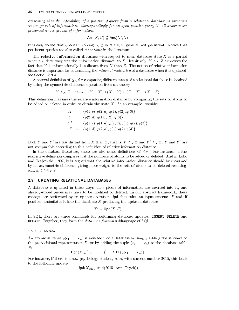expressing that the inferability of a positive if-query from a relational database is preserved under growth of information. Correspondingly for an open positive query  $G$ , all answers are preserved under growth of information:

$$
\mathsf{Ans}(X,G) \subseteq \mathsf{Ans}(X',G)
$$

It is easy to see that queries involving  $\neg$ ,  $\ni$  or  $\nforall$  are, in general, not persistent. Notice that persistent queries are also called monotonic in the literature.

The relative information distance with respect to some database state  $X$  is a partial order  $\leq_X$  that compares the 'information distance' to X. Intuitively,  $Y \leq_X Z$  expresses the fact that Y is informationally less distant from  $X$  than  $Z$ . The notion of relative information distance is important for determining the minimal mutilation of a database when it is updated, see Section 2.9.4.

A natural definition of  $\leq_X$  for comparing different states of a relational database is obtained by using the symmetric difference operation from set theory:

$$
Y \leq_X Z \quad \Longleftrightarrow \quad (Y - X) \cup (X - Y) \subseteq (Z - X) \cup (X - Z)
$$

This definition measures the relative information distance by comparing the sets of atoms to be added or deleted in order to obtain the state  $X$ . As an example, consider

$$
X = \{p(1, c), p(2, d), q(1), q(2), q(3)\}
$$
  
\n
$$
Y = \{p(2, d), q(1), q(2), q(3)\}
$$
  
\n
$$
Y' = \{p(1, c), p(1, d), p(2, d), q(1), q(2), q(3)\}
$$
  
\n
$$
Z = \{p(1, d), p(2, d), q(1), q(2), q(3)\}
$$

Both Y and Y' are less distant from X than Z, that is,  $Y \leq_X Z$  and  $Y' \leq_X Z$ . Y and Y' are not comparable according to this definition of relative information distance.

In the database literature, there are also other definitions of  $\leq_X$ . For instance, a less restrictive definition compares just the numbers of atoms to be added or deleted. And in Lobo and Trajcevski, 1997, it is argued that the relative information distance should be measured by an asymmetric difference giving more weight to the sets of atoms to be deleted resulting, e.g., in  $Y' \leq_X Y$ .

#### $2.9$ 2.9 UPDATING RELATIONAL DATABASES

A database is updated in three ways: new pieces of information are inserted into it, and already-stored pieces may have to be modified or deleted. In our abstract framework, these changes are performed by an update operation Upd that takes an input sentence  $F$  and, if possible, assimilates it into the database  $X$  producing the updated database

$$
X' = \mathsf{Upd}(X, F)
$$

In SQL, there are three commands for performing database updates: INSERT, DELETE and **UPDATE.** Together, they form the *data modification* sublanguage of SQL.

#### 2.9.1 Insertion

An atomic sentence  $p(c_1,\ldots,c_n)$  is inserted into a database by simply adding the sentence to the propositional representation X, or by adding the tuple  $\langle c_1, \ldots, c_n \rangle$  to the database table<br>  $P$ :<br>  $\text{Upd}(X, p(c_1, \ldots, c_n)) = X \cup \{p(c_1, \ldots, c_n)\}\$  $P$  :

$$
\mathsf{Upd}(X, p(c_1, \ldots, c_n)) = X \cup \{p(c_1, \ldots, c_n)\}\
$$

For instance, if there is a new psychology student, Ann, with student number 2015, this leads to the following update:

 $Upd(X<sub>Uni</sub>, stud(2015, Ann, Psych))$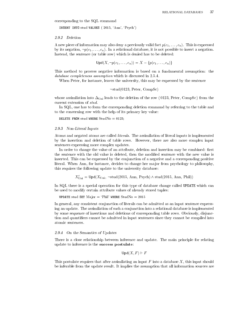corresponding to the SQL command

INSERT INTO stud VALUES ( 2015, `Ann', `Psych')

#### 2.9.2 Deletion

A new piece of information may also deny a previously valid fact  $p(c_1,\ldots,c_n)$ . This is expressed by its negation,  $\neg p(c_1,\ldots,c_n)$ . In a relational database, it is not possible to insert a negation. Instead, the sentence (or table row) which is denied has to be deleted: : table row) which is denied has to be deleted:<br> $\textsf{Upd}(X, \neg p(c_1,\ldots,c_n)) = X - \{p(c_1,\ldots,c_n)\}$ 

$$
\mathsf{Upd}(X,\neg p(c_1,\ldots,c_n))=X-\{p(c_1,\ldots,c_n)\}\
$$

This method to process negative information isbased on a fundamental assumption: the database completeness assumption which is discussed in 2.5.4.

When Peter, for instance, leaves the university, this may be expressed by the sentence

$$
\neg
$$
stud(0123, Peter, CompSc)

whose assimilation into  $\Delta_{\text{Uni}}$  leads to the deletion of the row (0123, Peter, CompSc) from the current extension of stud.

In SQL, one has to form the corresponding deletion command by referring to the table and to the concerning row with the help of its primary key value:

DELETE FROM stud WHERE  $StudNo = 0123$ ;

#### 2.9.3 Non-Literal Inputs

Atoms and negated atoms are called literals. The assimilation of literal inputs is implemented by the insertion and deletion of table rows. However, there are also more complex input sentences expressing more complex updates.

In order to change the value of an attribute, deletion and insertion may be combined: first the sentence with the old value is deleted, then the modified sentence with the new value is inserted. This can be expressed by the conjunction of a negative and a corresponding positive literal. When Ann, for instance, decides to change her major from psychology to philosophy, this requires the following update to the university database:

 $X'_{\text{Uni}} = \text{Upd}(X_{\text{Uni}}; \neg \text{stud}(2015, \text{Ann}, \text{Psych}) \land \text{stud}(2015, \text{Ann}, \text{Phil}))$ 

In SQL there is a special operation for this type of database change called UPDATE which can be used to modify certain attribute values of already stored tuples:

UPDATE stud SET Major = 'Phil' WHERE  $StudNo = 2015$ 

In general, any consistent conjunction of literals can be admitted as an input sentence expressing an update. The assimilation of such a conjunction into a relational database is implemented by some sequence of insertions and deletions of corresponding table rows. Obviously, disjunction and quantiers cannot be admitted in input sentences since they cannot be compiled into atomic sentences.

#### 2.9.4 On the Semantics of Updates

There is a close relationship between inference and update. The main principle for relating update to inference is the success postulate:

$$
\mathsf{Upd}(X,F) \vdash F
$$

This postulate requires that after assimilating an input  $F$  into a database  $X$ , this input should be inferable from the update result. It implies the assumption that all information sources are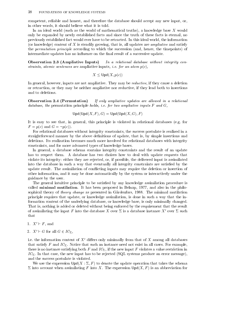competent, reliable and honest, and therefore the database should accept any new input, or, in other words, it should believe what it is told.

In an ideal world (such as the world of mathematical truths), a knowledge base  $X$  would only be expanded by newly established facts and since the truth of these facts is eternal, no previously established fact would ever have to be retracted. In this ideal world, the information (or knowledge) content of  $X$  is steadily growing, that is, all updates are *ampliative* and satisfy the permutation principle according to which the succession (and, hence, the timepoints) of intermediate updates has no influence on the final result of a successive update.

Observation 2.3 (Ampliative Inputs) In a relational database without integrity constraints, atomic sentences are ampliative inputs, i.e. for an atom  $p(c)$ ,

$$
X \leq \mathsf{Upd}(X, p(c))
$$

In general, however, inputs are not ampliative. They may be reductive, if they cause a deletion or retraction, or they may be neither ampliative nor reductive, if they lead both to insertions and to deletions.

Observation 2.4 (Permutation) If only ampliative updates are allowed in a relational

$$
\mathsf{Upd}(\mathsf{Upd}(X,F),G) = \mathsf{Upd}(\mathsf{Upd}(X,G),F)
$$

It is easy to see that, in general, this principle is violated in relational databases (e.g. for  $F = p(c)$  and  $G = \neg p(c)$ .

For relational databases without integrity constraints, the success postulate is realized in a straightforward manner by the above definitions of update, that is, by simple insertions and deletions. Its realization becomes much more involved for relational databases with integrity constraints, and for more advanced types of knowledge bases.

In general, a database schema contains integrity constraints and the result of an update has to respect them. A database has two choices how to deal with update requests that violate its integrity: either they are rejected, or, if possible, the delivered input is assimilated into the database in such a way that eventually all integrity constraints are satisfied by the update result. The assimilation of conflicting inputs may require the deletion or insertion of other information, and it may be done automatically by the system or interactively under the guidance by the user.

The general intuitive principle to be satisfied by any knowledge assimilation procedure is called minimal mutilation. It has been proposed in Belnap, 1977, and also in the philosophical theory of *theory change* as presented in Gärdenfors, 1988. The minimal mutilation principle requires that update, or knowledge assimilation, is done in suchaway that the information content of the underlying database, or knowledge base, is only minimally changed. That is, nothing is added or deleted without being enforced by the requirement that the result of assimilating the input F into the database X over  $\Sigma$  is a database instance X' over  $\Sigma$  such that

1.  $X' \vdash F$ , and

2.  $X' \vdash G$  for all  $G \in IC_{\Sigma}$ ,

i.e. the information content of  $X'$  differs only minimally from that of  $X$  among all databases that satisfy F and  $IC_{\Sigma}$ . Notice that such an instance need not exist in all cases. For example, there is no instance satisfying both F and  $IC_{\Sigma}$ , if the new input F violates a value restriction in  $IC_{\Sigma}$ . In that case, the new input has to be rejected (SQL systems produce an error message), and the success postulate is violated.

We use the expression  $\textsf{Upd}(X:\Sigma,F)$  to denote the update operation that takes the schema  $\Sigma$  into account when assimilating F into X. The expression  $\text{Upd}(X, F)$  is an abbreviation for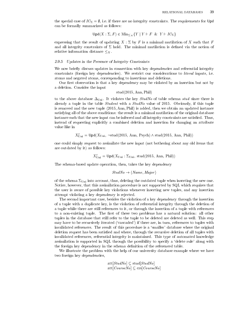the special case of  $IC_{\Sigma} = \emptyset$ , i.e. if there are no integrity constraints. The requirements for Upd can be formally summarized as follows:

$$
\mathsf{Upd}(X:\Sigma,F)\in\mathrm{Min}_{\leq x}\{Y\mid Y\vdash F\And Y\vdash IC_{\Sigma}\}
$$

expressing that the result of updating  $X : \Sigma$  by F is a minimal mutilation of X such that F and all integrity constraints of  $\Sigma$  hold. The minimal mutilation is defined via the notion of relative information distance  $\leq_X$ .

#### 2.9.5 Updates in the Presence of Integrity Constraints

We now briefly discuss updates in connection with key dependencies and referential integrity constraints (foreign key dependencies). We restrict our considerations to literal inputs, i.e. atoms and negated atoms, corresponding to insertions and deletions.

Our first observation is that a key dependency may be violated by an insertion but not by a deletion. Consider the input

$$
stud(2015, Ann, Phil)
$$

to the above database  $\Delta_{\text{Uni}}$ . It violates the key  $StudNo$  of table schema stud since there is already a tuple in the table *Student* with a *StudNo* value of 2015. Obviously, if this tuple is removed and the new tuple  $\langle 2015, \text{Ann}, \text{Phil} \rangle$  is added, then we obtain an updated instance satisfying all of the above conditions: the result is a minimal mutilation of the original database instance such that the new input can be inferred and all integrity constraints are satisfied. Thus, instead of requesting explicitly a combined deletion and insertion for changing an attribute value like in

$$
X'_{\text{Uni}} = \text{Upd}(X_{\text{Uni}}, \neg \text{stud}(2015, \text{Ann}, \text{Psych}) \land \text{stud}(2015, \text{Ann}, \text{Phil}))
$$

one could simply request to assimilate the new input (not bothering about any old items that are outdated by it) as follows:

$$
X'_{\text{Uni}} = \text{Upd}(X_{\text{Uni}} : \Sigma_{\text{Uni}}, \text{stud}(2015, \text{ Ann}, \text{ Phil}))
$$

The schema-based update operation, then, takes the key dependency on, then, takes the key depender<br> $Stu dNo \rightarrow \langle Name, \, \, \rangle$ 

$$
StudNo \rightarrow \langle Name, Major \rangle
$$

of the schema  $\Sigma_{\text{Uni}}$  into account, thus, deleting the outdated tuple when inserting the new one. Notice, however, that this assimilation procedure is not supported by SQL which requires that the user is aware of possible key violations whenever inserting new tuples, and any insertion attempt violating a key dependency is rejected.

The second important case, besides the violation of a key dependency through the insertion of a tuple with a duplicate key, is the violation of referential integrity through the deletion of a tuple while there are still references to it, or through the insertion of a tuple with references to a non-existing tuple. The first of these two problems has a natural solution: all other tuples in the database that still refer to the tuple to be deleted are deleted as well. This step may have to be recursively iterated ('cascaded') if there are, in turn, references to tuples with invalidated references. The result of this procedure is a 'smaller' database where the original deletion request has been satised and where, through the recursive deletion of all tuples with invalidated references, referential integrity is maintained. This type of automated knowledge assimilation is supported in SQL through the possibility to specify a `delete rule' along with the foreign key dependency in the schema definition of the referenced table.

We illustrate the problem with the help of our university database example where we have two foreign key dependencies,

$$
att[StudNo] \subseteq stud[StudNo]
$$
  

$$
att[CourseNo] \subseteq crs[CourseNo]
$$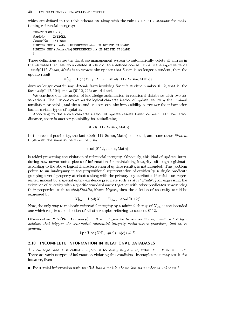which are defined in the table schema  $att$  along with the rule  $ON$  DELETE CASCADE for maintaining referential integrity:

```
CREATE TABLE att(
StudNo INTEGER,
CourseNo INTEGER, FOREIGN KEY (StudNo) REFERENCES stud ON DELETE CASCADE
FOREIGN KEY (CourseNo) REFERENCES crs ON DELETE CASCADE
)
```
These definitions cause the database management system to automatically delete all entries in the att table that refer to a deleted student or to a deleted course. Thus, if the input sentence  $\neg$ stud (0112; Susan; Math) is to express the update that Susan is no longer a student, then the update result

 $X'_{\text{Uni}} = \text{Upd}(X_{\text{Uni}} : \Sigma_{\text{Uni}}, \neg \text{stud}(0112, \text{Susan}, \text{Math}))$ 

does no longer contain any *Attends* facts involving Susan's student number 0112, that is, the facts  $att(0112, 104)$  and  $att(0112, 223)$  are deleted.

We conclude our discussion of knowledge assimilation in relational databases with two observations. The first one concerns the logical characterization of update results by the minimal mutilation principle, and the second one concerns the impossibility to recover the information lost in certain types of updates.

According to the above characterization of update results based on minimal information distance, there is another possibility for assimilating

 $\neg$ stud $(0112, S$ usan, Math)

In this second possibility, the fact  $stud(0112, Susan, Math)$  is deleted, and some other *Student* tuple with the same student number, say

$$
{\rm stud}(0112,{\rm James},{\rm Math})
$$

is added preventing the violation of referential integrity. Obviously, this kind of update, introducing new unwarranted pieces of information for maintaining integrity, although legitimate according to the above logical characterization of update results, is not intended. This problem points to an inadequacy in the propositional representation of entities by a single predicate grouping several property attributes along with the primary key attribute. If entities are represented instead by a special entity existence predicate such as  $stud(StudNo)$  for expressing the existence of an entity with a specific standard name together with other predicates representing their properties, such as  $stud(StudNo, Name, Major)$ , then the deletion of an entity would be expressed by

$$
X'_{\text{Uni}} = \textsf{Upd}(X_{\text{Uni}} : \Sigma_{\text{Uni}}, \neg \text{stud}(0112))
$$

Now, the only way to maintain referential integrity by a minimal change of  $X_{\text{Uni}}$  is the intended one which requires the deletion of all other tuples referring to student 0112.

**Observation 2.5 (No Recovery)** It is not possible to recover the information lost by a deletion that triggers the automated referential integrity maintenance procedure, that is, in general,

$$
Upd(Upd(X:\Sigma,\neg p(c)), p(c)) \neq X
$$

### 2.10 INCOMPLETE INFORMATION IN RELATIONAL DATABASES

A knowledge base X is called *complete*, if for every if-query F, either  $X \vdash F$  or  $X \vdash \neg F$ . There are various types of information violating this condition. Incompleteness may result, for instance, from

Existential information such as 'Bob has a mobile phone, but its number is unknown.'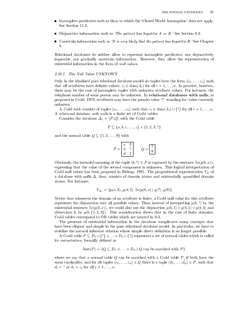- Incomplete predicates such as *likes*, to which the 'Closed-World Assumption' does not apply. See Section 11.3.
- Disjunctive information such as *'The patient has hepatitis A or B.'* See Section 9.3.
- **Uncertain information such as** 'It is very likely that the patient has hepatitis B. 'See Chapter 8.

Relational databases do neither allow to represent incomplete predicates, nor disjunctively imprecise, nor gradually uncertain information. However, they allow the representation of existential information in the form of *null values*.

#### 2.10.1 The Null Value UNKNOWN

Only in the idealized pure relational database model do tuples have the form  $\langle c_1,\ldots,c_n \rangle$  such that all attributes have definite values:  $c_i \in \text{dom}(A_i)$  for all  $i = 1, \ldots, n$ . In practice, however, there may be the case of incomplete tuples with unknown attribute values. For instance, the telephone number of some person may be unknown. In relational databases with nulls, as proposed in Codd, 1979, attributes may have the pseudo-value `?' standing for `value currently unknown'.

A Codd table consists of tuples  $\langle c_1,\ldots,c_n \rangle$  such that  $c_i \in \text{dom}(A_i) \cup \{? \}$  for all  $i = 1,\ldots,n$ . A relational database with nulls is a finite set of Codd tables.

Consider the database  $\Delta_1 = \langle P, Q \rangle$  with the Codd table<br> $P \subset \{a, b, c, \dots, z\} \times \{1, 2, 3, ?\}$ 

$$
P \subseteq \{a, b, c, ..., z\} \times \{1, 2, 3, ?\}
$$

and the normal table  $Q \subseteq \{1, 2, \ldots, 9\}$  with

$$
P = \begin{bmatrix} a & 3 \\ b & ? \\ d & 2 \end{bmatrix} \qquad Q = \begin{bmatrix} 7 \\ 9 \end{bmatrix}
$$

Obviously, the intended meaning of the tuple  $\langle b, ? \rangle \in P$  is captured by the sentence  $\exists x(p(b, x))$ , expressing that the value of the second component is unknown. This logical interpretation of Codd null values has been proposed in Biskup, 1981. The propositional representation  $Y_{\Delta}$  of a database with nulls  $\Delta$ , thus, consists of domain atoms and existentially quantified domain atoms. For instance,

$$
Y_{\Delta_1} = \{p(a,3), p(d,2), \exists x(p(b,x)), q(7), q(9)\}
$$

Notice that whenever the domain of an attribute is finite, a Codd null value for this attribute represents the disjunction over all possible values. Thus, instead of interpreting  $p(b,?)$  by the existential sentence  $\exists x (p(b, x))$ , we could also use the disjunction  $p(b, 1) \vee p(b, 2) \vee p(b, 3)$  and abbreviate it by  $p(b, \{1, 2, 3\})$ . This consideration shows that in the case of finite domains, Codd tables correspond to OR tables which are treated in 9.3.

The presence of existential information in the database complicates many concepts that have been elegant and simple in the pure relational database model. In particular, we have to redefine the natural inference relation whose simple direct definition is no longer possible. we been elegant and simple in the pure relational database model. In particular, we have to<br>lefine the natural inference relation whose simple direct definition is no longer possible.<br>A Codd table  $P \subseteq D_1 \cup \{? \} \times \ldots \times D_n \$ 

its *instantiation*, formally defined as

$$
Inst(P) = \{Q \subseteq D_1 \times \ldots \times D_n | Q \text{ can be matched with } P\}
$$

where we say that a normal table  $Q$  can be matched with a Codd table  $P$ , if both have the same cardinality, and for all tuples  $\langle c_1,\ldots,c_n \rangle \in Q$  there is a tuple  $\langle d_1,\ldots,d_n \rangle \in P$ , such that  $d_i = ?$  or  $d_i = c_i$  for all  $i = 1, \ldots, n$ .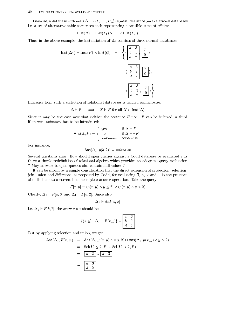Likewise, a database with nulls  $\Delta = \langle P_1, \ldots, P_m \rangle$  represents a set of pure relational databases, i.e. a set of alternative table sequences each representing a possible state of affairs:

$$
Inst(\Delta) = Inst(P_1) \times \ldots \times Inst(P_m)
$$

Thus, in the above example, the instantiation of  $\Delta_1$  consists of three normal databases:

$$
Inst(\Delta_1) = Inst(P) \times Inst(Q) = \begin{Bmatrix} \langle \begin{bmatrix} a & 3 \\ b & 1 \\ d & 2 \end{bmatrix}, \begin{bmatrix} 7 \\ 9 \\ 1 \end{bmatrix} \rangle, \\ \langle \begin{bmatrix} a & 3 \\ b & 2 \\ d & 2 \end{bmatrix}, \begin{bmatrix} 7 \\ 9 \\ 1 \end{bmatrix} \rangle, \\ \langle \begin{bmatrix} a & 3 \\ b & 2 \\ d & 2 \end{bmatrix}, \begin{bmatrix} 7 \\ 9 \\ 9 \end{bmatrix} \rangle \end{Bmatrix}
$$

Inference from such a collection of relational databases is defined elementwise:

$$
\Delta \vdash F \quad :\Longleftrightarrow \quad X \vdash F \text{ for all } X \in \text{Inst}(\Delta)
$$

Since it may be the case now that neither the sentence F nor  $\neg F$  can be inferred, a third if-answer, unknown, has to be introduced:

Ans(
$$
\Delta
$$
,  $F$ ) =  $\begin{cases} \n\text{yes} & \text{if } \Delta \vdash F \\ \n\text{no} & \text{if } \Delta \vdash \neg F \\ \n\text{unknown} & \text{otherwise} \n\end{cases}$ 

For instance,

$$
Ans(\Delta_1, p(b, 2)) = unknown
$$

Several questions arise. How should open queries against a Codd database be evaluated ? Is there a simple redefinition of relational algebra which provides an adequate query evaluation ? May answers to open queries also contain null values ?

It can be shown by a simple consideration that the direct extension of projection, selection, join, union and difference, as proposed by Codd, for evaluating  $\exists$ ,  $\wedge$ ,  $\vee$  and  $\neg$  in the presence of nulls leads to a correct but incomplete answer operation. Take the query

$$
F[x, y] \equiv (p(x, y) \land y \le 2) \lor (p(x, y) \land y > 2)
$$

Clearly,  $\Delta_1 \sqsubset F |a, b|$  and  $\Delta_1 \sqsubset F |a, z|$ . Since also

Since also  

$$
\Delta_1 \vdash \exists x F[b, x]
$$

i.e.  $\Delta_1 \vdash F[b, ?]$ , the answer set should be

$$
\{\langle x, y \rangle \mid \Delta_1 \vdash F[x, y]\} = \begin{bmatrix} a & 3 \\ b & ? \\ d & 2 \end{bmatrix}
$$

But by applying selection and union, we get

$$
Ans(\Delta_1, F[x, y]) = Ans(\Delta_1, p(x, y) \land y \le 2) \cup Ans(\Delta_1, p(x, y) \land y > 2)
$$
  
= Sel(\$2 \le 2, P)  $\cup$  Sel(\$2 > 2, P)  
=  $\frac{d}{d} 2 \cup \frac{a}{d} 3$   
=  $\frac{a}{d} 3$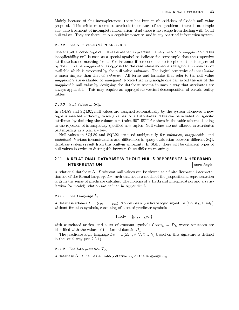Mainly because of this incompleteness, there has been much criticism of Codd's null value proposal. This criticism seems to overlook the nature of the problem: there is no simple adequate treatment of incomplete information. And there is no escape from dealing with Codd null values. They are there  $-$  in our cognitive practice, and in any practical information system.

#### 2.10.2 The Null Value INAPPLICABLE

There is yet another type of null value needed in practice, namely *'attribute inapplicable'*. This inapplicability null is used as a special symbol to indicate for some tuple that the respective attribute has no meaning for it. For instance, if someone has no telephone, this is expressed by the null value inapplicable, as opposed to the case where someone's telephone number is not available which is expressed by the null value unknown. The logical semantics of inapplicable is much simpler than that of unknown. All terms and formulas that refer to the null value *inapplicable* are evaluated to *undefined*. Notice that in principle one can avoid the use of the inapplicable null value by designing the database schema in such a way that attributes are always applicable. This may require an appropriate vertical decomposition of certain entity tables.

#### 2.10.3 Null Values in SQL

In SQL89 and SQL92, null values are assigned automatically by the system whenever a new tuple is inserted without providing values for all attributes. This can be avoided for specific attributes by declaring the column constraint NOT NULL for them in the table schema, leading to the rejection of incompletely specied new tuples. Null values are not allowed in attributes participating in a primary key.

Null values in SQL89 and SQL92 are used ambiguously for unknown, inapplicable, and undefined. Various inconsistencies and differences in query evaluation between different  $SQL$ database systems result from this built-in ambiguity. In SQL3, there will be different types of null values in order to distinguish between these different meanings.

# 2.11 A RELATIONAL DATABASE WITHOUT NULLS REPRESENTS A HERBRAND  $\vert$  **INTERPRETATION**  $\vert$  pure  $\lambda$ ogic

A relational database  $\Delta : \Sigma$  without null values can be viewed as a finite Herbrand interpretation  $\mathcal{I}_\Delta$  of the formal language  $L_\Sigma$ , such that  $\mathcal{I}_\Delta$  is a model of the propositional representation of  $\Delta$  in the sense of predicate calculus. The notions of a Herbrand interpretation and a satisfaction (or model) relation are defined in Appendix A.

#### 2.11.1 The Language  $L_{\Sigma}$

A database schema  $\Sigma = \langle \langle p_1, \ldots, p_m \rangle, IC \rangle$  defines a predicate logic signature  $\langle Const_\Sigma, Pred_\Sigma \rangle$ without function symbols, consisting of a set of predicate symbols

$$
\operatorname{Pred}_{\Sigma} = \{p_1, \ldots, p_m\}
$$

with associated arities, and a set of constant symbols Const $\Sigma = D_{\Sigma}$  where constants are identified with the values of the formal domain  $D_{\Sigma}$ .

The predicate logic language  $L_{\Sigma} = L(\Sigma; \neg, \wedge, \vee, \supset \exists, \forall)$  based on this signature is defined in the usual way (see 2.3.1).

#### 2.11.2 The Interpretation  $\mathcal{I}_{\Delta}$

A database  $\Delta : \Sigma$  defines an interpretation  $\mathcal{I}_{\Delta}$  of the language  $L_{\Sigma}$ .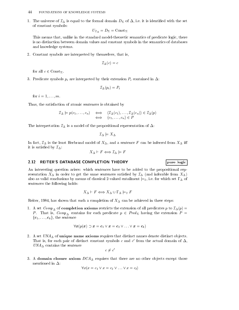#### 44 FOUNDATIONS OF KNOWLEDGE SYSTEMS

1. The universe of  $\mathcal{I}_{\Delta}$  is equal to the formal domain  $D_{\Sigma}$  of  $\Delta$ , i.e. it is identified with the set of constant symbols:

$$
U_{\mathcal{I}_\Delta} = D_\Sigma = \textrm{Const}_\Sigma
$$

This means that, unlike in the standard model-theoretic semantics of predicate logic, there is no distinction between domain values and constant symbols in the semantics of databases and knowledge systems.

2. Constant symbols are interpreted by themselves, that is,

$$
{\cal I}_\Delta(c)=c
$$

for all  $c \in$  Consts.

3. Predicate symbols  $p_i$  are interpreted by their extension  $P_i$  contained in  $\Delta$ :

$$
\mathcal{I}_\Delta(p_i)=P_i
$$

for  $i = 1, \ldots, m$ .

Thus, the satisfaction of atomic sentences is obtained by

$$
\mathcal{I}_{\Delta} \models p(c_1, \ldots, c_n) \quad \Longleftrightarrow \quad \langle \mathcal{I}_{\Delta}(c_1), \ldots, \mathcal{I}_{\Delta}(c_n) \rangle \in \mathcal{I}_{\Delta}(p) \n \Longleftrightarrow \quad \langle c_1, \ldots, c_n \rangle \in P
$$

The interpretation  $\mathcal{I}_{\Delta}$  is a model of the propositional representation of  $\Delta$ :

$$
\mathcal{I}_\Delta\models X_\Delta
$$

In fact,  $\mathcal{I}_{\Delta}$  is the least Herbrand model of  $X_{\Delta}$ , and a sentence F can be inferred from  $X_{\Delta}$  iff<br>it is satisfied by  $\mathcal{I}_{\Delta}$ :<br> $X_{\Delta} \vdash F \Longleftrightarrow \mathcal{I}_{\Delta} \models F$ 

$$
X_{\Delta} \vdash F \Longleftrightarrow \mathcal{I}_{\Delta} \models F
$$

#### 2.12 REITER'S DATABASE COMPLETION THEORY  $|$  pure  $\lambda$ ogic

An interesting question arises: which sentences have to be added to the propositional representation  $X_{\Delta}$  in order to get the same sentences satisfied by  $\mathcal{I}_{\Delta}$  (and inferable from  $X_{\Delta}$ ) also as valid conclusions by means of classical 2-valued entailment  $\models_2$ , i.e. for which set  $\Gamma_{\Delta}$  of sentences the following holds:

$$
X_{\Delta} \vdash F \Longleftrightarrow X_{\Delta} \cup \Gamma_{\Delta} \models_2 F
$$

Reiter, 1984, has shown that such a completion of  $X_{\Delta}$  can be achieved in three steps:

1. A set  $Comp_{\Delta}$  of **completion axioms** restricts the extension of all predicates p to  $\mathcal{I}_{\Delta}(p)$  = P. That is,  $Comp_{\Delta}$  contains for each predicate  $p \in Pred_{\Sigma}$  having the extension  $P =$  ${c_1,\ldots,c_k}$ , the sentence

$$
\forall \pmb{x}(p(\pmb{x}) \supset \pmb{x} = \pmb{c}_1 \vee \pmb{x} = \pmb{c}_2 \vee \ldots \vee \pmb{x} = \pmb{c}_k)
$$

2. A set  $UNA_{\Delta}$  of unique name axioms requires that distinct names denote distinct objects. That is, for each pair of distinct constant symbols c and c from the actual domain of  $\Delta$ ,  $UNA_{\Delta}$  contains the sentence

$$
c \neq c'
$$

3. A domain closure axiom  $DCA_{\Delta}$  requires that there are no other objects except those mentioned in  $\Delta$ :

$$
\forall x (x = c_1 \lor x = c_2 \lor \dots \lor x = c_l)
$$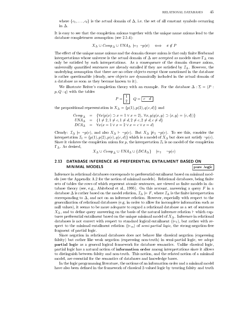where  $\{c_1,\ldots,c_l\}$  is the actual domain of  $\Delta$ , i.e. the set of all constant symbols occurring in  $\Delta$ .

It is easy to see that the completion axioms together with the unique name axioms lead to the database completeness assumption (see 2.5.4):

$$
X_\Delta \cup \textit{Comp}_\Delta \cup \textit{UNA}_\Delta \models_2 \neg p(\textbf{c}) \quad \Longleftrightarrow \quad \textbf{c} \not\in P
$$

The effect of the unique name axioms and the domain closure axiom is that only finite Herbrand interpretations whose universe is the actual domain of  $\Delta$  are accepted as models since  $\Gamma_{\Delta}$  can only be satised by such interpretations. As a consequence of the domain closure axiom, universally quantified sentences are already entailed if they are satisfied by  $\mathcal{I}_{\Delta}$ . However, the underlying assumption that there are no other ob jects except those mentioned in the database is rather questionable (clearly, new objects are dynamically included in the actual domain of a database as soon as they become known to it).

We illustrate Reiter's completion theory with an example. For the database  $\Delta : \Sigma = \langle P : P \rangle$  $p, Q : q$  with the tables

$$
P = \begin{bmatrix} 1 \\ 2 \end{bmatrix} \quad Q = \begin{bmatrix} c & d \end{bmatrix}
$$

the propositional representation is  $A_\Delta = \{p(1), p(2), q(c, a)\}\;$  and

itional representation is 
$$
X_{\Delta} = \{p(1), p(2), q(c, d)\}\)
$$
 and  
\n
$$
Comp_{\Delta} = \{ \forall x(p(x) \supset x = 1 \lor x = 2), \forall x, y(q(x, y) \supset \langle x, y \rangle = \langle c, d \rangle) \}
$$
\n
$$
UNA_{\Delta} = \{1 \neq 2, 1 \neq c, 1 \neq d, 2 \neq c, 2 \neq d, c \neq d \}
$$
\n
$$
DCA_{\Delta} = \forall x(x = 1 \lor x = 2 \lor x = c \lor x = d)
$$

Clearly:  $\mathcal{I}_{\Delta} \models \neg p(c)$ , and also  $X_{\Delta} \vdash \neg p(c)$ . But  $X_{\Delta} \not\models_2 \neg p(c)$ . To see this, consider the interpretation  $\mathcal{I}_1 = \{p(1), p(2), p(c), q(c, d)\}\$  which is a model of  $X_\Delta$  but does not satisfy  $\neg p(c)$ . Since it violates the completion axiom for p, the interpretation  $\mathcal{I}_1$  is no model of the completion  $\Gamma_{\Delta}$ . As desired,<br> $X_{\Delta} \cup Comp_{\Delta} \cup UNA_{\Delta} \cup \{DCA_{\Delta}\} \models_2 \neg p(c)$  $\Gamma_{\Delta}$ . As desired,

# 2.13 DATABASE INFERENCE AS PREFERENTIAL ENTAILMENT BASED ON MINIMAL MODELS  $\vert$  pure  $\lambda$  ogic

Inference in relational databases corresponds to preferential entailment based on minimal models (see the Appendix A.2 for the notion of minimal models). Relational databases, being finite sets of tables the rows of which represent atomic sentences, are viewed as finite models in database theory (see, e.g., Abiteboul et al., 1995). On this account, answering a query  $F$  in a database  $\Delta$  is rather based on the model relation,  $\mathcal{I}_{\Delta} \models F$ , where  $\mathcal{I}_{\Delta}$  is the finite interpretation corresponding to  $\Delta$ , and not on an inference relation. However, especially with respect to the generalization of relational databases (e.g. in order to allow for incomplete information such as null values), it seems to be more adequate to regard a relational database as a set of sentences  $X_{\Delta}$ , and to define query answering on the basis of the natural inference relation  $\vdash$  which captures preferential entailment based on the unique minimal model of  $X_{\Delta}$ . Inference in relational databases is not correct with respect to standard logical entailment  $(=_2)$ , but rather with respect to the minimal entailment relation  $\left(\equiv_{m}\right)$  of semi-partial logic, the strong-negation-free fragment of partial logic.

Since negation in relational databases does not behave like classical negation (expressing falsity) but rather like weak negation (expressing non-truth) in semi-partial logic, we adopt partial logic as a general logical framework for database semantics. Unlike classical logic, partial logic has a natural notion of information order among interpretations since it allows to distinguish between falsity and non-truth. This notion, and the related notion of a minimal model, are essential for the semantics of databases and knowledge bases.

In the logic programming literature, the notions of an information order and a minimal model have also been defined in the framework of classical 2-valued logic by treating falsity and truth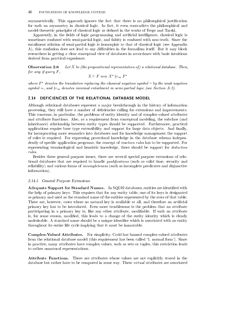asymmetrically. This approach ignores the fact that there is no philosophical justification for such an asymmetry in classical logic. In fact, it even contradicts the philosophical and model-theoretic principles of classical logic as dened in the works of Frege and Tarski.

Apparently, in the fields of logic programming and artificial intelligence, classical logic is sometimes confused with semi-partial logic, and falsity is confused with non-truth. Since the entailment relation of semi-partial logic is isomorphic to that of classical logic (see Appendix A), this confusion does not lead to any difficulties in the formalism itself. But it may block researchers in getting a clear conceptual view of databases in accordance with basic intuitions derived from practical experience.

**Observation 2.6** Let X be (the propositional representation of) a relational database. Then, for any if-query  $F$ ,

$$
X \vdash F \Longleftrightarrow X^* \models_m F^*
$$

where  $F^*$  denotes the translation replacing the classical negation symbol  $\neg$  by the weak negation symbol  $\sim$ , and  $\models_m$  denotes minimal entailment in semi-partial logic (see Section A.2).

Although relational databases represent a ma jor breakthrough in the history of information processing, they still have a number of deficiencies calling for extensions and improvements. This concerns, in particular, the problems of entity identity and of complex-valued attributes and attribute functions. Also, as a requirement from conceptual modeling, the subclass (and inheritance) relationship between entity types should be supported. Furthermore, practical applications require base type extensibility and support for large data objects. And finally, for incorporating more semantics into databases and for knowledge management the support of rules is required. For expressing procedural knowledge in the database schema independently of specific application programs, the concept of *reaction rules* has to be supported. For representing terminological and heuristic knowledge, there should be support for deduction rules.

Besides these general purpose issues, there are several special purpose extensions of relational databases that are required to handle *qualifications* (such as valid time, security and reliability) and various forms of incompleteness (such as incomplete predicates and disjunctive information).

### 2.14.1 General Purpose Extensions

Adequate Support for Standard Names. In SQL92 databases, entities are identied with the help of primary keys. This requires that for any entity table, one of its keys is designated as primary and used as the standard name of the entities represented by the rows of that table. There are, however, cases where no natural key is available at all, and therefore an artificial primary key has to be introduced. Even more troublesome is the problem that an attribute participating in a primary key is, like any other attribute, modiable. If such an attribute is, for some reason, modied, this leads to a change of the entity identity which is clearly undesirable. A standard name should be a unique identifier which is associated with an entity throughout its entire life cycle implying that it must be immutable.

Complex-Valued Attributes. For simplicity, Codd has banned complex-valued attributes from the relational database model (this requirement has been called `1. normal form'). Since in practice, many attributes have complex values, such as sets or tuples, this restriction leads to rather unnatural representations.

Attribute Functions. There are attributes whose values are not explicitly stored in the database but rather have to be computed in some way. These virtual attributes are associated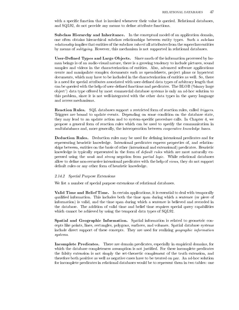with a specific function that is invoked whenever their value is queried. Relational databases, and SQL92, do not provide any means to define attribute functions.

Subclass Hierarchy and Inheritance. In the conceptual model of an application domain, one often obtains hierarchical subclass relationships between entity types. Such a subclass relationship implies that entities of the subclass inherit all attributes from the superclass entities by means of subtyping. However, this mechanism is not supported in relational databases.

User-Defined Types and Large Objects. Since much of the information processed by human beings is of an audio-visual nature, there is a growing tendency to include pictures, sound samples and videos in the characterization of entities. Also, advanced software applications create and manipulate complex documents such as spreadsheets, project plans or hypertext documents, which may have to be included in the characterization of entities as well. So, there is a need for special attributes associated with user-dened data types of arbitrary length that can be queried with the help of user-defined functions and predicates. The BLOB ('binary large object') data type offered by most commercial database systems is only an ad-hoc solution to this problem, since it is not well-integrated with the other data types in the query language

Reaction Rules. SQL databases support a restricted form of reaction rules, called triggers. Triggers are bound to update events. Depending on some condition on the database state, they may lead to an update action and to system-specic procedure calls. In Chapter 4, we propose a general form of reaction rules which can be used to specify the communication in multidatabases and, more generally, the interoperation between *cooperative knowledge bases*.

**Deduction Rules.** Deduction rules may be used for defining intensional predicates and for representing heuristic knowledge. Intensional predicates express properties of, and relationships between, entities on the basis of other (intensional and extensional) predicates. Heuristic knowledge is typically represented in the form of default rules which are most naturally expressed using the weak and strong negation from partial logic. While relational databases allow to define non-recursive intensional predicates with the help of views, they do not support default rules or any other form of heuristic knowledge.

#### 2.14.2 Special Purpose Extensions

We list a number of special purpose extensions of relational databases.

Valid Time and Belief Time. In certain applications, it is essential to deal with temporally qualied information. This includes both the time span during which a sentence (or piece of information) is valid, and the time span during which a sentence is believed and recorded in the database. The addition of valid time and belief time requires special query capabilities which cannot be achieved by using the temporal data types of SQL92.

Spatial and Geographic Information. Spatial information is related to geometric concepts like points, lines, rectangles, polygons, surfaces, and volumes. Spatial database systems include direct support of these concepts. They are used for realizing *geographic information* systems.

Incomplete Predicates. There are domain predicates, especially in empirical domains, for which the database completeness assumption is not justified. For these incomplete predicates the falsity extension is not simply the set-theoretic complement of the truth extension, and therefore both positive as well as negative cases have to be treated on par. An ad-hoc solution for incomplete predicates in relational databases would be to represent them in two tables: one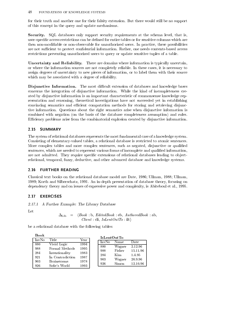### 48 FOUNDATIONS OF KNOWLEDGE SYSTEMS

for their truth and another one for their falsity extension. But there would still be no support of this concept in the query and update mechanisms.

Security. SQL databases only support security requirements at the schema level, that is, user-specific access restrictions can be defined for entire tables or for sensitive columns which are then non-modiable or non-observable for unauthorized users. In practice, these possibilities are not sufficient to protect confidential information. Rather, one needs contents-based access restrictions preventing unauthorized users to query or update sensitive tuples of a table.

Uncertainty and Reliability. There are domains where information is typically uncertain, or where the information sources are not completely reliable. In these cases, it is necessary to assign degrees of uncertainty to new pieces of information, or to label them with their source which may be associated with a degree of reliability.

Disjunctive Information. The most difficult extension of databases and knowledge bases concerns the integration of disjunctive information. While the kind of incompleteness created by disjunctive information is an important characteristic of commonsense knowledge representation and reasoning, theoretical investigations have not succeeded yet in establishing convincing semantics and efficient computation methods for storing and retrieving disjunctive information. Questions about the right semantics arise when disjunctive information is combined with negation (on the basis of the database completeness assumption) and rules. Efficiency problems arise from the combinatorial explosion created by disjunctive information.

## 2.15 SUMMARY

The system of relational databases represents the most fundamental case of a knowledge system. Consisting of elementary-valued tables, a relational database is restricted to atomic sentences. More complex tables and more complex sentences, such as negated, disjunctive or qualied sentences, which are needed to represent various forms of incomplete and qualified information, are not admitted. They require specific extensions of relational databases leading to objectrelational, temporal, fuzzy, deductive, and other advanced database and knowledge systems.

### $2.16$ **FURTHER READING**

Classical text books on the relational database model are Date, 1986; Ullman, 1988; Ullman, 1989; Korth and Silberschatz, 1991. An in-depth presentation of database theory, focusing on dependency theory and on issues of expressive power and complexity, is Abiteboul et al., 1995.

### 2.17 EXERCISES

2.17.1 A Further Example: The Library Database

Let

 $\Delta_{\text{Lib}}$  =  $\langle Book : b, \, \textit{EditedBook} : eb, \, \textit{AuthoredBook} : ab,$  $Client : \text{cli}, \; IsLentOutTo : \text{ilt}$ 

be a relational database with the following tables:

| BOOK  |                    |      | <b>IsLentOutTo</b> |        |          |
|-------|--------------------|------|--------------------|--------|----------|
| InvNo | Title              | Year | InvNo              | Name   | Date     |
| 880   | Vivid Logic        | 1994 | 880                | Wagner | 2.12.96  |
| 988   | Formal Methods     | 1995 |                    |        |          |
| 284   | Intentionality     | 1983 | 988                | Fisher | 15.11.96 |
| 921   | In Contradiction   | 1987 | 284                | Kim    | 1.4.95   |
| 903   | <b>Brainstorms</b> | 1978 | 903                | Wagner | 20.9.96  |
|       |                    | 1993 | 926                | Simon  | 12.10.96 |
| 926   | Sofie's World      |      |                    |        |          |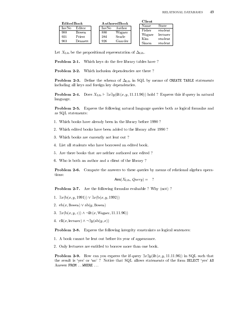Simon student

| <b>EditedBook</b> |         | <b>Authored Book</b> |        | <b>Client</b> |      |        |          |  |
|-------------------|---------|----------------------|--------|---------------|------|--------|----------|--|
| InvNo<br>Editor   |         | InvNo                | Author |               | Name | State  |          |  |
|                   |         |                      |        |               |      | Fisher | student  |  |
| 988               | Bowen   |                      | 880    | Wagner        |      |        |          |  |
| 921               | Priest  |                      | 284    | Searle        |      | Wagner | lecturer |  |
|                   |         |                      |        |               |      | Kim    | student  |  |
| 903               | Dennett |                      | 926    | Gaarder       |      | Simon  | student  |  |

Let  $X_{\text{Lib}}$  be the propositional representation of  $\Delta_{\text{Lib}}$ .

**Problem 2-1.** Which keys do the five library tables have?

Problem 2-2. Which inclusion dependencies are there ?

**Problem 2-3.** Define the schema of  $\Delta_{\text{Lib}}$  in SQL by means of CREATE TABLE statements including all keys and foreign key dependencies.

**Problem 2-4.** Does  $X_{\text{Lib}} \vdash \exists x \exists y (\text{ilt}(x, y, 11.11.96))$  hold ? Express this if-query in natural language.

Problem 2-5. Express the following natural language queries both as logical formulas and as SQL statements:

- 1. Which books have already been in the library before 1990 ?
- 2. Which edited books have been added to the library after 1990 ?
- 3. Which books are currently not lent out ?
- 4. List all students who have borrowed an edited book.
- 5. Are there books that are neither authored nor edited ?
- 6. Who is both an author and a client of the library ?

Problem 2-6. Compute the answers to these queries by means of relational algebra operations:

$$
Ans(X_{\text{Lib}},Query) = ?
$$

 $P$  -7. Are the following formulas evaluation  $P$  ,  $P$  ,  $P$  ,  $P$  ,  $P$  ,  $P$  ,  $P$  ,  $P$  ,  $P$  ,  $P$  ,  $P$  ,  $P$  ,  $P$  ,  $P$  ,  $P$  ,  $P$  ,  $P$  ,  $P$  ,  $P$  ,  $P$  ,  $P$  ,  $P$  ,  $P$  ,  $P$  ,  $P$  ,  $P$  ,  $P$  ,  $P$  ,  $P$  , **Problem 2-7.** Are the following formulas of<br>1.  $\exists x(b(x, y, 1991)) \lor \exists x(b(x, y, 1992))$ 

- 
- 2. eb $(x, \text{Bowen}) \vee \text{ab}(y, \text{Bowen})$
- 2. eb(x, Bowen)  $\lor$  ab(y, Bowen)<br>3.  $\exists x(b(x, y, z)) \land \neg \text{ilt}(x, \text{Wagner}, 11.11.96)$ ) 3.  $\exists x(b(x, y, z)) \land \neg \text{ilt}(x, \text{Wagner}, 11.11)$ <br>4. cli(x, lecturer)  $\land \neg \exists y(\text{ab}(y, x))$
- 

Problem 2-8. Express the following integrity constraints as logical sentences:

- 1. A book cannot be lent out before its year of appearance.
- 2. Only lecturers are entitled to borrow more than one book.

**Problem 2-9.** How can you express the if-query  $\exists x \exists y(\text{ilt}(x, y, 11.11.96))$  in SQL such that the result is 'yes' or 'no' ? Notice that SQL allows statements of the form SELECT 'yes' AS Answer FROM ... WHERE ...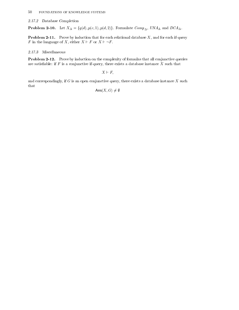### 50 FOUNDATIONS OF KNOWLEDGE SYSTEMS

### 2.17.2 Database Completion

**Problem 2-10.** Let  $X_{\Delta} = \{q(d), p(c, 1), p(d, 2)\}\$ . Formulate  $Comp_{\Delta}$ ,  $UNA_{\Delta}$  and  $DCA_{\Delta}$ .

Problem 2-11. Prove by induction that for each relational database X, and for each if-query **Problem 2-11.** Prove by induction that for each relational  $F$  in the language of  $X$ , either  $X \vdash F$  or  $X \vdash \neg F$ .

### 2.17.3 Miscellaneous

Problem 2-12. Prove by induction on the complexity of formulas that all conjunctive queries are satisfiable: if  $F$  is a conjunctive if-query, there exists a database instance  $X$  such that

 $X \vdash F$ ,

and correspondingly, if  $G$  is an open conjunctive query, there exists a database instance  $X$  such that

Ans $(X, G) \neq \emptyset$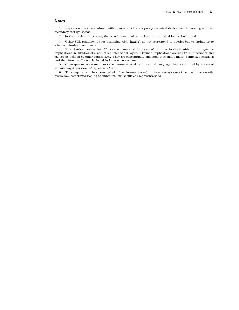### Notes

1. Keys should not be confused with indices which are a purely technical device used for sorting and fast secondary storage access.

2. In the database literature, the actual domain of a database is also called its 'active' domain.

3. Other SQL statements (not beginning with SELECT) do not correspond to queries but to update or to schema definition commands.

4. The classical connective ' $\supset'$  is called 'material implication' in order to distinguish it from genuine implications in intuitionistic and other intensional logics. Genuine implications are not truth-functional and cannot be defined by other connectives. They are conceptually and computationally highly complex operations and therefore usually not included in knowledge systems.

5. Open queries are sometimes called wh-queries since in natural language they are formed by means of the interrogatives who, what, when, where.

6. This requirement has been called `First Normal Form'. It is nowadays questioned as unnecessarily restrictive, sometimes leading to unnatural and inefficient representations.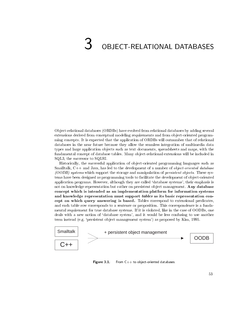# **OBJECT-RELATIONAL DATABASES** <sup>3</sup> OBJECT-RELATIONAL DATABASES

Ob ject-relational databases (ORDBs) have evolved from relational databases by adding several extensions derived from conceptual modeling requirements and from object-oriented programming concepts. It is expected that the application of ORDBs will outnumber that of relational databases in the near future because they allow the seamless integration of multimedia data types and large application objects such as text documents, spreadsheets and maps, with the fundamental concept of database tables. Many ob ject-relational extensions will be included in SQL3, the successor to SQL92.

Historically, the successful application of ob ject-oriented programming languages such as Smalltalk,  $C++$  and Java, has led to the development of a number of *object-oriented database*  $(OODB)$  systems which support the storage and manipulation of *persistent objects*. These systems have been designed as programming tools to facilitate the development of ob ject-oriented application programs. However, although they are called `database systems', their emphasis is not on knowledge representation but rather on persistent object management. Any database concept which is intended as an implementation platform for information systems and knowledge representation must support tables as its basic representation concept on which query answering is based. Tables correspond to extensional predicates, and each table row corresponds to a sentence or proposition. This correspondence is a fundamental requirement for true database systems. If it is violated, like in the case of OODBs, one deals with a new notion of 'database system', and it would be less confusing to use another term instead (e.g. `persistent ob ject management system') as proposed by Kim, 1995.



Figure  $3.1$ . From  $C++$  to object-oriented databases.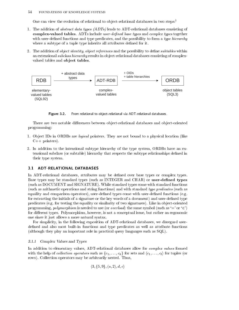### 54 FOUNDATIONS OF KNOWLEDGE SYSTEMS

One can view the evolution of relational to object-relational databases in two steps:<sup>1</sup>

- 1. The addition of *abstract data types (ADTs)* leads to ADT-relational databases consisting of complex-valued tables. ADTs include *user-defined base types* and *complex types* together with user-defined functions and type predicates, and the possibility to form a type hierarchy where a subtype of a tuple type inherits all attributes defined for it.
- 2. The addition of *object identity, object references* and the possibility to define *subtables* within an extensional *subclass hierarchy* results in object-relational databases consisting of complexvalued tables and object tables.



Figure 3.2. From relational to object-relational via ADT-relational databases.

There are two notable differences between object-relational databases and object-oriented programming:

- 1. Object IDs in ORDBs are *logical* pointers. They are not bound to a physical location (like  $C++$  pointers).
- 2. In addition to the intensional subtype hierarchy of the type system, ORDBs have an extensional subclass (or subtable) hierarchy that respects the subtype relationships dened in their type system.

### 3.1 ADT-RELATIONAL DATABASES

In ADT-relational databases, attributes may be defined over base types or complex types. Base types may be standard types (such as INTEGER and CHAR) or **user-defined types** (such as DOCUMENT and SIGNATURE). While standard types come with standard functions (such as arithmetic operations and string functions) and with standard type predicates (such as equality and comparison operators), user-defined types come with user-defined functions (e.g. for extracting the initials of a signature or the key words of a document) and user-defined type predicates (e.g. for testing the equality or similarity of two signatures). Like in object-oriented programming, *polymorphism* is needed to use (or *overload*) the same symbol (such as '=' or ' $\in$ ') for different types. Polymorphism, however, is not a conceptual issue, but rather an ergonomic one since it just allows a more natural syntax.

For simplicity, in the following exposition of ADT-relational databases, we disregard userdefined and also most built-in functions and type predicates as well as attribute functions (although they play an important role in practical query languages such as SQL).

### 3.1.1 Complex Values and Types

In addition to elementary values, ADT-relational databases allow for *complex values* formed with the help of collection operators such as  $\{c_1,\ldots,c_k\}$  for sets and  $\langle c_1,\ldots,c_l\rangle$  for tuples (or rows). Collection operators may be arbitrarily nested. Thus,

$$
\langle 3,\{5,9\},\langle a,2\rangle,d,c\rangle
$$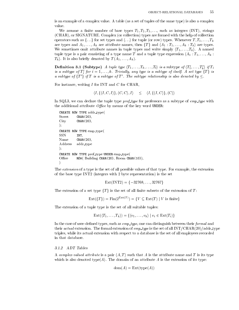is an example of a complex value. A table (as a set of tuples of the same type) is also a complex value.

We assume a finite number of base types  $T_1, T_2, T_3, \ldots$ , such as integers (INT), strings (CHAR), or SIGNATURE. Complex (or collection) types are formed with the help of collection operators such as  $\{... \}$  for set types and  $\langle... \rangle$  for tuple (or row) types. Whenever  $T, T_1, \ldots, T_k$ are types and  $A_1,\ldots,A_k$  are attribute names, then  $\{T\}$  and  $\{A_1 : T_1,\ldots,A_k : T_k\}$  are types. We sometimes omit attribute names in tuple types and write simply  $\langle T_1,\ldots,T_k\rangle$ . A named tuple type is a pair consisting of a type name T and a tuple type expression  $\langle A_1 : T_1, \ldots, A_k :$  $T_k$ ). It is also briefly denoted by  $T(A_1,\ldots,A_k)$ .

**Definition 3.1 (Subtype)** A tuple type  $\langle T_1,\ldots,T_k,\ldots,T_l\rangle$  is a subtype of  $\langle T'_1,\ldots,T'_k\rangle$  if  $T_i$ is a subtype of  $T'_i$  for  $i = 1, \ldots, k$ . Trivially, any type is a subtype of itself. A set type  $\{T\}$  is a subtype of  $\{T'\}$  if T is a subtype of T'. The subtype relationship is also denoted by  $\leq$ .

For instance, writing  $I$  for INT and  $C$  for CHAR,

$$
\langle I, \{ \langle I, C, I \rangle \}, \langle C, C \rangle, I \rangle \leq \langle I, \{ \langle I, C \rangle \}, \langle C \rangle \rangle
$$

In SQL3, we can declare the tuple type prof-type for professors as a subtype of  $emp\_type$  with the additional attribute  $\partial f \hat{h} c e$  by means of the key word UNDER:

```
CREATE ROW TYPE addr_type(
Street CHAR(20),
City CHAR(20),
);
CREATE ROW TYPE emp\_type(SSN
         INT,
Name CHAR(20),
Address addr_type
);
CREATE ROW TYPE prof_type UNDER emp\_type(Office
         ROW( Building CHAR(20), Room CHAR(10)),
)
```
The *extension* of a type is the set of all possible values of that type. For example, the extension of the base type INT2 (integers with 2 byte representation) is the set

$$
Ext(INT2) = \{-32768, \ldots, 32767\}
$$

The extension of a set type  $\{T\}$  is the set of all finite subsets of the extension of T:

 $\text{Ext}(\{T\}) = \text{Fin}(2^{\text{Ext}(T)}) = \{V \subseteq \text{Ext}(T) | V \text{ is finite}\}\$ 

The extension of a tuple type is the set of all suitable tuples:

ble type is the set of all suitable tuples:  

$$
Ext(\langle T_1, \ldots, T_k \rangle) = \{ \langle v_1, \ldots, v_k \rangle \mid v_i \in Ext(T_i) \}
$$

In the case of user-defined types, such as  $emp\_type$ , one can distinguish between their formal and their actual extension. The formal extension of  $emp\_type$  is the set of all  $INT/CHAR(20)/addr\_type$ triples, while its actual extension with respect to a database is the set of all employees recorded in that database.

### 3.1.2 ADT Tables

A complex-valued attribute is a pair  $\langle A, T \rangle$  such that A is the attribute name and T is its type which is also denoted type( $A$ ). The domain of an attribute  $A$  is the extension of its type:

$$
dom(A) = Ext(type(A))
$$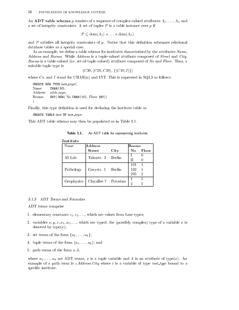An ADT table schema p consists of a sequence of complex-valued attributes  $A_1,\ldots,A_n$  and a set of integrity constraints. A set of tuples  $P$  is a table instance over  $p$  if

$$
P \subseteq \text{dom}(A_1) \times \ldots \times \text{dom}(A_n)
$$

and  $P$  satisfies all integrity constraints of  $p$ . Notice that this definition subsumes relational database tables as a special case.

As an example, we define a table schema for institutes characterized by the attributes  $Name$ , Address and Rooms. While Address is a tuple-valued attribute composed of Street and City, Rooms is a table-valued (i.e. set-of-tuple-valued) attribute composed of No and Floor. Thus, a suitable tuple type is

```
\langle C30, \langle C20, C20 \rangle, \{\langle C10, I \rangle\} \rangle
```
where  $Cn$  and I stand for CHAR(n) and INT. This is expressed in SQL3 as follows:

```
CREATE ROW TYPE inst\_type(Name CHAR(30),
Address addr type,
Rooms SET( ROW( No CHAR(10), Floor INT))
\mathbf{I} , and the set of \mathbf{I}
```
Finally, this type definition is used for declaring the institute table as

CREATE TABLE inst OF inst\_type

This ADT table schema may then be populated as in Table 3.1.

| Table 3.1 | An ADT table for representing institutes |  |
|-----------|------------------------------------------|--|
|-----------|------------------------------------------|--|

Institute

| Name       | Address             |               | Rooms          |       |
|------------|---------------------|---------------|----------------|-------|
|            | <b>Street</b>       | City          | N <sub>o</sub> | Floor |
| AI Lab     | Takustr. 3          | <b>Berlin</b> |                |       |
|            |                     |               | TΤ             |       |
|            |                     |               | 101            |       |
| Pathology  | Garystr. 1          | Berlin        | 102            |       |
|            |                     |               | 205            | 2     |
|            |                     |               |                | 5     |
| Geophysics | Clayallee 7 Potsdam |               | 2              | 5     |

### 3.1.3 ADT Terms and Formulas

ADT terms comprise

- 1. elementary constants  $c_1, c_2, \ldots$ , which are values from base types;
- 2. variables  $x, y, z, x_1, x_2, \ldots$ , which are typed; the (possibly complex) type of a variable x is denoted by type $(x)$ ;
- 3. set terms of the form  $\{u_1,\ldots,u_k\};$
- 4. tuple terms of the form  $\langle u_1,\ldots,u_k\rangle$ ; and
- 5. path terms of the form  $x.A$ ,

where  $u_1,\ldots,u_k$  are ADT terms, x is a tuple variable and A is an attribute of type(x). An example of a path term is *i. Address. City* where *i* is a variable of type *inst\_type* bound to a specific institute.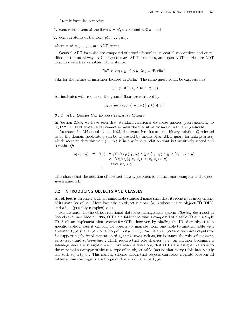Atomic formulas comprise

- 1. constraint atoms of the form  $u = u'$ ,  $u \in u'$  and  $u \subseteq u'$ ; and
- 2. domain atoms of the form  $p(u_1,\ldots,u_n)$ ,

where  $u, u', u_1, \ldots, u_n$  are ADT terms.

General ADT formulas are composed of atomic formulas, sentential connectives and quantifiers in the usual way. ADT if-queries are ADT sentences, and open ADT queries are ADT formulas with free variables. For instance,

$$
\exists y \exists z (\text{inst}(x, y, z) \land y. \text{City} = 'Berlin')
$$

asks for the names of institutes located in Berlin. The same query could be expressed as

$$
\exists y \exists z (inst(x, \langle y, 'Berlin' \rangle, z))
$$

All institutes with rooms on the ground  $\mathcal{O}(\mathcal{A})$  are retrieved by are retrieved by an are retrieved by an are retrieved by an are retrieved by an are retrieved by an are retrieved by an are retrieved by an are retri

the ground floor are retrieved by  

$$
\exists y \exists z (\text{inst}(x, y, z) \land \exists z_1 (\langle z_1, 0 \rangle \in z))
$$

### 3.1.4 ADT Queries Can Express Transitive Closure

In Section 2.5.5, we have seen that standard relational database queries (corresponding to SQL92 SELECT statements) cannot express the transitive closure of a binary predicate.

As shown in Abiteboul et al., 1995, the transitive closure of a binary relation Q referred to by the domain predicate q can be expressed by means of an ADT query formula  $p(x_1, x_2)$ which requires that the pair  $\langle x_1, x_2 \rangle$  is in any binary relation that is transitively closed and contains Q:  $p(x_1, x_2) \equiv \forall y (\forall z_1 \forall z_2 \forall z_3 (\langle z_1, z_2 \rangle \in y \land \langle z_2, z_3 \rangle \in y \supset \langle z_1, z_3 \rangle \in y))$ 

$$
p(x_1, x_2) \equiv \forall y (\forall z_1 \forall z_2 \forall z_3 (\langle z_1, z_2 \rangle \in y \land \langle z_2, z_3 \rangle \in y \supset \langle z_1, z_3 \rangle \in y)
$$
  
 
$$
\land \forall z_1 \forall z_2 (q(z_1, z_2) \supset \langle z_1, z_2 \rangle \in y)
$$
  
 
$$
\supset \langle x_1, x_2 \rangle \in y
$$

This shows that the addition of abstract data types leads to a much more complex and expressive framework.

#### $3.2$ INTRODUCING OBJECTS AND CLASSES

An object is an entity with an immutable standard name such that its identity is independent of its state (or value). More formally, an object is a pair  $\langle o, v \rangle$  where o is an object ID (OID) and v is a (possibly complex) value.

For instance, in the object-relational database management system Illustra, described in Stonebraker and Moore, 1996, OIDs are 64-bit identiers composed of a table ID and a tuple ID. Such an implementation scheme for OIDs, however, by binding the ID of an object to a specific table, makes it difficult for objects to 'migrate' from one table to another table with a related type (i.e. super- or subtype). Object migration is an important technical capability for supporting the implementation of *dynamic roles* such as, for instance, the roles of *engineer*, salesperson and salesengineer, which require that role changes (e.g., an engineer becoming a salesengineer) are straightforward. We assume therefore, that OIDs are assigned relative to the maximal supertype of the row type of an ob ject table (notice that every table has exactly one such supertype). This naming scheme allows that ob jects can freely migrate between all tables whose row type is a subtype of that maximal supertype.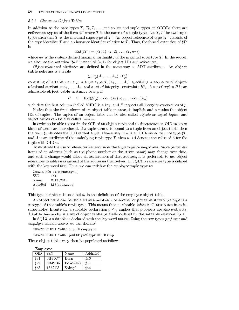### 3.2.1 Classes as Object Tables

In addition to the base types  $T_1, T_2, T_3, \ldots$  and to set and tuple types, in ORDBs there are reference types of the form  $\sharp T$  where T is the name of a tuple type. Let T, T' be two tuple types such that T is the maximal supertype of T'. An object reference of type  $\sharp T'$  consists of the type identifier T and an instance identifier relative to T. Thus, the formal extension of  $\sharp T'$ is

$$
Ext(\sharp T') = \{ \langle T, 1 \rangle, \langle T, 2 \rangle, \dots, \langle T, n_T \rangle \}
$$

where  $n<sub>T</sub>$  is the system-defined maximal cardinality of the maximal supertype T. In the sequel, we also use the notation ' $\sharp a1$ ' instead of  $\langle a, 1 \rangle$  for object IDs and references.

 $Object-relational attributes are defined in the same way as ADT attributes. An object$ table schema is a triple

$$
\langle p, T_p(A_1, \ldots, A_n), IC_p \rangle
$$

consisting of a table name p, a tuple type  $T_p(A_1,\ldots,A_n)$  specifying a sequence of objectrelational attributes  $A_1,\ldots,A_n$ , and a set of integrity constraints  $IC_p$ . A set of tuples P is an admissible object table instance over  $p$  if

$$
P \subseteq \operatorname{Ext}(\sharp T_p) \times \operatorname{dom}(A_1) \times \ldots \times \operatorname{dom}(A_n)
$$

such that the first column (called 'OID') is a key, and P respects all integrity constraints of p.

Notice that the first column of an object table instance is implicit and contains the object IDs of tuples. The tuples of an object table can be also called *objects* or *object tuples*, and ob ject tables can be also called classes.

In order to be able to obtain the OID of an object tuple and to *dereference* an OID two new kinds of terms are introduced. If a tuple term  $u$  is bound to a tuple from an object table, then the term  $\sharp u$  denotes the OID of that tuple. Conversely, if u is an OID-valued term of type  $\sharp T$ , and A is an attribute of the underlying tuple type T, then  $u \rightarrow A$  denotes the value of A for the tuple with OID  $u$ .

To illustrate the use of references we reconsider the tuple type for employees. Since particular items of an address (such as the phone number or the street name) may change over time, and such a change would affect all occurrences of that address, it is preferable to use object references to addresses instead of the addresses themselves. In SQL3, a reference type is defined with the key word REF. Thus, we can redefine the employee tuple type as

```
CREATE ROW TYPE \text{emp\_type}(SSN
         INT.
SSN INT, Name CHAR(20),
AddrRef REF(addr type)
)
```
This type definition is used below in the definition of the employee object table.

An object table can be declared as a **subtable** of another object table if its tuple type is a subtype of that table's tuple type. This means that a subtable *inherits* all attributes from its supertables. Intuitively, a subtable declaration  $p \lt q$  implies that p-objects are also q-objects. A table hierarchy is a set of object tables partially ordered by the subtable relationship  $\leq$ .

In SQL3, a subtable is declared with the key word UNDER. Using the row types  $prof\_type$  and  $emp\_type$  defined above, we can declare<sup>2</sup>

CREATE OBJECT TABLE emp OF emp\_type;

CREATE OBJECT TABLE prof OF prof type UNDER emp

These ob ject tables may then be populated as follows:

|  | <b>Employee</b> |
|--|-----------------|
|  |                 |

| OID  | SSN    | Name            | Addr Ref            |  |
|------|--------|-----------------|---------------------|--|
| e1   | 0H55C7 | Horn            | $\mu a3$            |  |
| He2  | 0B49B5 | <b>Bokowski</b> | $\lfloor a \rfloor$ |  |
| tle3 | 1S52C3 | Spiegel         | $\frac{1}{4}$       |  |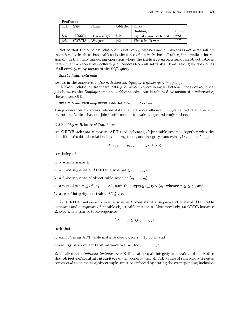| Professor      |                            |             |               |                        |      |
|----------------|----------------------------|-------------|---------------|------------------------|------|
| OID            | SSN                        | Name        | $\rm AddrRef$ | Office                 |      |
|                |                            |             |               | Building               | Room |
| He4            | $1\mathrm{H}66\mathrm{C}1$ | Hegenberger | 1a2           | Egon-Erwin-Kisch Inst. | 223  |
| $\parallel e5$ | 0W57I3                     | Wagner      | ta2           | Einstein Tower         |      |

Notice that the subclass relationship between professors and employees is not materialized extensionally in these base tables (in the sense of set inclusion). Rather, it is realized intensionally in the query answering operation where the **inclusive extension** of an object table is determined by recursively collecting all objects from all subtables. Thus, asking for the names of all employees by means of the SQL query

### SELECT Name FROM emp

results in the answer set  ${Horn, Bokowski, Spiegel, Hegenberger, Wagner}.$ 

Unlike in relational databases, asking for all employees living in Potsdam does not require a join between the *Employee* and the *Address* tables, but is achieved by means of dereferencing the address OID:

SELECT Name FROM emp WHERE  $\text{AddrRef-} > \text{City} = \text{`Potsdam'}$ 

Using references to access related data may be more efficiently implemented than the join operation. Notice that the join is still needed to evaluate general conjunctions.

### 3.2.2 Ob ject-Relational Databases

An **ORDB** schema comprises ADT table schemas, object table schemas together with the definition of subtable relationships among them, and integrity constraints, i.e. it is a 5-tuple

$$
\langle \Sigma, \langle p_1, \ldots, p_k; q_1, \ldots, q_l \rangle, \leq, I\mathcal{C} \rangle
$$

consisting of

- 1. a schema name  $\Sigma$ ,
- 2. a finite sequence of ADT table schemas  $\langle p_1, \ldots, p_k \rangle$ .
- 3. a finite sequence of object table schemas  $\langle q_1, \ldots, q_l \rangle$ ,
- 4. a partial order  $\leq$  of  $\{q_1,\ldots,q_l\}$ , such that  $type(q_i) \leq type(q_j)$  whenever  $q_i \leq q_j$ , and
- 5. a set of integrity constraints  $IC \subseteq L_{\Sigma}$ .

An ORDB instance  $\Delta$  over a schema  $\Sigma$  consists of a sequence of suitable ADT table instances and a sequence of suitable object table instances. More precisely, an ORDB instance  $\Delta$  over  $\Sigma$  is a pair of table sequences

$$
\langle P_1,\ldots,P_k;Q_1,\ldots,Q_l\rangle
$$

such that

- 1. each  $P_i$  is an ADT table instance over  $p_i$ , for  $i = 1, \ldots, k$ , and
- 2. each  $Q_j$  is an object table instance over  $q_j$ , for  $j = 1, \ldots, l$ .

 $\Delta$  is called an *admissible instance* over  $\Sigma$  if it satisfies all integrity constraints of  $\Sigma$ . Notice that object-referential integrity, i.e. the property that all OID values of reference attributes correspond to an existing ob ject tuple, must be enforced by stating the corresponding inclusion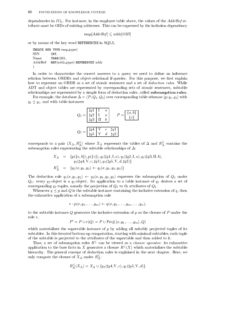dependencies in  $IC_{\Sigma}$ . For instance, in the employee table above, the values of the AddrRef attribute must be OIDs of existing addresses. This can be expressed by the inclusion dependency

$$
emp[AddrRef] \subseteq addr[OLD]
$$

or by means of the key word REFERENCES in SQL3,

```
CREATE ROW TYPE \text{emp\_type}(SSN INT,
Name CHAR(20),
AddrRef REF(addr type) REFERENCES addr
\mathbf{I} , and the set of \mathbf{I}
```
In order to characterize the correct answers to a query we need to define an inference relation between ORDBs and object-relational if-queries. For this purpose, we first explain how to represent an ORDB as a set of atomic sentences and a set of *deduction rules*. While ADT and object tables are represented by corresponding sets of atomic sentences, subtable relationships are represented by a simple form of deduction rules, called subsumption rules.

For example, the database  $\Delta = \langle P; Q_1, Q_2 \rangle$  over corresponding table schemas  $\langle p; q_1, q_2 \rangle$  with  $q_2 \leq q_1$ , and with table instances



corresponds to a pair  $\langle X_\Delta, K_{\overline \Delta} \rangle$  where  $X_\Delta$  represents the tables of  $\Delta$  and  $R_{\overline \Delta}$  contains the subsumption rules representing the subtable relationships of  $\Delta$ :

$$
X_{\Delta} = \{p(\{a,b\}), p(\{c\}), q_1(\sharp q_1, I, a), q_1(\sharp q_2, I, a), q_1(\sharp q_3, II, b),q_2(\sharp q_4, V, c, \sharp q_1), q_2(\sharp q_5, V, d, \sharp q_2)\}
$$
  

$$
R_{\Delta}^{\leq} = \{q_1(x, y_1, y_2) \leftarrow q_2(x, y_1, y_2, y_3)\}
$$

The deduction rule  $q_1(x, y_1, y_2) \leftarrow q_2(x, y_1, y_2, y_3)$  expresses the subsumption of  $Q_2$  under  $Q_1$ : every  $q_2$ -object is a  $q_1$ -object. Its application to a table instance of  $q_2$  derives a set of corresponding  $q_1$ -tuples, namely the projection of  $Q_2$  to th attributes of  $Q_1$ .

Whenever  $q \leq p$  and Q is the subtable instance containing the inclusive extension of q, then the exhaustive application of a subsumption rule

$$
r: p(x, y_1, \ldots, y_m) \leftarrow q(x, y_1, \ldots, y_m, \ldots, y_n),
$$

to the subtable instance  $Q$  generates the inclusive extension of  $p$  as the closure of  $P$  under the rule r,

$$
P' = P \cup r(Q) = P \cup \mathrm{Proj}(\langle x, y_1, \ldots, y_m \rangle, Q)
$$

which materializes the supertable instance of  $p$  by adding all suitably projected tuples of its subtables. In this iterated bottom-up computation, starting with minimal subtables, each tuple of the subtable is projected to the attributes of the supertable and then added to it.

I mus, a set of subsumption rules  $R<sup>+</sup>$  can be viewed as a *closure operator*: its exhaustive application to the base facts in  $\Lambda$  generates a closure  $R-(\Lambda)$  which materializes the subtable hierarchy. The general concept of deduction rules is explained in the next chapter. Here, we only compute the closure of  $\Lambda_\Delta$  under  $R^-_\Delta$ :

e of 
$$
X_{\Delta}
$$
 under  $R_{\Delta}^{\leq}$ :  
\n
$$
R_{\Delta}^{\leq}(X_{\Delta}) = X_{\Delta} \cup \{q_1(\sharp q_4, V, c), q_1(\sharp q_5, V, d)\}
$$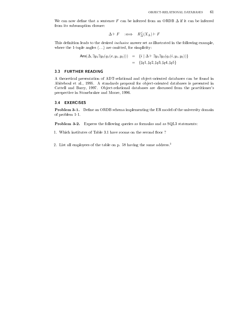We can now define that a sentence F can be inferred from an ORDB  $\Delta$  if it can be inferred from its subsumption closure:

$$
\Delta \vdash F \quad :\Longleftrightarrow \quad R^{\leq}_\Delta(X_\Delta) \vdash F
$$

This definition leads to the desired *inclusive* answer set as illustrated in the following example, where the 1-tuple angles  $\langle \ldots \rangle$  are omitted, for simplicity:<br>
Ans $(\Delta, \exists y_1 \exists y_2(q_1(x, y_1, y_2))) = \{i \mid \Delta \vdash \exists y_1 \exists y_2(q_1(i, y_1, y_2))\}$ 

Ans(
$$
\Delta
$$
,  $\exists y_1 \exists y_2 (q_1(x, y_1, y_2))$ ) = { $i | \Delta \vdash \exists y_1 \exists y_2 (q_1(i, y_1, y_2))$ }  
= { $\sharp q_1, \sharp q_2, \sharp q_3, \sharp q_4, \sharp q_5$ }

### 3.3 FURTHER READING

A theoretical presentation of ADT-relational and ob ject-oriented databases can be found in Abiteboul et al., 1995. A standards proposal for object-oriented databases is presented in Cattell and Barry, 1997. Object-relational databases are discussed from the practitioner's perspective in Stonebraker and Moore, 1996.

### 3.4 EXERCISES

Problem 3-1. Define an ORDB schema implementing the ER model of the university domain of problem 1-1.

Problem 3-2. Express the following queries as formulas and as SQL3 statements:

- 1. Which institutes of Table 3.1 have rooms on the second floor?
- 2. List all employees of the table on p. 58 having the same address.<sup>3</sup>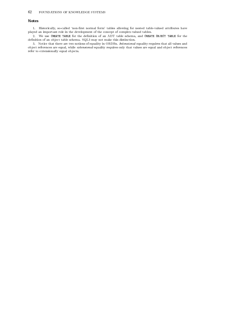### 62 FOUNDATIONS OF KNOWLEDGE SYSTEMS

### Notes

1. Historically, so-called 'non-first normal form' tables allowing for nested table-valued attributes have played an important role in the development of the concept of complex-valued tables.

2. We use CREATE TABLE for the definition of an ADT table schema, and CREATE OBJECT TABLE for the definition of an object table schema. SQL3 may not make this distinction.

3. Notice that there are two notions of equality in ORDBs. Intensional equality requires that all values and object references are equal, while extensional equality requires only that values are equal and object references refer to extensionally equal objects.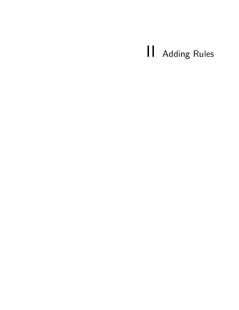II Adding Rules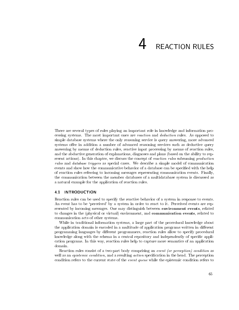# **REACTION RULES**

There are several types of rules playing an important role in knowledge and information processing systems. The most important ones are reaction and deduction rules. As opposed to simple database systems where the only reasoning service is query answering, more advanced systems offer in addition a number of advanced reasoning services such as deductive query answering by means of deduction rules, reactive input processing by means of reaction rules, and the abductive generation of explanations, diagnoses and plans (based on the ability to represent actions). In this chapter, we discuss the concept of *reaction rules* subsuming *production* rules and database triggers as special cases. We describe a simple model of communication events and show how the communicative behavior of a database can be specified with the help of reaction rules referring to incoming messages representing communication events. Finally, the communication between the member databases of a multidatabase system is discussed as a natural example for the application of reaction rules.

### 4.1 INTRODUCTION

Reaction rules can be used to specify the reactive behavior of a system in response to events. An event has to be 'perceived' by a system in order to react to it. Perceived events are represented by incoming messages. One may distinguish between environment events, related to changes in the (physical or virtual) environment, and communication events, related to communication acts of other systems.

While in traditional information systems, a large part of the procedural knowledge about the application domain is encoded in a multitude of application programs written in different programming languages by different programmers, reaction rules allow to specify procedural knowledge along with the schema in a central repository and independently of specic application programs. In this way, reaction rules help to capture more semantics of an application domain.

Reaction rules consist of a two-part body comprising an event (or perception) condition as<br>well as an epistemic condition, and a resulting action specification in the head. The perception condition refers to the current state of the event queue while the epistemic condition refers to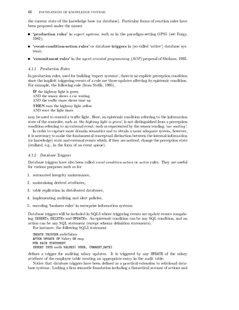the current state of the knowledge base (or database). Particular forms of reaction rules have been proposed under the names

- **•** 'production rules' in expert systems, such as in the paradigm-setting OPS5 (see Forgy, 1982);
- 'event-condition-action rules' or database triggers in (so-called 'active') database systems;
- **Commitment rules'** in the *agent-oriented programming (AOP)* proposal of Shoham, 1993.

### 4.1.1 Production Rules

In production rules, used for building 'expert systems', there is no explicit perception condition since the implicit triggering events of a rule are those updates affecting its epistemic condition. For example, the following rule (from Stefik, 1995),

IF the highway light is green AND the sensor shows a car waiting AND the traffic timer shows time up THEN turn the highway light yellow AND start the light timer

may be used to control a traffic light. Here, an epistemic condition referring to the information state of the controler, such as *'the highway light is green'*, is not distinguished from a perception condition referring to an external event, such as represented by the sensor reading 'car waiting'.

In order to capture more domain semantics and to obtain a more adequate system, however, it is necessary to make the fundamental conceptual distinction between the internal information (or knowledge) state and external events which, if they are noticed, change the perception state (realized, e.g., in the form of an event queue).

### 4.1.2 Database Triggers

Database triggers have also been called *event-condition-action* or *active* rules. They are useful for various purposes such as for

- 1. automated integrity maintenance,
- 2. maintaining derived attributes,
- 3. table replication in distributed databases,
- 4. implementing auditing and alert policies,
- 5. encoding `business rules' in enterprise information systems.

Database triggers will be included in SQL3 where triggering events are update events comprising INSERTs, DELETEs and UPDATEs. An epistemic condition can be any SQL condition, and an action can be any SQL statement (except schema definition statements).

For instance, the following SQL3 statement

```
CREATE TRIGGER auditSalary
AFTER UPDATE OF Salary ON emp
FOR EACH STATEMENT
INSERT INTO audit VALUES( USER, CURRENT DATE)
```
defines a trigger for auditing salary updates. It is triggered by any UPDATE of the salary attribute of the employee table creating an appropriate entry in the audit table.

Notice that database triggers have been defined as a practical extension to relational database systems. Lacking a firm semantic foundation including a theoretical account of actions and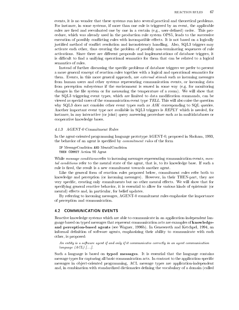events, it is no wonder that these systems run into several practical and theoretical problems. For instance, in some systems, if more than one rule is triggered by an event, the applicable rules are fired and reevaluated one by one in a certain (e.g., user-defined) order. This procedure, which was already used in the production rule system OPS5, leads to the successive execution of possibly conflicting rules with incompatible effects. It is not based on a logically justified method of conflict resolution and inconsistency handling. Also, SQL3 triggers may activate each other, thus creating the problem of possibly non-terminating sequences of rule activations. Since there are different proposals and implementations of database triggers, it is difficult to find a unifying operational semantics for them that can be related to a logical semantics of rules.

Instead of further discussing the specific problems of database triggers we prefer to present a more general concept of reaction rules together with a logical and operational semantics for them. Events, in this more general approach, are *external stimuli* such as incoming messages from human users and other systems representing communication events, or incoming data from perception subsystems if the environment is sensed in some way (e.g. for monitoring changes in the file system or for measuring the temperature of a room). We will show that the SQL3 triggering event types, which are limited to data modification commands, can be viewed as special cases of the communication event type TELL. This will also raise the question why SQL3 does not consider other event types such as ASK corresponding to SQL queries. Another important event type not available in SQL3 triggers is REPLY which is needed, for instance, in any interactive (or joint) query answering procedure such as in multidatabases or cooperative knowledge bases.

### 4.1.3 AGENT-0 Commitment Rules

In the agent-oriented programming language prototype AGENT-0, proposed in Shoham, 1993, the behavior of an agent is specified by *commitment rules* of the form

```
IF MessageCondition AND MentalCondition
THEN COMMIT Action TO Agent
```
While *message conditions* refer to incoming messages representing communication events, *men*tal conditions refer to the mental state of the agent, that is, to its knowledge base. If such a rule is fired, the result is a new commitment towards another agent.

Like the general form of reaction rules proposed below, commitment rules refer both to knowledge and perception (or incoming messages). However, in their THEN-part, they are very specific, creating only commitments but no other mental effects. We will show that for specifying general reactive behavior, it is essential to allow for various kinds of epistemic (or mental) effects and, in particular, for belief updates.

By referring to incoming messages, AGENT-0 commitment rules emphasize the importance of perception and communication.

#### 4.2 COMMUNICATION EVENTS 4.2

Reactive knowledge systems which are able to communicate in an application-independent language based on typed messages that represent communication acts are examples of knowledgeand perception-based agents (see Wagner, 1996b). In Genesereth and Ketchpel, 1994, an informal definition of software agents, emphasizing their ability to communicate with each other, is proposed:

An entity is a software agent if and only if it communicates correctly in an agent communication language  $(ACL)$   $[...]$ .

Such a language is based on typed messages. It is essential that the language contains message types for capturing all basic communication acts. In contrast to the application-specific messages in ob ject-oriented programming, ACL message types are application-independent and, in combination with standardized dictionaries defining the vocabulary of a domain (called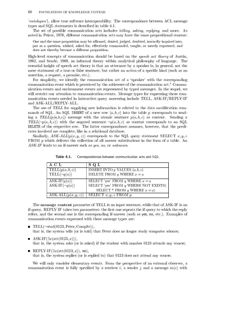`ontologies'), allow true software interoperability. The correspondence between ACL message types and SQL statements is described in table 4.1.

The set of possible communication acts includes *telling, asking, replying*, and more. As noted in Peirce, 1976, different communication acts may have the same propositional content:

One and the same proposition may be affirmed, denied, judged, doubted, inwardly inquired into, put as a question, wished, asked for, effectively commanded, taught, or merely expressed, and does not thereby become a different proposition.

High-level concepts of communication should be based on the *speech act theory* of Austin, 1962, and Searle, 1969, an informal theory within analytical philosophy of language. The essential insight of speech act theory is that an utterance by a speaker is, in general, not the mere statement of a true or false sentence, but rather an *action* of a specific kind (such as an assertion, a request, a promise, etc.).

For simplicity, we identify the communication act of a 'speaker' with the corresponding communication event which is perceived by the addressee of the communication act.<sup>1</sup> Communication events and environment events are represented by typed messages. In the sequel, we will restrict our attention to communication events. Message types for expressing those communication events needed in interactive query answering include TELL, ASK-IF/REPLY-IF and ASK-ALL/REPLY-ALL.

The use of TELL for supplying new information is related to the data modification commands of SQL. An SQL INSERT of a new row  $\langle a, b, c \rangle$  into the table p corresponds to sending a  $TEL(p(a,b,c))$  message with the atomic sentence  $p(a,b,c)$  as content. Sending a TELL( $\neg p(a, b, c)$ ) with the negated sentence  $\neg p(a, b, c)$  as content corresponds to an SQL DELETE of the respective row. The latter correspondence assumes, however, that the predicates involved are complete, like in a relational database.

Similarly,  $ASK-LL(p(x, y, z))$  corresponds to the SQL query statement SELECT  $x, y, z$ FROM p which delivers the collection of all answer substitutions in the form of a table. An ASK-IF leads to an if-answer such as yes, no, or unknown.

| A C L                       | S Q L                                 |
|-----------------------------|---------------------------------------|
| $\mathrm{TELL}(p(a, b, c))$ | INSERT INTO $p$ VALUES $(a, b, c)$    |
| $TELL(\neg q(a))$           | DELETE FROM $q$ WHERE $x = a$         |
| ASK-IF $(q(a))$             | SELECT 'yes' FROM q WHERE $x = a$     |
| ASK-IF $(\neg q(a))$        | SELECT 'yes' FROM q WHERE NOT EXISTS( |
|                             | SELECT * FROM q WHERE $x = a$ )       |
| ASK-ALL $(p(x, y, z))$      | SELECT $x, y, z$ FROM $p$             |

Table 4.1. Correspondences between communication acts and SQL.

The message content parameter of TELL is an input sentence, while that of ASK-IF is an if-query. REPLY-IF takes two parameters: the first one repeats the if-query to which the reply refers, and the second one is the corresponding if-answer (such as yes, no, etc.). Examples of communication events expressed with these message types are:

- $\blacksquare$  TELL( $\neg$ stud(0123, Peter, CompSc)), that is, the system tells (or is told) that Peter does no longer study computer science;
- $\blacksquare$  ASK-IF( $\exists x(\text{att}(0123, x))),$ that is, the system asks (or is asked) if the student with number 0123 attends any course;
- REPLY-IF( $\exists x(\text{att}(0123, x))$ , no), that is, the system replies (or is replied to) that 0123 does not attend any course.

We will only consider elementary events. From the perspective of an external observer, a communication event is fully specified by a receiver i, a sender j and a message  $m(c)$  with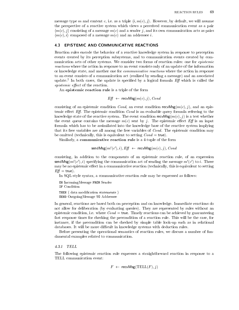message type m and content c, i.e. as a triple  $\langle i, m(c), j \rangle$ . However, by default, we will assume the perspective of a reactive system which views a perceived communication event as a pair  $\langle m(c), j \rangle$  consisting of a message  $m(c)$  and a sender j, and its own communication acts as pairs  $\langle m(c), i \rangle$  composed of a message  $m(c)$  and an addressee i.

### 4.3 EPISTEMIC AND COMMUNICATIVE REACTIONS

Reaction rules encode the behavior of a reactive knowledge system in response to perception events created by its perception subsystems, and to communication events created by com munication acts of other systems. We consider two forms of reaction rules: one for epistemic reactions where the action in response to an event consists only of an update of the information or knowledge state, and another one for communicative reactions where the action in response to an event consists of a communication act (realized by sending a message) and an associated update. In both cases, the update is specified by a logical formula  $E$  which is called the  $\sim$  $epistemic$  effect of the reaction.

An epistemic reaction rule is a triple of the form

$$
Eff \leftarrow \text{recvMsg}(m(c), j), Cond
$$

consisting of an epistemic condition Cond, an event condition recv $\mathsf{Msg}(m(c), j)$ , and an epistemic effect Eff. The epistemic condition  $Cond$  is an evaluable query formula referring to the knowledge state of the reactive system. The event condition recvMsg $(m(c), j)$  is a test whether the event queue contains the message  $m(c)$  sent by j. The epistemic effect Eff is an input formula which has to be assimilated into the knowledge base of the reactive system implying that its free variables are all among the free variables of Cond. The epistemic condition may be omitted (technically, this is equivalent to setting  $Cond = true$ ).

Similarly, a communicative reaction rule is a 4-tuple of the form

$$
\mathsf{sendMsg}(m'(c'), i), \mathit{Eff} \leftarrow \mathsf{recvMsg}(m(c), j), \mathit{Cond}
$$

consisting, in addition to the components of an epistemic reaction rule, of an expression sendivisg(m  $(c_1, i)$  specifying the communication act of sending the message  $m$  (c) to  $i$ . There may be no epistemic effect in a communicative reaction (technically, this is equivalent to setting  $\mathit{Eff}\,$  = true).

In SQL-style syntax, a communicative reaction rule may be expressed as follows:

ON IncomingMessage FROM Sender

IF Condition

THEN  $\langle$  data modification statements  $\rangle$ SEND OutgoingMessage TO Addressee

In general, reactions are based both on perception and on knowledge. Immediate reactions do not allow for deliberation (by evaluating queries). They are represented by rules without an epistemic condition, i.e. where  $Cond =$  true. Timely reactions can be achieved by guaranteeing fast response times for checking the precondition of a reaction rule. This will be the case, for instance, if the precondition can be checked by simple table look-up such as in relational databases. It will be more difficult in knowledge systems with deduction rules.

Before presenting the operational semantics of reaction rules, we discuss a number of fundamental examples related to communication.

4.3.1 TELL

The following epistemic reaction rule expresses a straightforward reaction in response to a TELL communication event:

 $F \leftarrow \text{recvMsg}(\text{TELL}(F), j)$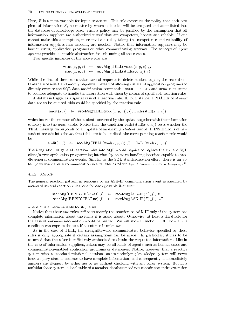Here,  $F$  is a meta-variable for input sentences. This rule expresses the policy that each new piece of information  $F$ , no matter by whom it is told, will be accepted and assimilated into the database or knowledge base. Such a policy may be justied by the assumption that all information suppliers are authorized `users' that are competent, honest and reliable. If one cannot make this assumption, more involved rules, taking the competence and reliability of information suppliers into account, are needed. Notice that information suppliers may be human users, application programs or other communicating systems. The concept of agent systems provides a suitable abstraction for subsuming all these cases.

Two specific instances of the above rule are

$$
\neg \text{stud}(x, y, z) \leftarrow \text{recvMsg(TELL}(\neg \text{stud}(x, y, z)), j) \n\text{stud}(x, y, z) \leftarrow \text{recvMsg(TELL}(\text{stud}(x, y, z)), j)
$$

While the first of these rules takes care of requests to delete student tuples, the second one takes care of insert and modify requests. Instead of allowing users and application programs to directly execute the SQL data modification commands INSERT, DELETE and UPDATE, it seems to be more adequate to handle the interaction with them by means of speciable reaction rules.

A database trigger is a special case of a reaction rule. If, for instance, UPDATEs of student data are to be audited, this could be specified by the reaction rule

$$
audit(x, j) \leftarrow \text{recvMsg}(\text{TELL}(\text{stud}(x, y, z)), j), \exists u \exists v (\text{stud}(x, u, v))
$$

which inserts the number of the student concerned by the update together with the information source j into the *audit* table. Notice that the condition  $\exists u \exists v (\text{stud}(x, u, v))$  tests whether the TELL message corresponds to an update of an existing student record. If INSERTions of new student records into the *student* table are to be audited, the corresponding reaction rule would be

audit $(x, j) \leftarrow \text{recvMsg}(TELL(\text{stud}(x, y, z)), j), \neg \exists u \exists v(\text{stud}(x, u, v))$ 

The integration of general reaction rules into SQL would require to replace the current SQL client/server application programming interface by an event handling interface capable to handle general communication events. Similar to the SQL standardization effort, there is an attempt to standardize communication events: the FIPA'97 Agent Communication Language.<sup>3</sup>

### 4.3.2 ASK-IF

The general reaction pattern in response to an ASK-IF communication event is specified by means of several reaction rules, one for each possible if-answer:

$$
sendMsg(REPLY-IF(F, yes), j) \leftarrow revMsg(ASK-IF(F), j), F
$$
  

$$
sendMsg(REPLY-IF(F, no), j) \leftarrow revMsg(ASK-IF(F), j), \neg F
$$

where  $F$  is a meta-variable for if-queries

Notice that these two rules suffice to specify the reaction to ASK-IF only if the system has complete information about the items it is asked about. Otherwise, at least a third rule for the case of unknown information would be needed. We will show in section 11.3.1 how a rule condition can express the test if a sentence is unknown.

As in the case of TELL, the straightforward communicative behavior specied by these rules is only appropriate if certain assumptions can be made. In particular, it has to be assumed that the asker is sufficiently authorized to obtain the requested information. Like in the case of information suppliers, askers may be all kinds of agents such as human users and communication-enabled application programs or databases. Notice, however, that a reactive system with a standard relational database as its underlying knowledge system will never issue a query since it assumes to have complete information, and consequently, it immediately answers any if-query by either yes or no without checking with any other system. But in a multidatabase system, a local table of a member database need not contain the entire extension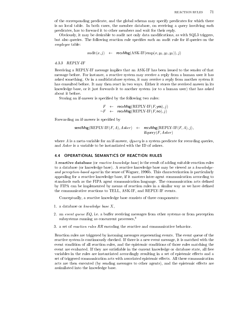of the corresponding predicate, and the global schema may specify predicates for which there is no local table. In both cases, the member database, on receiving a query involving such predicates, has to forward it to other members and wait for their reply.

Obviously, it may be desirable to audit not only data modications, as with SQL3 triggers, but also queries. The following reaction rule species such an audit rule for if-queries on the employee table:

audit $(x, j) \leftarrow$  recvMsg(ASK-IF(emp(x, y<sub>1</sub>, y<sub>2</sub>, y<sub>3</sub>)), j)

### 4.3.3 REPLY-IF

Receiving a REPLY-IF message implies that an ASK-IF has been issued to the sender of that message before. For instance, a reactive system may receive a reply from a human user it has asked something. Or in a multidatabase system, it may receive a reply from another system it has consulted before. It may then react in two ways. Either it stores the received answer in its knowledge base, or it just forwards it to another system (or to a human user) that has asked about it before.

Storing an if-answer is specified by the following two rules:

 $F \leftarrow \text{recvMsg}(\text{REPLY-IF}(F, \text{yes}), j)$  $\neg F \leftarrow \text{recvMsg}(\text{REPLY-IF}(F, \text{no}), j)$ 

Forwarding an if-answer is specified by

$$
sendMsg(REPLY-IF(F, A), Asker) \leftarrow recvMsg(REPLY-IF(F, A), j),
$$
  
ifquery(F, Asker)

where  $A$  is a meta-variable for an if-answer, *if query* is a system predicate for recording queries, and Asker is a variable to be instantiated with the ID of askers.

### 4.4 OPERATIONAL SEMANTICS OF REACTION RULES

A reactive database (or *reactive knowledge base*) is the result of adding suitable reaction rules to a database (or knowledge base). A reactive knowledge base may be viewed as a knowledgeand perception-based agent in the sense of Wagner, 1996b. This characterization is particularly appealing for a reactive knowledge base, if it masters inter-agent communication according to standards such as the FIPA agent communication language. The communication acts dened by FIPA can be implemented by means of reaction rules in a similar way as we have dened the communicative reactions to TELL, ASK-IF, and REPLY-IF events.

Conceptually, a reactive knowledge base consists of three components:

- 1. a database or knowledge base  $X$ ,
- 2. an event queue  $EQ$ , i.e. a buffer receiving messages from other systems or from perception subsystems running as concurrent processes,<sup>4</sup>
- 3. a set of reaction rules RR encoding the reactive and communicative behavior.

Reaction rules are triggered by incoming messages representing events. The event queue of the reactive system is continuously checked. If there is a new event message, it is matched with the event condition of all reaction rules, and the epistemic conditions of those rules matching the event are evaluated. If they are satisfiable in the current knowledge or database state, all free variables in the rules are instantiated accordingly resulting in a set of epistemic effects and a set of triggered communication acts with associated epistemic effects. All these communication acts are then executed (by sending messages to other agents), and the epistemic effects are assimilated into the knowledge base.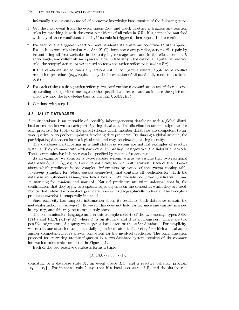### 72 FOUNDATIONS OF KNOWLEDGE SYSTEMS

Informally, the execution model of a reactive knowledge base consists of the following steps:

- 1. Get the next event from the event queue  $EQ$ , and check whether it triggers any reaction rules by matching it with the event conditions of all rules in RR. If it cannot be matched with any of these conditions, that is, if no rule is triggered, then repeat 1, else continue.
- 2. For each of the triggered reaction rules, evaluate its epistemic condition  $C$  like a query. For each answer substitution  $\sigma \in \text{Ans}(X, C)$ , form the corresponding action/effect pair by instantiating all free variables in the outgoing message term and in the effect formula  $E$ accordingly, and collect all such pairs in a candidate set (in the case of an epistemic reaction rule, the 'empty' action noAct is used to form the action/effect pair noAct/ $E\sigma$ ).

If this candidate set contains any actions with incompatible effects, apply some conflict resolution procedure (e.g., replace it by the intersection of all maximally consistent subsets of it).

- 3. For each of the resulting action/effect pairs, perform the communication act, if there is one, by sending the specified message to the specified addressee, and assimilate the epistemic effect  $E\sigma$  into the knowledge base X yielding  $\textsf{Upd}(X,E\sigma)$ .
- 4. Continue with step 1.

### 4.5 MULTIDATABASES

A multidatabase is an ensemble of (possibly inhomogeneous) databases with a global distribution schema known to each participating database. The distribution schema stipulates for each predicate (or table) of the global schema which member databases are competent to answer queries, or to perform updates, involving that predicate. By sharing a global schema, the participating databases form a logical unit and may be viewed as a single entity.

The databases participating in a multidatabase system are natural examples of reactive systems. They communicate with each other by passing messages over the links of a network. Their communicative behavior can be specied by means of reaction rules.

As an example, we consider a two-database system, where we assume that two relational databases  $\Delta_a$  and  $\Delta_b$ , e.g. of two different cities, form a multidatabase. Each of them knows about which predicates it has complete information by means of the system catalog table tanscomp (standing for *totally answer competent*) that contains all predicates for which the database completeness assumption holds locally. We consider only two predicates: r and m, standing for resident and married. Natural predicates are often *indexical*, that is, the confirmation that they apply to a specific tuple depends on the context in which they are used. Notice that while the one-place predicate resident is geographically indexical, the two-place predicate married is temporally indexical.

Since each city has complete information about its residents, both databases contain the meta-information tanscomp(r). However, this does not hold for m, since one can get married in any city, and this may be recorded only there.

The communication language used in this example consists of the two message types ASK-IF(F) and REPLY-IF(F, A), where F is an if-query and A is an if-answer. There are two possible originators of a query/message: a local user, or the other database. For simplicity, we restrict our attention to (existentially quantified) atomic if-queries, for which a database is answer competent, if it is answer competent for the involved predicate. The communication protocol for answering atomic if-queries in a two-database system consists of six common interaction rules which are listed in Figure 4.1.

Each of the two reactive databases forms a triple

$$
\langle X, EQ, \{r_1, \ldots, r_6\} \rangle,
$$

consisting of a database state  $X$ , an event queue  $EQ$ , and a reactive behavior program  ${r_1,\ldots,r_6}$ . For instance, rule 2 says that if a local user asks, if F, and the database is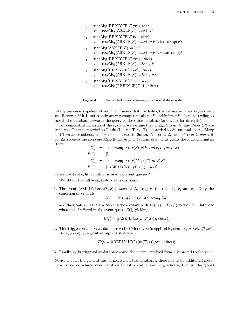$r_1$  : send Msg(REPLY-IF(F, yes), user)  $\leftarrow$  recvMsg(ASK-IF(F), user), F  $r_2$ : send Msg(REPLY-IF(F, no), user)  $\leftarrow$  recvMsg(ASK-IF(F), user),  $\neg F \wedge \text{tanscomp}(F)$  $r_3$ : send Msg(ASK-IF(F), other)  $\leftarrow$  recvMsg(ASK-IF(F), user),  $\neg F \wedge \neg \text{tanscomp}(F)$  $r_4$ : send Msg(REPLY-IF(F, yes), other)  $\leftarrow$  recvMsg(ASK-IF(F), other), F  $r_5$ : send Msg(REPLY-IF(F, no), other)  $\leftarrow$  recvMsg(ASK-IF(F), other),  $\neg F$  $r_6$ : send Msg(REPLY-IF(F, A), user)  $\leftarrow$  recvMsg(REPLY-IF(F, A), other)

Figure 4.1. Distributed query answering in a two-database system.

totally answer-competent about F and infers that  $\neg F$  holds, then it immediately replies with no. However, if it is not totally answer-competent about F and infers  $\neg F$ , then, according to rule 3, the database forwards the query to the other database (and waits for its reply).

For demonstrating a run of the system, we assume that in  $\Delta_a$ , Susan (S) and Peter (P) are residents, Peter is married to Linda (L) and Tom (T) is married to Susan; and in  $\Delta_b$ , Mary and Tom are residents, and Peter is married to Susan. A user at  $\Delta_b$  asks if Tom is married, i.e.  $\Delta_b$  receives the message ASK-IF( $\exists x(m(T,x))$ ) from user. This yields the following initial states:

$$
X_a^0 = \{\text{tanscomp}(r), r(S), r(P), m(P, L), m(T, S)\}
$$
  
\n
$$
EQ_a^0 = []
$$
  
\n
$$
X_b^0 = \{\text{tanscomp}(r), r(M), r(T), m(P, S)\}
$$
  
\n
$$
EQ_b^0 = [\langle ASK\text{-IF}(\exists x(m(T, x))), user \rangle]
$$

where the Prolog list notation is used for event queues.<sup>5</sup>

We obtain the following history of transitions:

1. The event  $\langle \text{ASK-IF}(\exists x(m(T,x))), user \rangle$  at  $\Delta_b$  triggers the rules  $r_1$ ,  $r_2$  and  $r_3$ . Only the condition of  $r_3$  holds:<br> $X_b^0 \vdash \neg \exists x(m(T,x)) \land \neg \text{tanscomp}(m)$ condition of  $r_3$  holds:

$$
X_b^0 \vdash \neg \exists x (m(T, x)) \land \neg \text{tanscomp}(m)
$$

and thus, only  $r_3$  is fired by sending the message ASK-IF( $\exists x(m(T, x))$ ) to the *other* database where it is buffered in the event queue  $EQ_a$  yielding

$$
EQ^1_a = [\langle \text{ASK-IF}(\exists x (m(T, x))), other \rangle]
$$

2. This triggers  $r_4$  and  $r_5$  at database a of which only  $r_4$  is applicable, since  $X_a^1 \vdash \exists x (m(T,x))$ . By applying  $r_4$ , a positive reply is sent to b:

$$
EQ_b^2 = [\langle \text{REPLY-IF}(\exists x (m(T,x)), \text{yes}), \text{other} \rangle]
$$

3. Finally,  $r_6$  is triggered at database b and the answer received from a is passed to the user.

Notice that in the general case of more than two databases, there has to be additional metainformation on which other database to ask about a specific predicate, that is, the global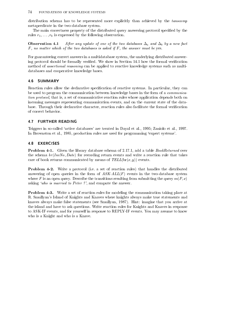distribution schema has to be represented more explicitly than achieved by the tanscomp metapredicate in the two-database system.

The main correctness property of the distributed query answering protocol specified by the rules  $r_1,\ldots,r_6$  is expressed by the following observation.

**Observation 4.1** After any update of one of the two databases  $\Delta_a$  and  $\Delta_b$  by a new fact  $F$ , no matter which of the two databases is asked if  $F$ , the answer must be yes.

For guaranteeing correct answers in a multidatabase system, the underlying distributed answering protocol should be formally verified. We show in Section 14.1 how the formal verification method of assertional reasoning can be applied to reactive knowledge systems such as multidatabases and cooperative knowledge bases.

### 4.6 SUMMARY

Reaction rules allow the declarative specification of reactive systems. In particular, they can be used to program the communication between knowledge bases in the form of a communication protocol, that is, a set of communicative reaction rules whose application depends both on incoming messages representing communication events, and on the current state of the database. Through their declarative character, reaction rules also facilitate the formal verification of correct behavior.

### 4.7 FURTHER READING

Triggers in so-called `active databases' are treated in Dayal et al., 1995; Zaniolo et al., 1997. In Brownston et al., 1985, production rules are used for programming `expert systems'.

### 4.8 EXERCISES

**Problem 4-1.** Given the library database schema of 2.17.1, add a table *BookReturned* over the schema  $br(InvNo, Date)$  for recording return events and write a reaction rule that takes care of book returns communicated by means of  $TELL(\text{br}(x, y))$  events.

Problem 4-2. Write a protocol (i.e. a set of reaction rules) that handles the distributed answering of open queries in the form of  $ASK-ALL(F)$  events in the two-database system where F is an open query. Describe the transitions resulting from submitting the query  $m(P, x)$ asking 'who is married to Peter ?', and compute the answer.

Problem 4-3. Write a set of reaction rules for modeling the communication taking place at R. Smullyan's Island of Knights and Knaves where knights always make true statements and knaves always make false statements (see Smullyan, 1987). Hint: imagine that you arrive at the island and have to ask questions. Write reaction rules for Knights and Knaves in response to ASK-IF events, and for yourself in response to REPLY-IF events. You may assume to know who is a Knight and who is a Knave.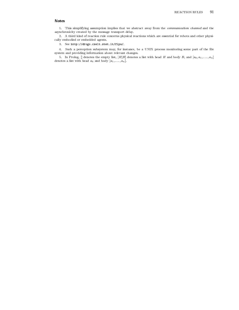### Notes

1. This simplifying assumption implies that we abstract away from the communication channel and the asynchronicity created by the message transport delay.

2. A third kind of reaction rule concerns physical reactions which are essential for robots and other physically embodied or embedded agents.

3. See http://drogo.cselt.stet.it/fipa/.

4. Such a perception subsystem may, for instance, be a UNIX process monitoring some part of the file system and providing information about relevant changes.

5. In Prolog,  $[$  denotes the empty list,  $[H|B]$  denotes a list with head H and body B, and  $[a_0, a_1, \ldots, a_n]$ denotes a list with head  $a_0$  and body  $[a_1, \ldots, a_n]$ .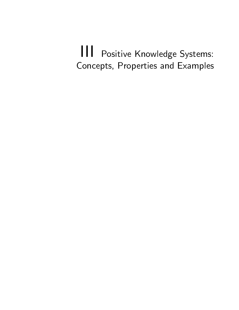III Positive Knowledge Systems: Concepts, Properties and Examples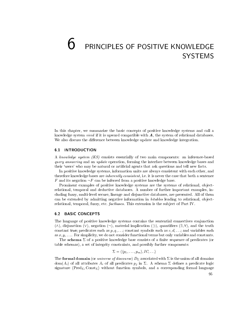# PRINCIPLES OF POSITIVE KNOWLEDGE **SYSTEMS**

In this chapter, we summarize the basic concepts of positive knowledge systems and call a knowledge system *vivid* if it is upward compatible with  $\boldsymbol{A}$ , the system of relational databases. We also discuss the difference between knowledge update and knowledge integration.

### 6.1 INTRODUCTION

A know ledge system (KS) consists essentially of two main components: an inference-based query answering and an update operation, forming the interface between knowledge bases and their 'users' who may be natural or artificial agents that ask questions and tell new facts.

In positive knowledge systems, information units are always consistent with each other, and therefore knowledge bases are inherently consistent, i.e. it is never the case that both a sentence F and its negation  $\neg F$  can be inferred from a positive knowledge base.

Prominent examples of positive knowledge systems are the systems of relational, objectrelational, temporal and deductive databases. A number of further important examples, including fuzzy, multi-level secure, lineage and disjunctive databases, are presented. All of them can be extended by admitting negative information in *bitables* leading to relational, objectrelational, temporal, fuzzy, etc. *factbases*. This extension is the subject of Part IV.

### 6.2 BASIC CONCEPTS

The language of positive knowledge systems contains the sentential connectives conjunction  $(\wedge)$ , disjunction  $(\vee)$ , negation  $(\neg)$ , material implication  $(\supset)$ , quantifiers  $(\exists, \forall)$ , and the truth constant true; predicates such as  $p, q, \ldots$ ; constant symbols such as  $c, d, \ldots$ ; and variables such as  $x, y, \ldots$  For simplicity, we do not consider functional terms but only variables and constants.

The schema  $\Sigma$  of a positive knowledge base consists of a finite sequence of predicates (or table schemas), a set of integrity constraints, and possibly further components:

$$
\Sigma = \langle \langle p_1, \ldots, p_m \rangle, IC, \ldots \rangle
$$

The formal domain (or *universe of discourse*)  $D_{\Sigma}$  associated with  $\Sigma$  is the union of all domains dom( $A_i$ ) of all attributes  $A_i$  of all predicates  $p_j$  in  $\Sigma$ . A schema  $\Sigma$  defines a predicate logic signature  $\langle Pred_{\Sigma}, Const_{\Sigma} \rangle$  without function symbols, and a corresponding formal language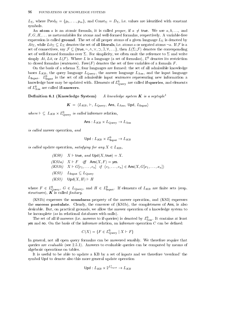$L_{\Sigma}$ , where  $\text{Pred}_{\Sigma} = \{p_1, \ldots, p_m\}$ , and  $\text{Const}_{\Sigma} = D_{\Sigma}$ , i.e. values are identified with constant symbols.

An atom a is an atomic formula, it is called *proper*, if  $a \neq$  true. We use  $a, b, \ldots$ , and  $F, G, H, \ldots$  as metavariables for atoms and well-formed formulas, respectively. A variable-free expression is called **ground**. The set of all proper atoms of a given language  $L_{\Sigma}$  is denoted by  $At_{\Sigma}$ , while  $Lit_{\Sigma} \subseteq L_{\Sigma}$  denotes the set of all **literals**, i.e. atoms a or negated atoms  $\neg a$ . If F is a set of connectives, say  $\mathcal{F} \subseteq \{\text{true}, \neg, \wedge, \vee, \supset, \exists, \forall, \dots\},\$  then  $L(\Sigma; \mathcal{F})$  denotes the corresponding set of well-formed formulas over  $\Sigma$ . For simplicity, we often omit the reference to  $\Sigma$  and write simply At, Lit, or  $L(\mathcal{F})$ . Where L is a language (a set of formulas),  $L^0$  denotes its restriction to closed formulas (sentences). Free $(F)$  denotes the set of free variables of a formula F.

On the basis of a schema  $\Sigma$ , four languages are formed: the set of all admissible knowledge  $\mathbf{h}_{\mathbf{D}}$  , the answer language LANs, and the answer language LANs, and the input language LANs, and the input language LANs, and the input language LANs, and the input language LANs, and the input language LANs, and  $L_{\rm Input}$ .  $L_{\rm Input}$  is the set of all admissible input sentences representing new information a knowledge base may be updated with. Elements of  $L_{\rm Query}$  are called **n-queries**, and elements of  $L_{\rm Ans}$  are called **ii-allswers**.

**Definition 6.1 (Knowledge System)** A knowledge system  $K$  is a septuple<sup>1</sup>

$$
\bm{K} \ = \ \langle L_{KB}, \ \vdash, \ L_{\rm Query}, \ \mathsf{Ans}, \ L_{\rm Ans}, \ \mathsf{Upd}, \ L_{\rm Input} \rangle
$$

 $K = \langle L_{KB}, \vdash, L_{\text{Query}}, \text{Ans}, L_{\text{Ans}},$ <br>where  $\vdash \subseteq L_{KB} \times L_{\text{Query}}^0$  is called inference relation,

$$
\mathsf{Ans} : L_{KB} \times L_{\mathrm{Query}} \rightarrow L_{\mathrm{Ans}}
$$

is called answer operation, and

$$
\mathsf{Upd} : L_{KB} \times L^0_{\text{Input}} \rightarrow L_{KB}
$$

is called update operation, satisfying for any  $X \in L_{KB}$ , ,

(KS0) 
$$
X \vdash
$$
 true, and  $Upd(X, true) = X$ .  
\n(KS1a)  $X \vdash F$  iff  $Ans(X, F) = yes$ .  
\n(KS1b)  $X \vdash G[c_1, ..., c_n]$  if  $\langle c_1, ..., c_n \rangle \in Ans(X, G[x_1, ..., x_n])$   
\n(KS2)  $L_{Input} \subseteq L_{Query}$   
\n(KS3)  $Upd(X, H) \vdash H$ 

where  $F \in L_{\text{Query}}$ ,  $G \in L_{\text{Query}}$ , and  $H \in L_{\text{Input}}^c$ . If elements of  $L_{KB}$  are finite sets (resp. structures),  $\boldsymbol{K}$  is called *finitary*.

(KS1b) expresses the soundness property of the answer operation, and (KS3) expresses the success postulate. Clearly, the converse of (KS1b), the completeness of Ans, is also desirable. But, on practical grounds, we allow the answer operation of a knowledge system to be incomplete (as in relational databases with nulls).

The set of all if-answers (i.e. answers to if-queries) is denoted by  $L_{\rm Ans}^*$ . It contains at least yes and no. On the basis of the inference relation, an inference operation  $C$  can be defined:

$$
C(X) = \{ F \in L^0_{\text{Query}} \mid X \vdash F \}
$$

In general, not all open query formulas can be answered sensibly. We therefore require that queries are *evaluable* (see 2.5.1). Answers to evaluable queries can be computed by means of algebraic operations on tables.

It is useful to be able to update a KB by a set of inputs and we therefore `overload' the symbol Upd to denote also this more general update operation

$$
\mathsf{Upd} : L_{KB} \times 2^{L^0_{\mathsf{Input}}} \rightarrow L_{KB}
$$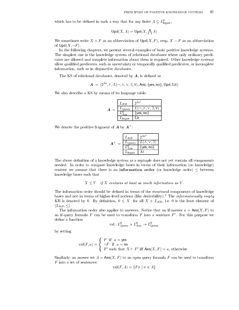which has to be defined in such a way that for any finite  $A \subseteq L_{\text{Input}}^{\cdot},$ 

$$
\mathsf{Upd}(X, A) = \mathsf{Upd}(X, \bigwedge A)
$$

We sometimes write  $X + F$  as an abbreviation of  $\text{Upd}(X, F)$ , resp.  $X - F$  as an abbreviation of  $\textsf{Upd}(X, \neg F)$ .

In the following chapters, we present several examples of basic positive knowledge systems. The simplest one is the knowledge system of relational databases where only ordinary predicates are allowed and complete information about them is required. Other knowledge systems allow qualified predicates, such as uncertainty or temporally qualified predicates, or incomplete information, such as in disjunctive databases.

The KS of relational databases, denoted by  $A$ , is defined as

$$
\bm{A}~=~\langle2^{\text{At}}, \vdash, L(\neg, \wedge, \vee, \exists, \forall), \mathsf{Ans}, \{\textsf{yes}, \textsf{no}\}, \mathsf{Upd}, \mathsf{Lit}\rangle
$$

We also describe a KS by means of its language table:

|     | $L_{KB}$           | $2^{\text{At}^0}$                        |  |
|-----|--------------------|------------------------------------------|--|
| $=$ | $L_{\rm Query}$    | $L(\neg, \wedge, \vee, \exists, \forall$ |  |
|     | Ans                | $\{yes, no\}$                            |  |
|     | $L_{\text{Input}}$ |                                          |  |

We denote the positive iragment of  $\bm{A}$  by  $\bm{A}$  :

$$
\bm{A}^+~=~\begin{array}{|c|c|} \hline L_{KB} & 2^{\text{At}^0} \\ \hline L_{\text{Query}} & L(\wedge, \vee, \exists) \\ \hline L_{\text{Ans}}^0 & \{\text{yes, no}\} \\ \hline L_{\text{Input}} & \text{At} \\\hline \end{array}
$$

The above definition of a knowledge system as a septuple does not yet contain all components needed. In order to compare knowledge bases in terms of their information (or knowledge) content we assume that there is an information order (or knowledge order)  $\leq$  between knowledge bases such that

 $X \leq Y$  if X contains at least as much information as Y.

The information order should be defined in terms of the structural components of knowledge bases and not in terms of higher-level notions (like derivability).<sup>2</sup> The *informationally empty* KB is denoted by 0. By definition,  $0 \leq A$  for all  $A \in L_{KB}$ , i.e. 0 is the least element of  $\langle LKB, \geq \rangle$ .

The information order also applies to answers. Notice that an if-answer  $a = \text{Ans}(X, F)$  to an if-query formula F can be used to transform F into a sentence  $F'$ . For this purpose we define a function

$$
\mathrm{val} : L^0_\mathrm{Query} \times L^0_\mathrm{Ans} \to L^0_\mathrm{Query}
$$

by setting

$$
\text{val}(F, a) = \begin{cases} F \text{ if } a = \text{yes} \\ \neg F \text{ if } a = \text{no} \\ F' \text{ such that } X \vdash F' \text{ iff } \text{Ans}(X, F) = a, \text{ otherwise} \end{cases}
$$

Similarly, an answer set  $A = \text{Ans}(X, F)$  to an open query formula F can be used to transform F into a set of sentences:

$$
val(F, A) = \{ F \sigma \mid \sigma \in A \}
$$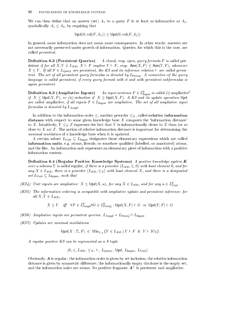We can then define that an answer (set)  $A_1$  to a query F is at least as informative as  $A_2$ , symbolically  $A_1 \leq A_2$ , by requiring that

$$
\mathsf{Upd}(0, \text{val}(F, A_1)) \leq \mathsf{Upd}(0, \text{val}(F, A_2))
$$

In general, more information does not mean more consequences. In other words: answers are not necessarily preserved under growth of information. Queries, for which this is the case, are called persistent.

**Definition 6.2 (Persistent Queries)** A closed, resp. open, query formula F is called persistent if for all  $X, Y \in L_{KB}$ ,  $X \sqsubset r$  implies  $Y \sqsubset r$ , resp. Ans $(X, F) \leq$  Ans $(Y, F)$ , whenever  $X \leq Y$ . If all  $F \in L_{\text{Query}}$  are persistent, the KS and its inference relation  $\vdash$  are called persistent. The set of all persistent query formulas is denoted by  $L_{\text{PersQ}}$ . A connective of the query language is called persistent, if every query formed with it and with persistent subformulas is again persistent.

Definition 6.3 (Ampliative Inputs)  $_{\text{Input}}$  is called (i) ampliative if  $X \leq \text{Upd}(X, F)$ , or (ii) reductive if  $X \geq \text{Upd}(X, F)$ . A KS and its update operation Upd are called ampliative, if all inputs  $F \in L_{\text{Input}}$  are ampliative. The set of all ampliative input formulas is denoted by  $L_{AmpI}$ .

In addition to the information order  $\leq$ , another preorder  $\leq_X$ , called **relative information** distance with respect to some given knowledge base  $X$  compares the 'information distance' to X. Intuitively,  $Y \leq_X Z$  expresses the fact that Y is informationally closer to X than (or as close to  $X$  as)  $Z$ . The notion of relative information distance is important for determining the minimal mutilation of a knowledge base when it is updated.

A certain subset  $L_{\text{Unit}} \subseteq L_{\text{Input}}$  designates those elementary expressions which are called information units, e.g. atoms, literals, or somehow qualified (labelled, or annotated) atoms, and the like. An information unit represents an elementary piece of information with a positive information content.

Definition 6.4 (Regular Positive Knowledge Systems) A positive knowledge system K over a schema  $\vartriangle$  is called regular, if there is a preorder  $\langle L_{KB}, \leq, 0 \rangle$  with least element 0, and for any  $\Lambda\in L_{KB},$  there is a preoraer  $\langle L_{KB}, \leq \chi\rangle$  with least element  $\Lambda$  , and there is a designated set  $L_{\text{Unit}} \subseteq L_{\text{Input}}$ , such that

- (KS4) Unit inputs are ampliative:  $X \leq \text{Upa}(X, u)$ , for any  $X \in L_{KB}$ , and for any  $u \in L_{\text{Unif}}^{\text{}}$ .
- (KS5) The information ordering is compatible with ampliative update and persistent inference: for all  $X, Y \in L_{KB}$ , ,

 $X \leq Y$  if  $Y$  is  $L_{A}$ <sub>mpi</sub>v $G \in L_{\text{PersG}}$ : Upd $(X, F) \sqsubset G$   $\Rightarrow$  Upd $(Y, F) \sqsubset G$ 

- (KS6) Ampliative inputs are persistent queries:  $L_{AmpI} = L_{\text{PersQ}} \cap L_{\text{Input}}$ .
- (KS7) Updates are minimal mutilations:

 $\textsf{Upd}(X : \Sigma, F) \in \textup{Min}_{\leq x} \{Y \in L_{KB} \mid Y \vdash F \& Y \vdash IC_{\Sigma}\}\$ 

A regular positive KS can be represented as a 9-tuple

 $\langle 0, \leq, L_{KB}, \leq_X, \vdash, L_{\text{Query}}, \mathsf{Upd}, L_{\text{Input}}, L_{\text{Unit}} \rangle$ 

Obviously,  $A$  is regular: the information order is given by set inclusion, the relative information distance is given by symmetric difference, the informationally empty database is the empty set, and the information units are atoms. Its positive fragment  $\boldsymbol{A}^+$  is persistent and ampliative.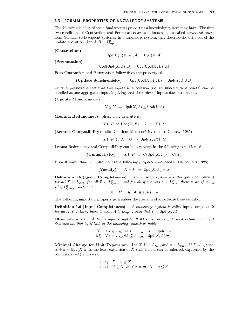### 6.3 FORMAL PROPERTIES OF KNOWLEDGE SYSTEMS

The following is a list of some fundamental properties a knowledge system may have. The first two conditions of Contraction and Permutation are well-known (as so-called structural rules) from Gentzen-style sequent systems. In a knowledge system, they describe the behavior of the update operation. Let  $A, D \subseteq L_{\text{Input}}^{\sim}$ .

(Contraction)

$$
\mathsf{Upd}(\mathsf{Upd}(X,A),A)=\mathsf{Upd}(X,A)
$$

(Permutation)

$$
\mathsf{Upd}(\mathsf{Upd}(X,A),B)=\mathsf{Upd}(\mathsf{Upd}(X,B),A)
$$

Both Contraction and Permutation follow from the property of

$$
(\textbf{Update Synchronous}) \qquad \text{Update}(X, A), B) = \text{Update}(X, A \cup B)
$$

which expresses the fact that two inputs in succession (i.e. at different time points) can be handled as one aggregated input implying that the order of inputs does not matter.

(Update Monotonicity)

$$
X \le Y \Rightarrow \mathsf{Upd}(X, A) \le \mathsf{Upd}(Y, A)
$$

(Lemma Redundancy) alias: Cut, Transitivity

$$
X \vdash F \And \mathsf{Upd}(X,F) \vdash G \;\Rightarrow\; X \vdash G
$$

(Lemma Compatibility) alias Cautious Monotonicity (due to Gabbay, 1985),

 $X \vdash F \& X \vdash G \Rightarrow \mathsf{Upd}(X,F) \vdash G$ 

Lemma Redundancy and Compatibility can be combined in the following condition of

(Cumulativity)  $X \vdash F \Rightarrow C(\text{Upd}(X, F)) = C(X)$ 

Even stronger than Cumulativity is the following property (proposed in Gärdenfors, 1988),

(Vacuity) 
$$
X \vdash F \Rightarrow \text{Upd}(X, F) = X
$$

**Definition 6.5 (Query Completeness)** A knowledge system is called query complete if for all  $\Lambda \in L_{KB}$ , for all  $F \in L_{\text{Query}}$ , and for all if-answers  $a \in L_{\text{Ans}}$ , there is an if-query  $F \in L_{\text{Query}}$ , such that

$$
X \vdash F' \quad \textit{iff} \quad \mathsf{Ans}(X, F) = a
$$

The following important property guarantees the freedom of knowledge base evolution.

**Definition 6.6 (Input Completeness)** A knowledge system is called input complete, if for an  $\Lambda, Y \in L_{KB}$ , there is some  $A \subseteq L_{Input}$ , such that  $Y = \text{Op}(A, A)$ .

**Observation 6.1** A KS is input complete iff KBs are both input constructible and input  $\emph{destructible}, \emph{that is, if both of the following conditions hold:}$ 

(i) 
$$
\forall X \in L_{KB} \exists A \subseteq L_{Input} : X = \text{Upd}(0, A)
$$
  
(ii)  $\forall X \in L_{KB} \exists A \subseteq L_{Input} : \text{Upd}(X, A) = 0$ 

Minimal Change for Unit Expansion. Let  $X, Y \in L_{KB}$ , and  $u \in L_{Unit}$ . If  $X \not\sqsubset u$ , then  $X + u = \text{Upd}(X, u)$  is the least extension of X such that u can be inferred, expressed by the conditions  $(+1)$  and  $(+2)$ :

$$
\begin{array}{ll}\n\text{(+1)} & X + u \ge X \\
\text{(+2)} & Y \ge X \& Y \vdash u \Rightarrow X + u \le Y\n\end{array}
$$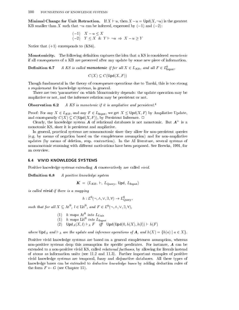Minimal Change for Unit Retraction. If  $X \vdash u$ , then  $X - u = \bigcup \text{pd}(X, \neg u)$  is the greatest KB smaller than X such that  $\neg u$  can be inferred, expressed by (-1) and (-2):

$$
(-1) \quad X - u \le X
$$
  

$$
(-2) \quad Y \le X \quad \& \quad Y \vdash \neg u \implies X - u \ge Y
$$

Notice that  $(+1)$  corresponds to  $(KS4)$ .

**Monotonicity.** The following definition captures the idea that a KS is considered *monotonic* if all consequences of a KB are preserved after any update by some new piece of information.

**Definition 6.7** A KS is called **monotonic** if for all  $X \in L_{KB}$ , and all  $F \in L_{\text{Input}}^c$ ,

$$
C(X) \subseteq C(\mathsf{Upd}(X,F))
$$

Though fundamental in the theory of consequence operations due to Tarski, this is too strong a requirement for knowledge systems, in general.

There are two 'parameters' on which Monotonicity depends: the update operation may be ampliative or not, and the inference relation may be persistent or not.

**Observation 6.2** A KS is monotonic if it is ampliative and persistent.<sup>4</sup>

Proof: For any  $\Lambda \in L_{KB}$ , and any  $F \in L_{Input}$ , we get  $\Lambda \leq \text{Upq}(\Lambda, F)$  by Amphative Update, and consequently  $C(X) \subseteq C(\text{Upd}(X, F))$ , by Persistent Inference.  $\Box$ 

Clearly, the knowledge system  $\bm A$  of relational databases is not monotonic. But  $\bm A^+$  is a monotonic KS, since it is persistent and ampliative.

In general, practical systems are nonmonotonic since they allow for non-persistent queries (e.g. by means of negation based on the completeness assumption) and for non-ampliative updates (by means of deletion, resp. contraction). In the AI literature, several systems of nonmonotonic reasoning with different motivations have been proposed. See Brewka, 1991, for an overview.

#### $6.4$

Positive knowledge systems extending  $A$  conservatively are called *vivid*.

Definition 6.8 A positive knowledge system

 $\mathbf{A}$  =  $\langle LKB, \sqsubset, L_{\text{Querv}}, \text{Upa}, L_{\text{Input}} \rangle$ 

is called **vivid** if there is a mapping

$$
h: L^0(\neg, \wedge, \vee, \exists, \forall) \to L^0_{\text{Query}},
$$

such that for all  $\Lambda \subseteq {\rm At}^-, l \in {\rm Lit}^-,$  and  $F \in L^{\circ}(\neg, \wedge, \vee, \exists, \triangledown),$ 

- (1) h maps At  $into$   $L_{\text{Unit}}$
- (1) h maps Lit into  $L_{\text{Input}}$
- $(2)$  Upd $_A(X, t) \sqsubset_A F$  iff Upd(Upd(0,  $h(X), h(t)) \sqsubset h(F)$

where  $\text{Upd}_A$  and  $\vdash_A$  are the update and inference operations of **A**, and  $h(X) = \{h(a) \mid a \in X\}$ .

Positive vivid knowledge systems are based on a general completeness assumption, whereas non-positive systems drop this assumption for specific predicates. For instance,  $\boldsymbol{A}$  can be extended to a non-positive vivid KS, called relational factbases, by allowing for literals instead of atoms as information units (see 11.2 and 11.3). Further important examples of positive vivid knowledge systems are temporal, fuzzy and disjunctive databases. All these types of knowledge bases can be extended to *deductive knowledge bases* by adding deduction rules of the form  $F \leftarrow G$  (see Chapter 15).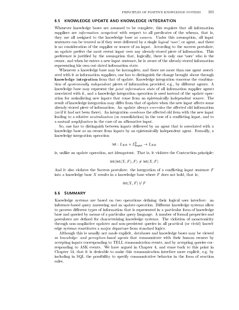#### 6.5 KNOWLEDGE UPDATE AND KNOWLEDGE INTEGRATION

Whenever knowledge bases are assumed to be complete, this requires that all information suppliers are *information competent* with respect to all predicates of the schema, that is, they are all assigned to the knowledge base as owners. Under this assumption, all input sentences can be treated as if they were delivered by a single *logical 'user'*, or agent, and there is no consideration of the supplier or source of an input. According to the success postulate, an update prefers the most recent input over any already-stored piece of information. This preference is justied by the assumption that, logically, there is only one `user' who is the owner, and when he enters a new input sentence, he is aware of the already-stored information representing his own out-dated information state.

Whenever a knowledge base may be incomplete, and there are more than one agent associated with it as information suppliers, one has to distinguish the change brought about through knowledge integration from that of update. Knowledge integration concerns the combination of *epistemically independent* pieces of information provided, e.g., by different agents. A knowledge base may represent the joint information state of all information supplier agents associated with it, and a knowledge integration operation is used instead of the update operation for assimilating new inputs that come from an epistemically independent source. The result of knowledge integration may differ from that of update when the new input affects some already-stored piece of information. An update always overrides the affected old information (as if it had not been there). An integration *combines* the affected old item with the new input leading to a relative *neutralization* (or consolidation) in the case of a conflicting input, and to a mutual *amplification* in the case of an affirmative input.

So, one has to distinguish between inputs delivered by an agent that is associated with a knowledge base as an owner from inputs by an epistemically independent agent. Formally, a knowledge integration operation

$$
\mathsf{Int}: L_{KB} \times L^0_{\mathsf{Input}} \rightarrow L_{KB}
$$

is, unlike an update operation, not idempotent. That is, it violates the Contraction principle:

$$
Int(int(X, F), F) \neq Int(X, F)
$$

And it also violates the Success postulate: the integration of a conflicting input sentence  $F$ into a knowledge base  $X$  results in a knowledge base where  $F$  does not hold, that is,

$$
Int(X, F) \not\vdash F
$$

#### 66 **SUMMARY**

Knowledge systems are based on two operations defining their logical user interface: an inference-based query answering and an update operation. Different knowledge systems allow to process different types of information that is represented in a particular form of knowledge base and queried by means of a particular query language. A number of formal properties and postulates are dened for characterizing knowledge systems. The violation of monotonicity through non-ampliative updates and non-persistent queries in all practical (or vivid) knowledge systems constitutes a ma jor departure from standard logics.

Although this is usually not made explicit, databases and knowledge bases may be viewed as knowledge- and perception-based agents that communicate with their human owners by accepting inputs corresponding to TELL communication events, and by accepting queries corresponding to ASK events. We have argued in Chapter 4, and come back to this point in Chapter 14, that it is desirable to make this communication interface more explicit, e.g. by including in SQL the possibility to specify communicative behavior in the form of reaction rules.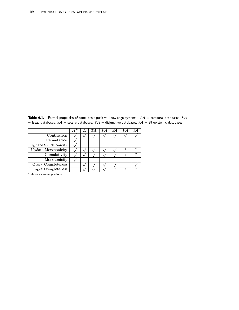$A+ A+ I A+ A+ 5A+ VA+ 5A+$  $\begin{array}{|c|c|c|c|c|c|c|c|c|}\hline & A^+ & A & TA & FA & SA & VA & 5A \ \hline \text{Contraction} & $\sqrt{\text{ }} & $\sqrt{\text{ }} & $\sqrt{\text{ }} & $\sqrt{\text{ }} & $\sqrt{\text{ }} & $\sqrt{\text{ }} & $\sqrt{\text{ }} & $\sqrt{\text{ }} & $\sqrt{\text{ }} & $\sqrt{\text{ }} & $\sqrt{\text{ }} & $\sqrt{\text{ }} & $\sqrt{\text{ }} & $\sqrt{\text{ }} & $\sqrt{\text{ }} & $\sqrt{\text{ }} & $\sqrt{\text{ }} & $\sqrt{\text{ }} & $\sqrt{\text{ }} & $\sqrt{\text{ }} & $\sqrt{\text{ }} & $\sqrt{\text{ }} & $\sqrt{\text{ }} & $\sqrt{\$ Permutation  $\sqrt{}$ Update Synchronicity  $\sqrt{}$ Update Monotonicity  $\vert \sqrt{\vert} \sqrt{\vert} \sqrt{\vert} \sqrt{\vert} \sqrt{\vert}$  ? ? ? ? Cumulativity  $\sqrt{\sqrt{\sqrt{}} \sqrt{\sqrt{}}$ ? ? Monotonicity  $\big| \sqrt$ Query Completeness  $\sqrt{\sqrt{2}} \sqrt{\sqrt{2}}$ Input Completeness  $\vert \vert \vert \sqrt{\vert} \vert \vert \sqrt{\vert} \vert \vert \vert \cdot \vert$ ? results the contract of the contract of the contract of the contract of the contract of the contract of the co

Table 6.1. Formal properties of some basic positive knowledge systems.  $TA =$  temporal databases,  $FA$  $=$  fuzzy databases,  $SA =$  secure databases,  $\mathit{VA} =$  disjunctive databases,  $5A =$  S5-epistemic databases.

? denotes open problem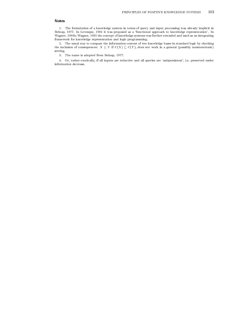#### Notes

1. The formulation of a knowledge system in terms of query and input processing was already implicit in Belnap, 1977. In Levesque, 1984 it was proposed as a 'functional approach to knowledge representation'. In Wagner, 1994b; Wagner, 1995 the concept of knowledge systems was further extended and used as an integrating framework for knowledge representation and logic programming.

2. The usual way to compare the information content of two knowledge bases in standard logic by checking the inclusion of consequences:  $X \leq Y$  if  $C(X) \subseteq C(Y)$ , does not work in a general (possibly nonmonotonic) setting.

3. The name is adopted from Belnap, 1977.

4. Or, rather exotically, if all inputs are reductive and all queries are `antipersistent', i.e. preserved under information decrease.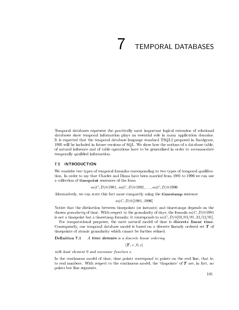# 7 TEMPORAL DATABASES DATABASES DATABASES DATA DI PERSONAL DATABASES DAN PERSONAL DAN PERSONAL DAN PERSONAL PERSONAL PERSONAL PERSONAL PERSONAL PERSONAL PERSONAL PERSONAL PERSONAL PERSONAL PERSONAL PERSONAL PERSONAL PERSONAL

Temporal databases represent the practically most important logical extension of relational databases since temporal information plays an essential role in many application domains. It is expected that the temporal database language standard TSQL2 proposed in Snodgrass, 1995 will be included in future versions of SQL. We show how the notions of a database table, of natural inference and of table operations have to be generalized in order to accommodate temporally qualied information.

#### 7.1 INTRODUCTION

We consider two types of temporal formulas corresponding to two types of temporal qualification. In order to say that Charles and Diana have been married from 1981 to 1996 we can use a collection of timepoint sentences of the form

 $m(C, D)$ @1981,  $m(C, D)$ @1982,...,  $m(C, D)$ @1996

Alternatively, we can state this fact more compactly using the timestamp sentence

 $m(C, D)$ <sup>(1981.1996)</sup>

Notice that the distinction between timepoints (or instants) and timestamps depends on the chosen granularity of time. With respect to the granularity of days, the formula  $m(C, D)$  @1981 is not a timepoint but a timestamp formula: it corresponds to  $m(C, D) \mathcal{Q}[01/01/81..31/12/81]$ .

For computational purposes, the most natural model of time is discrete linear time. Consequently, our temporal database model is based on a discrete linearly ordered set  $T$  of timepoints of atomic granularity which cannot be further refined.

Definition 7.1 A time domain is a discrete linear ordering

 $\langle \boldsymbol{T}, <, 0, s \rangle$ 

with least element 0 and successor function s.

In the continuous model of time, time points correspond to points on the real line, that is, to real numbers. With respect to the continuous model, the  $\mathfrak{t}$  timpoints' of  $\mathcal{T}$  are, in fact, no points but line segments.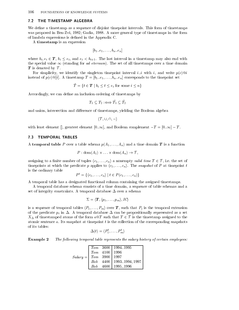#### 7.2 THE TIMESTAMP ALGEBRA

We define a timestamp as a sequence of disjoint timepoint intervals. This form of timestamps was proposed in Ben-Zvi, 1982; Gadia, 1988. A more general type of timestamps in the form of lambda expressions is defined in the Appendix C.

A timestamp is an expression

$$
[b_1..e_1,\ldots,b_n..e_n]
$$

where  $b_i, e_i \in \mathbf{T}$ ,  $b_i \leq e_i$ , and  $e_i \leq b_{i+1}$ . The last interval in a timestamp may also end with the special value  $\infty$  (standing for *ad eternum*). The set of all timestamps over a time domain **T** is denoted by  $\mathcal{T}$ .

For simplicity, we identify the singleton timepoint interval i.i with i, and write  $p(c)@i$ instead of  $p(c) \mathbb{Q}[i]$ . A timestamp  $T = [b_1..e_1,...,b_n..e_n]$  corresponds to the timepoint set

$$
T = \{ t \in T \mid b_i \le t \le e_i \text{ for some } i \le n \}
$$

Accordingly, we can define an inclusion ordering of timestamps by

$$
T_1 \subseteq T_2 \mathrel{:\!\!\iff} T_1 \subseteq T_2
$$

 $\mathcal{L}^{\mathcal{L}}$ 

and union, intersection and difference of timestamps, yielding the Boolean algebra

$$
\langle \mathcal{T}, \cup, \cap, - \rangle
$$

with least element  $[$ , greatest element  $[0..\infty]$ , and Boolean complement  $-T = [0..\infty] - T$ .

#### 7.3 TEMPORAL TABLES

A temporal table schema poral table schema possible schema poral time domain  $\mathbb{P}[\lambda]$ ..,  $A_n$ ) and a time domain<br>dom( $A_n$ )  $\rightarrow$   $\mathcal{T}$ ,

$$
P: \text{dom}(A_1) \times \ldots \times \text{dom}(A_n) \to \mathcal{T},
$$

assigning to a finite number of tuples  $\langle c_1,\ldots,c_n \rangle$  a nonempty valid time  $T \in \mathcal{T}$ , i.e. the set of timepoints at which the predicate p applies to  $\langle c_1, \ldots, c_n \rangle$ . The *snapshot* of P at timepoint t<br>is the ordinary table<br> $P^t = \{ \langle c_1, \ldots, c_n \rangle \mid t \in P(c_1, \ldots, c_n) \}$ is the ordinary table

$$
P^t = \{ \langle c_1, \ldots, c_n \rangle \mid t \in P(c_1, \ldots, c_n) \}
$$

A temporal table has a designated functional column containing the assigned timestamps.

A temporal database schema consists of a time domain, a sequence of table schemas and a set of integrity constraints. A temporal database  $\Delta$  over a schema

$$
\Sigma = \langle \bm{T}, \langle p_1, \ldots, p_m \rangle, IC \rangle
$$

is a sequence of temporal tables  $\langle P_1,\ldots,P_m \rangle$  over T, such that  $P_i$  is the temporal extension of the predicate  $p_i$  in  $\Delta$ . A temporal database  $\Delta$  can be propositionally represented as a set  $X_{\Delta}$  of timestamped atoms of the form  $a@T$  such that  $T \in \mathcal{T}$  is the timestamp assigned to the atomic sentence  $a$ . Its snapshot at timepoint  $t$  is the collection of the corresponding snapshots of its tables:

$$
\Delta(t)=\langle P_1^t,\ldots,P_m^t\rangle
$$

**Example 2** The following temporal table represents the salary history of certain employees:

|                              |                            | $Tom \quad 3600 \mid 199\overline{4.1995}$ |
|------------------------------|----------------------------|--------------------------------------------|
|                              | $Tom \quad 4100 \mid 1996$ |                                            |
| $Salary =   Tom 3900   1997$ |                            |                                            |
|                              |                            | $Bob$ 4400   19931994, 1997                |
|                              |                            | $Bob$ 4600 1995.1996                       |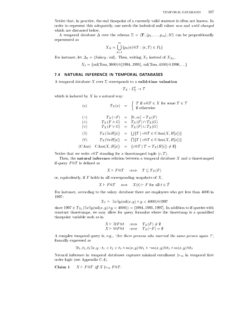Notice that, in practice, the end timepoint of a currently valid sentence is often not known. In order to represent this adequately, one needs the indexical null values now and until changed which are discussed below.

A temporal database  $\Delta$  over the schema  $\Sigma = \langle T, \langle p_1, \ldots, p_m \rangle, I\mathcal{C} \rangle$  can be propositionally represented as  $\{p_k(\boldsymbol{c})@T : \langle \boldsymbol{c}, T \rangle \in P_k\}$ 

$$
X_{\Delta} = \bigcup_{k=1}^{m} \{p_k(c) @ T : \langle c, T \rangle \in P_k \}
$$

For instance, let  $\Delta_2 = \langle S_{\alpha} \rangle$ . Then, writing  $X_2$  instead of  $X_{\Delta_2}$ ,

 $X_2 = \{ \text{sal}(\text{Tom}, 3600) \, \textcircled{a}[1994..1995], \, \text{sal}(\text{Tom}, 4100) \, \textcircled{a}[1996, \ldots] \}$ 

#### 7.4 NATURAL INFERENCE IN TEMPORAL DATABASES

A temporal database X over corresponds to a valid-time valuation a valid-time value<br> $\frac{0}{\Sigma} \rightarrow \mathcal{T}$ 

$$
T_X: L^0_\Sigma \to \mathcal{T}
$$

which is induced by  $X$  in a natural way:

ed by X in a natural way:  
\n(a) 
$$
T_X(a) = \begin{cases} T \text{ if } a@T \in X \text{ for some } T \in \mathcal{T} \\ \emptyset \text{ otherwise} \end{cases}
$$
  
\n $(\neg)$   $T_X(\neg F) = [0..\infty] - T_X(F)$   
\n $(\land)$   $T_X(F \land G) = T_X(F) \cap T_X(G)$   
\n $(\lor)$   $T_X(F \lor G) = T_X(F) \cup T_X(G)$   
\n $(\exists)$   $T_X(\exists xH[x]) = \bigcup \{T \mid c@T \in \text{CAns}(X, H[x])\}$   
\n $(\forall)$   $T_X(\forall xH[x]) = \bigcap \{T \mid c@T \in \text{CAns}(X, H[x])\}$   
\n(CAns)  $\text{CAns}(X, H[x]) = \{c@T \mid T = T_X(H[c]) \neq \emptyset\}$ 

Notice that we write  $c@T$  standing for a timestamped tuple  $\langle c, T \rangle$ .

Then, the natural inference relation between a temporal database X and a timestamped if-query  $F@T$  is defined as

$$
X \vdash F \t\t@ T \quad :\Longleftrightarrow \quad T \subseteq T_X(F)
$$

or, equivalently, if  $F$  holds in all corresponding snapshots of  $X$ ,

$$
X \vdash F \t\t@ T \iff X(t) \vdash F \t\tfor all t \in T
$$

For instance, according to the salary database there are employees who got less than 4000 in 1997:

$$
X_2 \vdash \exists x \exists y (\text{sal}(x, y) \land y < 4000) @ 1997
$$

since  $1997 \in T_{X_2}(\exists x \exists y (\text{sal}(x, y) \land y < 4000)) = [1994..1995, 1997]$ . In addition to if-queries with constant timestamps, we may allow for query formulas where the timestamp is a quantified<br>timepoint variable such as in<br> $X \vdash \exists t F @ t \iff T_X(F) \neq \emptyset$ timepoint variable such as in

$$
X \vdash \exists t F \mathbb{Q} t \quad :\iff \quad T_X(F) \neq \emptyset
$$
  

$$
X \vdash \forall t F \mathbb{Q} t \quad :\iff \quad T_X(\neg F) = \emptyset
$$

A complex temporal query is, e.g., `Are there persons who married the same person again ?', formally expressed as  $\exists t_1, t_2, t_3 \exists x, y : t_1 < t_2 < t_3 \land m(x, y) \mathbb{Q} t_1 \land \neg m(x, y) \mathbb{Q} t_2 \land m(x, y) \mathbb{Q} t_3$ 

$$
\exists t_1, t_2, t_3 \exists x, y : t_1 < t_2 < t_3 \land m(x, y) \mathcal{Q} t_1 \land \neg m(x, y) \mathcal{Q} t_2 \land m(x, y) \mathcal{Q} t_3
$$

Natural inference in temporal databases captures minimal entailment  $\mid =_m$  in temporal first order logic (see Appendix C.4).

Claim 1  $X \vdash F \mathbb{Q}T$  iff  $X \models_m F \mathbb{Q}T$ .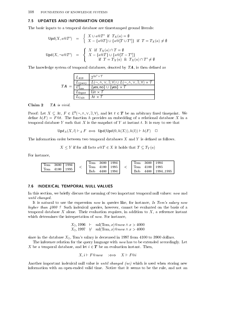#### 7.5 UPDATES AND INFORMATION ORDER

The basic inputs to a temporal database are timestamped ground literals:

$$
\begin{array}{rcl}\n\mathsf{Upd}(X, a @T') & = & \left\{ \begin{array}{lcl}\nX \cup a @T' & \text{if} & T_X(a) = \emptyset \\
X - \{a @T\} \cup \{a @[T \cup T']\} & \text{if} & T = T_X(a) \neq \emptyset\n\end{array} \right. \\
\mathsf{Upd}(X, \neg a @T') & = & \left\{ \begin{array}{lcl}\nX & \text{if} & T_X(a) \cap T = \emptyset \\
X - \{a @T\} \cup \{a @[T - T']\} \\
& \text{if} & T = T_X(a) \& T_X(a) \cap T' \neq \emptyset\n\end{array} \right. \\
\end{array}
$$

The knowledge system of temporal databases, denoted by  $TA$ , is then defined as

|        | $L_{KB}$           | $2^{\text{At}^0 \times \mathcal{T}}$                                                                      |
|--------|--------------------|-----------------------------------------------------------------------------------------------------------|
|        | $L_{\rm Query}$    | $L(\neg, \wedge, \vee, \exists, \forall) \cup L(\neg, \wedge, \vee, \exists, \forall) \times \mathcal{T}$ |
| $TA =$ | $-\Delta$ ns       | $\{yes, no\} \cup \{yes\} \times \mathcal{T}$                                                             |
|        | $L_{\text{Input}}$ | Lit $\times$ $\mathcal{T}$                                                                                |
|        | $L_{\rm Unit}$     | At $\times$ $\tau$                                                                                        |

#### Claim 2 TA is vivid.

Proof: Let  $A \subseteq A$ t,  $F \in L^1(\square, \wedge, V, \square, V)$ , and let  $t \in I$  be an arbitrary inxed timepoint. We define  $h(F) = F \mathbb{Q}t$ . The function h provides an embedding of a relational database X in a temporal database Y such that X is the snapshot of Y at instant  $t$ . It is easy to see that

 $\mathsf{Upd}_A(X, l) \vdash_A F \iff \mathsf{Upd}(\mathsf{Upd}(0, h(X)), h(l)) \vdash h(F) \quad \Box$ 

The information order between two temporal databases  $X$  and  $Y$  is defined as follows.

 $X \leq Y$  if for all facts  $a \mathscr{Q} T \in X$  it holds that  $T \subseteq T_Y(a)$ 

For instance,

Tom 3600 1994 Tom 4100 1995 <sup>&</sup>lt; Tom 3600 1994 Tom 4100 1995 Bob 4400 1994 <sup>&</sup>lt; Tom 3600 1994 Tom 4100 1995 Bob 4400 1994::1995

#### 7.6 INDEXICAL TEMPORAL NULL VALUES

In this section, we briefly discuss the meaning of two important temporal null values: now and until changed.

It is natural to use the expression now in queries like, for instance, Is Tom's salary now higher than 4000 ? Such indexical queries, however, cannot be evaluated on the basis of a temporal database X alone. Their evaluation requires, in addition to  $X$ , a reference instant which determines the interpretation of *now*. For instance,

> $\Lambda_2$ , 1990  $\Gamma$  sal(Tom, x)  $\triangle$  now  $\wedge$  x  $>$  4000  $\Lambda_2$ , 1997  $\sigma$  sal(Tom, x)@now  $\land$  x  $>$  4000

since in the database  $X_2$ , Tom's salary is decreased in 1997 from 4100 to 3900 dollars.

The inference relation for the query language with now has to be extended accordingly. Let X be a temporal database, and let  $i \in T$  be an evaluation instant. Then,

$$
X, i \vdash F@now \quad \Longleftrightarrow \quad X \vdash F@i
$$

Another important indexical null value is *until changed (uc)* which is used when storing new information with an open-ended valid time. Notice that it seems to be the rule, and not an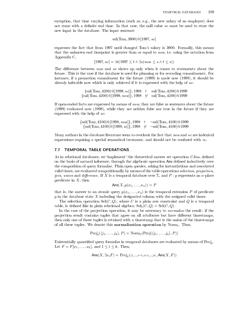exception, that time varying information (such as, e.g., the new salary of an employee) does not come with a definite end time. In that case, the null value uc must be used to store the new input in the database. The input sentence

$$
sal(Tom,3900)@[1997,uc]
$$

expresses the fact that from 1997 until changed Tom's salary is 3900. Formally, this means that the unknown end timepoint is greater than or equal to now, i.e. using the notation from Appendix C,

 $[1997, uc] = \lambda t(1997 < t \wedge \exists s(now < s \wedge t < s))$ 

The difference between now and uc shows up only when it comes to statements about the future. This is the case if the database is used for planning or for recording commitments. For instance, if a promotion commitment for the future (1999) is made now (1998), it should be already inferable now which is only achieved if it is expressed with the help of uc:

> fsal(Tom; 4200)@[1999; uc]g; 1998 ` sal(Tom; 4200)@1999  $\{sal(Tom, 4200)@[1999, now]\}, 1998 \quad \forall \quad sal(Tom, 4200)@1999$

If open-ended facts are expressed by means of now, they are false as sentences about the future (1999) evaluated now (1998), while they are neither false nor true in the future if they are expressed with the help of uc:

> $\{sal(Tom, 4100) \t@[1998, now]\}, 1998 \t~\vdash~ \neg sal(Tom, 4100) \t@1999$  $\{sal(Tom, 4100)@[1998, uc]\}, 1998 \quad \forall \quad \neg sal(Tom, 4100)@1999$

Many authors in the database literature seem to overlook the fact that now and uc are indexical expressions requiring a special semantical treatment, and should not be confused with  $\infty$ .

#### 7.7 TEMPORAL TABLE OPERATIONS

As in relational databases, we 'implement' the theoretical answer set operation  $CAns$ , defined on the basis of natural inference, through the algebraic operation Ans defined inductively over the composition of query formulas. Plain open queries, asking for instantiations and associated valid times, are evaluated compositionally by means of the table operations selection, projection, join, union and difference. If X is a temporal database over  $\Sigma$ , and P : p represents an n-place predicate in  $X$ , then

$$
Ans(X, p(x_1, \ldots, x_n)) = P
$$

that is, the answer to an atomic query  $p(x_1,\ldots,x_n)$  is the temporal extension P of predicate  $p$  in the database state  $X$  including the designated column with the assigned valid times.

The selection operation Sel $(C, Q)$ , where C is a plain row constraint and Q is a temporal table, is defined like in plain relational algebra:  $\text{Sel}_t(C, Q) = \text{Sel}(C, Q)$ .

In the case of the projection operation, it may be necessary to *normalize* the result: if the projection result contains tuples that agree on all attributes but have different timestamps, then only one of these tuples is retained with a timestamp that is the union of the timestamps of all these tuples. We denote this **normalization operation** by  $Norm_t$ . Thus,

$$
Proj_t(\langle j_1,\ldots,j_k\rangle,P)=Norm_t(Proj(\langle j_1,\ldots,j_k\rangle,P))
$$

. The contract of the contract of the contract of Problem in temporal databases are evaluated by means of  $\mathcal{C}$ Let  $F = F[x_1,\ldots,x_k]$ , and  $1 \leq i \leq k$ . Then,

$$
\mathsf{Ans}(X,\exists x_iF)=\mathsf{Proj}_t((1,\ldots,i-1,i+1,\ldots,k),\mathsf{Ans}(X,F))
$$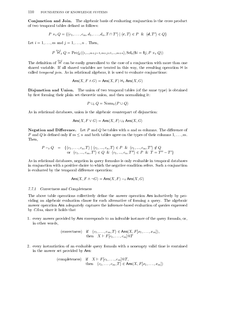Conjunction and Join. The algebraic basis of evaluating conjunction is the cross product of two temporal tables defined as follows: tables defined as follows:<br> ${}_{t}Q = \{(c_1,\ldots,c_m,d_1,\ldots,d_n,T \cap T') \mid \langle c,T \rangle \in P \& \langle d,T' \rangle \in Q\}$ 

$$
P \times_t Q = \{ \langle c_1, \ldots, c_m, d_1, \ldots, d_n, T \cap T' \rangle \mid \langle c, T \rangle \in P \& \langle d, T' \rangle \in Q \}
$$

Let  $i = 1, \ldots, m$  and  $j = 1, \ldots, n$ . Then,

$$
P \stackrel{i=1}{\bowtie} q Q = \text{Proj}_{t}(\langle 1,...,m+j-1,m+j+1,...,m+n \rangle, \text{Sel}_{t}(\$i = \$j, P \times_{t} Q))
$$

The definition of  $\overline{\mathbb{R}}^j$  can be easily generalized to the case of a conjunction with more than one shared variable. If all shared variables are treated in this way, the resulting operation  $\bowtie$  is called temporal join. As in relational algebras, it is used to evaluate conjunctions:

$$
Ans(X, F \wedge G) = Ans(X, F) \bowtie_t Ans(X, G)
$$

Disjunction and Union. The union of two temporal tables (of the same type) is obtained by first forming their plain set-theoretic union, and then normalizing it:

$$
P \cup_t Q = \text{Norm}_t(P \cup Q)
$$

As in relational databases, union is the algebraic counterpart of disjunction:

$$
Ans(X, F \vee G) = Ans(X, F) \cup_t Ans(X, G)
$$

**Negation and Difference.** Let P and Q be tables with n and m columns. The difference of P and Q is defined only if  $m \leq n$  and both tables agree on the types of their columns  $1, \ldots, m$ . Then,  $P -_t Q = \{(c_1, \ldots, c_n, T) \mid (c_1, \ldots, c_n, T) \in P \& (c_1, \ldots, c_m, T') \notin Q\}$ 

$$
P -_t Q = \{ \langle c_1, \ldots, c_n, T \rangle \mid \langle c_1, \ldots, c_n, T \rangle \in P \& \langle c_1, \ldots, c_m, T' \rangle \notin Q
$$
  
or  $\langle c_1, \ldots, c_m, T' \rangle \in Q \& \langle c_1, \ldots, c_n, T'' \rangle \in P \& T = T'' - T' \}$ 

As in relational databases, negation in query formulas is only evaluable in temporal databases in conjunction with a positive choice to which the negative condition refers. Such a conjunction is evaluated by the temporal dierence operation: bral difference operation:<br>Ans $(X, F \wedge \neg G) = \mathsf{Ans}(X, F) -_t \mathsf{Ans}(X, G)$ 

$$
Ans(X, F \wedge \neg G) = Ans(X, F) -_t Ans(X, G)
$$

#### 7.7.1 Correctness and Completeness

The above table operations collectively define the answer operation Ans inductively by providing an algebraic evaluation clause for each alternative of forming a query. The algebraic answer operation Ans adequately captures the inference-based evaluation of queries expressed by CAns, since it holds that

1. every answer provided by Ans corresponds to an inferable instance of the query formula, or, in other words, (correctness) if  $\langle c_1, \ldots, c_m, T \rangle \in \text{Ans}(X, F[x_1,\ldots,x_m]),$ 

$$
\begin{array}{ll}\n\text{(correctness)} & \text{if} \quad \langle c_1, \dots, c_m, T \rangle \in \mathsf{Ans}(X, F[x_1, \dots, x_m]), \\
& \text{then} \quad X \vdash F[c_1, \dots, c_m] \mathcal{Q}T\n\end{array}
$$

2. every instantiation of an evaluable query formula with a nonempty valid time is contained in the answer set provided by Ans:

(completeness) if 
$$
X \vdash F[c_1, \ldots, c_m] @ T
$$
,  
then  $\langle c_1, \ldots, c_m, T \rangle \in \text{Ans}(X, F[x_1, \ldots, x_m])$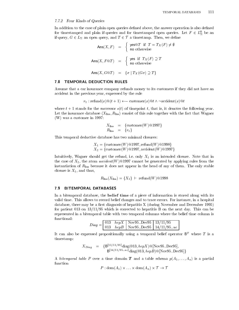#### 7.7.2 Four Kinds of Queries

In addition to the case of plain open queries defined above, the answer operation is also defined for timestamped and plain if-queries and for timestamped open queries. Let  $F \in L_{\Sigma}^-$  be an In addition to the case of plain open queries defined above, the answer operation is<br>for timestamped and plain if-queries and for timestamped open queries. Let  $F$ <br>if-query,  $G \in L_{\Sigma}$  an open query, and  $T \in \mathcal{T}$  a time

$$
\begin{array}{rcl}\n\text{Ans}(X, F) & = & \left\{ \begin{array}{rcl}\n\text{yes} \, \mathbb{Q}T & \text{if} & T = T_X(F) \neq \emptyset \\
\text{no otherwise}\n\end{array} \right. \\
\text{Ans}(X, F \, \mathbb{Q}T) & = & \left\{ \begin{array}{rcl}\n\text{yes} & \text{if} & T_X(F) \supseteq T \\
\text{no} & \text{otherwise}\n\end{array} \right. \\
\text{Ans}(X, G \, \mathbb{Q}T) & = & \left\{ \sigma \mid T_X(G \sigma) \supseteq T \right\}\n\end{array}
$$

#### 7.8 TEMPORAL DEDUCTION RULES

Assume that a car insurance company refunds money to its customers if they did not have an accident in the previous year, expressed by the previous year, expressed by the rule of the rule of the rule o revious year, expressed by the rule<br>  $r_1$ : refund(x)@(t+1)  $\leftarrow$  customer(x)@t  $\wedge$  ¬accident(x)@t

$$
r_1 : \text{refund}(x) @ (t+1) \leftarrow \text{customer}(x) @ t \land \neg \text{accident}(x) @ t
$$

where  $t + 1$  stands for the successor  $s(t)$  of timepoint t, that is, it denotes the following year. Let the insurance database  $\langle X_{\text{Ins}}, R_{\text{Ins}} \rangle$  consist of this rule together with the fact that Wagner (W) was a customer in 1997:

$$
X_{\text{Ins}} = {\text{customer}(W)@1997}
$$
  
\n
$$
R_{\text{Ins}} = \{r_1\}
$$

This temporal deductive database has two minimal closures:

 $X_1 = \{\text{customer}(W)@1997, \text{refund}(W)@1998\}$  $X_2 = \{\text{customer}(W)@1997, \text{ accident}(W)@1997\}$ 

Intuitively, Wagner should get the refund, i.e. only  $X_1$  is an intended closure. Note that in the case of  $X_2$ , the atom *accident*(W)@1997 cannot be generated by applying rules from the instantiation of  $R_{\text{Ins}}$  because it does not appear in the head of any of them. The only stable closure is  $X_1$ , and thus,

$$
R_{\text{Ins}}(X_{\text{Ins}}) = \{X_1\} \;\vdash\; \text{refund}(W)@1998
$$

#### 7.9 BITEMPORAL DATABASES

In a bitemporal database, the **belief time** of a piece of information is stored along with its valid time. This allows to record belief changes and to trace errors. For instance, in a hospital database, there may be a first diagnosis of hepatitis  $X$  (during November and December 1995) for patient 013 on 13/11/95 which is corrected to hepatitis B on the next day. This can be represented in a bitemporal table with two temporal columns where the belief time column is functional:

|  | $Diag = \begin{vmatrix} 013 & hepX \ 013 & hepB \end{vmatrix}$ Nov95Dec95 $\begin{vmatrix} 13/11/95 \ 14/11/95. u \end{vmatrix}$ |  |
|--|----------------------------------------------------------------------------------------------------------------------------------|--|
|  |                                                                                                                                  |  |

It can also be expressed propositionally using a temporal belief operator  $B<sup>T</sup>$  where T is a timestamp:

$$
X_{Diag} = \{B^{\{13/11/95\}}\text{diag}(013, hepX) \textcircled{Nov95..}\text{Dec95}\},\newline B^{\{14/11/95..ue\}}\text{diag}(013, hepB) \textcircled{Nov95..}\text{Dec95}\}\n\}
$$

A bitemporal table P over a time domain T and a table schema population  $\Gamma$  and a particle schema population  $\Gamma$ function schema  $p(A_1, \ldots, A_r)$ <br> $\mathcal{T} \to \mathcal{T}$ 

$$
P: \text{dom}(A_1) \times \ldots \times \text{dom}(A_n) \times \mathcal{T} \to \mathcal{T}
$$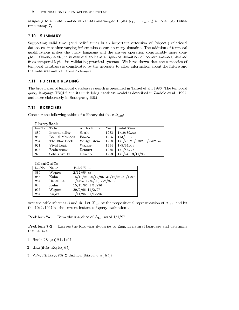assigning to a finite number of valid-time-stamped tuples  $\langle c_1,\ldots,c_n, T_v \rangle$  a nonempty belieftime-stamp  $T_b$ .

#### 7.10 SUMMARY

Supporting valid time (and belief time) is an important extension of (object-) relational databases since time-varying information occurs in many domains. The addition of temporal qualications makes the query language and the answer operation considerably more complex. Consequently, it is essential to have a rigouros denition of correct answers, derived from temporal logic, for validating practical systems. We have shown that the semantics of temporal databases is complicated by the necessity to allow information about the future and the indexical null value until changed.

## 7.11 FURTHER READING

The broad area of temporal database research is presented in Tansel et al., 1993. The temporal query language TSQL2 and its underlying database model is described in Zaniolo et al., 1997, and more elaborately in Snodgrass, 1995.

## 7.12 EXERCISES

Consider the following tables of a library database  $\Delta_{\text{Lib}}$ :

LibraryBook

| InvNo | Title              | AuthorEditor             | Year | Valid Time              |
|-------|--------------------|--------------------------|------|-------------------------|
| 880   | Intentionality     | Searle                   | 1983 | 1/10/89uc               |
| 988   | Formal Methods     | Bowen                    | 1995 | 1/3/96. u               |
| 284   | The Blue Book      | Wittgenstein             | 1958 | 1/1/7321/3/82, 1/9/82uc |
| 921   | Vivid Logic        | Wagner                   | 1994 | $1/5/94$ uc             |
| 903   | <b>Brainstroms</b> | Dennett                  | 1978 | $1/1/83$ . uc           |
| 926   | Sofie's World      | $\operatorname{Gaarder}$ | 1993 | 1/1/94.13/11/95         |

| <b>IsLentOutTo</b> |  |
|--------------------|--|
|                    |  |

| InvNo | Name       | Valid Time                        |
|-------|------------|-----------------------------------|
| 880   | Wagner     | $2/12/96$ .uc                     |
| 988   | Kuhn       | 15/11/9620/12/96, 31/12/9631/1/97 |
| 284   | Hanselmann | 1/4/95.12/6/95, 2/2/97.uc         |
| 880   | Kuhn       | 15/11/961/12/96                   |
| 903   | Wagner     | 20/9/9611/2/97                    |
| 284   | Kopka      | 1/11/96.31/12/96                  |

over the table schemas lb and ilt. Let  $X_{\text{Lib}}$  be the propositional representation of  $\Delta_{\text{Lib}}$ , and let the  $10/2/1997$  be the current instant (of query evaluation).

**Problem 7-1.** Form the snapshot of  $\Delta_{\text{Lib}}$  as of 1/1/97.

**Problem 7-2.** Express the following if-queries to  $\Delta_{\text{Bib}}$  in natural language and determine their answer

1.  $\exists x(\text{ilt}(284, x))\,@1/1/97$ 

2.  $\exists x \exists t (ilt(x, Kopka) @ t)$ 

3.  $\forall x \forall y \forall t (i \mathrm{lt}(x, y) @ t \supset \exists u \exists v \exists w (\mathrm{lb}(x, u, v, w) @ t))$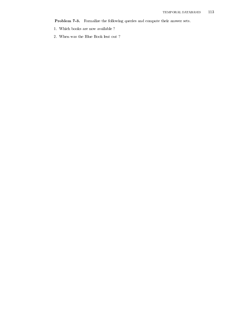Problem 7-3. Formalize the following queries and compute their answer sets.

- 1. Which books are now available ?
- 2. When was the Blue Book lent out ?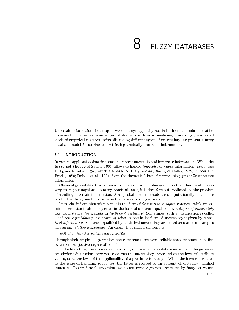## **FUZZY DATABASES** 8 FUZZY DATABASES DATABASES DATA BASES DATA DI DISPOSITION DELL'INTERNATIONALE DELL'INTERNATIONALE DELL'INTERNATIONALE DELL'INTERNATIONALE DELL'INTERNATIONALE DELL'INTERNATIONALE DELL'INTERNATIONALE DELL'INTERNATIONALE DEL

Uncertain information shows up in various ways, typically not in business and administration domains but rather in more empirical domains such as in medicine, criminology, and in all kinds of empirical research. After discussing different types of uncertainty, we present a fuzzy database model for storing and retrieving gradually uncertain information.

#### 8.1 INTRODUCTION

In various application domains, one encounters uncertain and imprecise information. While the fuzzy set theory of Zadeh, 1965, allows to handle imprecise or vague information, fuzzy logic and possibilistic logic, which are based on the possibility theory of Zadeh, 1979; Dubois and Prade, 1980; Dubois et al., 1994, form the theoretical basis for processing *gradually uncertain* information.

Classical probability theory, based on the axioms of Kolmogorov, on the other hand, makes very strong assumptions. In many practical cases, it is therefore not applicable to the problem of handling uncertain information. Also, probabilistic methods are computationally much more costly than fuzzy methods because they are non-compositional.

Imprecise information often comes in the form of disjunctive or vague sentences, while uncertain information is often expressed in the form of sentences qualified by a *degree of uncertainty* like, for instance, 'very likely' or 'with  $60\%$  certainty'. Sometimes, such a qualification is called a subjective probability or a degree of belief. A particular form of uncertainty is given by statistical information. Sentences qualified by statistical uncertainty are based on statistical samples measuring relative frequencies. An example of such a sentence is

 $80\%$  of all jaundice patients have hepatitis.

Through their empirical grounding, these sentences are more reliable than sentences qualied by a mere sub jective degree of belief.

In the literature, there is no clear taxonomy of uncertainty in databases and knowledge bases. An obvious distinction, however, concerns the uncertainty expressed at the level of attribute values, or at the level of the applicability of a predicate to a tuple. While the former is related to the issue of handling *vagueness*, the latter is related to an account of certainty-qualified sentences. In our formal exposition, we do not treat vagueness expressed by fuzzy-set-valued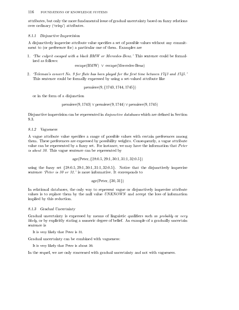attributes, but only the more fundamental issue of gradual uncertainty based on fuzzy relations over ordinary ('crisp') attributes.

#### 8.1.1 Disjunctive Imprecision

A disjunctively imprecise attribute value species a set of possible values without any commitment to (or preference for) a particular one of them. Examples are

1. 'The culprit escaped with a black BMW or Mercedes-Benz.' This sentence could be formalized as follows:

 $\ercsin(BMW)$   $\vee$   $\ercsin(BMW)$   $\ercsin(BMW)$ 

2. 'Teleman's concert No. 9 for flute has been played for the first time between  $1743$  and  $1745$ .' This sentence could be formally expressed by using a set-valued attribute like

premiere $(9, \{1743, 1744, 1745\})$ 

or in the form of a disjunction

```
premiere(9, 1743) \vee premiere(9, 1744) \vee premiere(9, 1745)
```
Disjunctive imprecision can be represented in *disjunctive databases* which are defined in Section 9.3.

#### 8.1.2 Vagueness

A vague attribute value species a range of possible values with certain preferences among them. These preferences are expressed by possibility weights. Consequently, a vague attribute value can be represented by a fuzzy set. For instance, we may have the information that Peter is about 30. This vague sentence can be represented by

```
age(Peter, \{28:0.5, 29:1, 30:1, 31:1, 32:0.5\})
```
using the fuzzy set  $\{28:0.5, 29:1, 30:1, 31:1, 32:0.5\}$ . Notice that the disjunctively imprecise sentence 'Peter is 30 or 31.' is more informative. It corresponds to

```
age(Peter, {30, 31})
```
In relational databases, the only way to represent vague or disjunctively imprecise attribute values is to replace them by the null value UNKNOWN and accept the loss of information implied by this reduction.

#### 8.1.3 Gradual Uncertainty

Gradual uncertainty is expressed by means of linguistic qualifiers such as *probably* or very likely, or by explicitly stating a numeric degree of belief. An example of a gradually uncertain sentence is

It is very likely that Peter is 31.

Gradual uncertainty can be combined with vagueness:

It is very likely that Peter is about 30.

In the sequel, we are only concerned with gradual uncertainty and not with vagueness.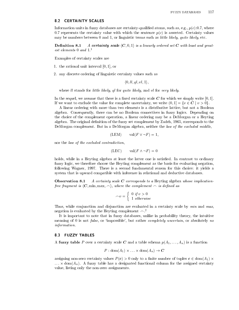Information units in fuzzy databases are certainty-qualified atoms, such as, e.g.,  $p(c)$ :0.7, where 0.7 represents the certainty value with which the sentence  $p(c)$  is asserted. Certainty values may be numbers between 0 and 1, or linguistic terms such as *little likely, quite likely*, etc.

**Definition 8.1** A certainty scale  $\langle C, 0, 1 \rangle$  is a linearly ordered set C with least and greatest elements 0 and 1.<sup>1</sup>

Examples of certainty scales are

- 1. the rational unit interval  $[0, 1]$ , or
- 2. any discrete ordering of linguistic certainty values such as

 $\langle 0, ll, gl, vl, 1 \rangle,$ 

where *ll* stands for *little likely*, *ql* for *quite likely*, and *vl* for *very likely*.

In the sequel, we assume that there is a fixed certainty scale  $C$  for which we simply write [0, 1]. If we want to exclude the value for complete uncertainty, we write  $(0,1] = \{v \in C \mid v > 0\}$ .<br>A linear ordering with more than two elements is a distributive lattice, but not a Boolean

algebra. Consequently, there can be no Boolean connectives in fuzzy logics. Depending on the choice of the complement operation, a linear ordering may be a DeMorgan or a Heyting algebra. The original definition of the fuzzy set complement by Zadeh, 1965, corresponds to the  $\mathcal{L}$ DeMorgan complement. But in a DeMorgan algebra, neither the law of the excluded contradiction,<br>nor the law of the excluded contradiction,

$$
(\text{LEM}) \qquad \text{val}(F \vee \neg F) = 1,
$$

$$
radiction,
$$
  
(LEC) 
$$
val(F \wedge \neg F) = 0
$$

holds, while in a Heyting algebra at least the latter one is satisfied. In contrast to ordinary fuzzy logic, we therefore choose the Heyting complement as the basis for evaluating negation, following Wagner, 1997. There is a second fundamental reason for this choice: it yields a system that is upward compatible with inference in relational and deductive databases.

**Observation 8.1** A certainty scale C corresponds to a Heyting algebra whose implicationfree fragment is  $\langle C, \min, \max, \frown \rangle$ , where the complement  $\frown$  is defined as

$$
\frown v = \left\{ \begin{array}{ll} 0 \, \, \text{if} \, \, v > 0 \\ 1 \, \, \text{otherwise} \end{array} \right.
$$

Thus, while conjunction and disjunction are evaluated in a certainty scale by min and max, negation is evaluated by the Heyting complement  $\sim$ <sup>2</sup>

It is important to note that in fuzzy databases, unlike in probability theory, the intuitive meaning of 0 is not false, or 'impossible', but rather *completely uncertain*, or absolutely no information.

#### 8.3 FUZZY TABLES

A fuzzy table P over a certainty scale C and a table schema  $p(A_1,\ldots,A_n)$  is a function

$$
P: dom(A_1) \times ... \times dom(A_n) \rightarrow C
$$

assigning non-zero certainty values  $P(c) > 0$  only to a finite number of tuples  $c \in \text{dom}(A_1) \times$  $\dots$  x dom $(A_n)$ . A fuzzy table has a designated functional column for the assigned certainty value, listing only the non-zero assignments.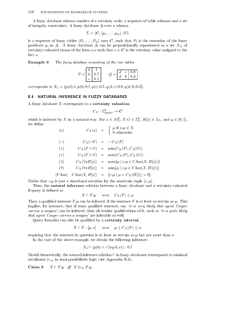A fuzzy database schema consists of a certainty scale, a sequence of table schemas and a set of integrity constraints. A fuzzy database  $\Delta$  over a schema

$$
\Sigma = \langle \boldsymbol{C}, \langle p_1, \ldots, p_m \rangle, I C \rangle
$$

is a sequence of fuzzy tables  $\langle P_1,\ldots,P_m \rangle$  over C, such that  $P_i$  is the extension of the fuzzy predicate  $p_i$  in  $\Delta$ . A fuzzy database  $\Delta$  can be propositionally represented as a set  $X_{\Delta}$  of certainty-valuated atoms of the form  $a:\nu$  such that  $\nu \in \mathbb{C}$  is the certainty value assigned to the

Example 3 The fuzzy database consisting of the two tables

$$
P = \begin{bmatrix} d & 1 \\ b & 0.7 \\ c & 0.1 \end{bmatrix} \qquad Q = \begin{bmatrix} d & c & 0.8 \\ d & b & 0.3 \end{bmatrix}
$$

corresponds to  $X_3 = \{p(d):1, p(b):0.7, p(c):0.1, q(d, c):0.8, q(d, b):0.3\}.$ 

## 8.4 NATURAL INFERENCE IN FUZZY DATABASES

A fuzzy database  $X$  corresponds to a **certainty valuation** 

$$
C_X: L^0_{\mathrm{Query}} \to \boldsymbol{C}
$$

which is induced by X in a natural way. For  $a \in \text{At}_{\Sigma}$ ,  $F, G \in L_{\Sigma}^{\times}$ ,  $H[x] \in L_{\Sigma}$ , and  $\mu \in [0,1]$ , we define  $U$  and  $U$ 

(a) 
$$
C_X(a) = \begin{cases} \mu & \text{if } a: \mu \in X \\ 0 & \text{otherwise} \end{cases}
$$

\n- (¬)
\n- $$
C_X(\neg F) = \neg C_X(F)
$$
\n- (∧)
\n- $C_X(F \land G) = \min(C_X(F), C_X(G))$
\n- (∨)
\n- $C_X(F \lor G) = \max(C_X(F), C_X(G))$
\n- (∃)
\n- $C_X(\exists xH[x]) = \max\{\mu \mid c:\mu \in \text{CAns}(X, H[x])\}$
\n- (∀)
\n- $C_X(\forall xH[x]) = \min\{\mu \mid c:\mu \in \text{CAns}(X, H[x])\}$
\n- (CAns)
\n- $\text{CAns}(X, H[x]) = \{c:\mu \mid \mu = C_X(H[c]) > 0\}$
\n

Notice that  $c:\mu$  is just a shorthand notation for the uncertain tuple  $\langle c, \mu \rangle$ .

Then, the natural inference relation between a fuzzy database and a certainty-valuated if-query is defined as

$$
X \vdash F: \mu \quad \Longleftrightarrow \quad C_X(F) \ge \mu
$$

Thus, a qualified sentence  $F: \mu$  can be inferred, if the sentence F is at least as certain as  $\mu$ . This implies, for instance, that if some qualified sentence, say 'it is very likely that agent Cooper carries a weapon', can be inferred, then all weaker qualifications of it, such as  $'it$  is quite likely that agent Cooper carries a weapon' are inferable as well.

Query formulas can also be qualied by a certainty interval,

$$
X \vdash F : [\mu, \nu] \quad \Longleftrightarrow \quad \mu \le C_X(F) \le \nu,
$$

requiring that the sentence in question is at least as certain as  $\mu$  but not more than  $\nu$ .

In the case of the above example, we obtain the following inference: bestion is at reason as correlated in the following inference:<br>  $X_3 \vdash (p(b) \land \neg \exists xq(b,x)) : 0.7$ 

$$
X_3 \vdash (p(b) \land \neg \exists x q(b, x)) : 0.7
$$

Model-theoretically, the natural inference relation  $\vdash$  in fuzzy databases corresponds to minimal entailment  $\models_m$  in semi-possibilistic logic (see Appendix B.4).

Claim 3  $X \vdash F : \mu \text{ iff } X \models_m F : \mu.$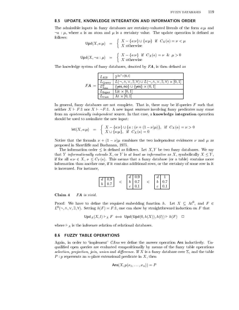#### 8.5 UPDATE, KNOWLEDGE INTEGRATION AND INFORMATION ORDER

The admissible inputs in fuzzy databases are certainty-valuated literals of the form  $a:\mu$  and  $\neg a : \mu$ , where a is an atom and  $\mu$  is a certainty value. The update operation is defined as<br>follows:<br> $\left\{ X - \{a : \nu\} \cup \{a : \mu\} \right\}$  if  $C_X(a) = \nu < \mu$ follows:  $\begin{pmatrix} V & \text{fcm} \end{pmatrix}$  if  $\begin{pmatrix} 0 & \text{fcm} \end{pmatrix}$ 

$$
\mathsf{Upd}(X, a: \mu) = \begin{cases} X - \{a: \nu\} \cup \{a: \mu\} & \text{if } C_X(a) = \nu < \mu \\ X & \text{otherwise} \end{cases}
$$
\n
$$
\mathsf{Upd}(X, \neg a: \mu) = \begin{cases} X - \{a: \nu\} & \text{if } C_X(a) = \nu \ \& \mu > 0 \\ X & \text{otherwise} \end{cases}
$$

The knowledge system of fuzzy databases, denoted by  $FA$ , is then defined as

|        | $L_{KB}$           | $2\mathrm{At}^{0}\times[0,1]$                                                                        |
|--------|--------------------|------------------------------------------------------------------------------------------------------|
|        | $L_{\rm Query}$    | $L(\neg, \wedge, \vee, \exists, \forall) \cup L(\neg, \wedge, \vee, \exists, \forall) \times [0, 1]$ |
| $FA =$ | Ans                | $\{yes, no\} \cup \{yes\} \times (0, 1]$                                                             |
|        | $L_{\text{Input}}$ | Lit $\times$ [0, 1                                                                                   |
|        | $L_{\rm Unit}$     | At $\times$                                                                                          |

In general, fuzzy databases are not complete. That is, there may be if-queries  $\mathcal{F}_1$  such that is, there may be if-queries  $\mathcal{F}_2$  such that is, there may be if-queries  $\mathcal{F}_3$  such that is, the intervals of that In general, fuzzy databases are not complete. That is, there may be if-queries F such that neither  $X \vdash F$ :1 nor  $X \vdash \neg F$ :1. A new input sentence involving fuzzy predicates may come from an epistemically independent source. In that case, a knowledge integration operation should be used to assimilate the new input: he new input:<br>  $X - \{a:\nu\} \cup \{a : (\nu + (1 - \nu)\mu)\}, \text{ if } C_X(a) = \nu > 0$ 

$$
\mathsf{Int}(X, a:\mu) = \begin{cases} X - \{a:\nu\} \cup \{a : (\nu + (1 - \nu)\mu)\}, & \text{if } C_X(a) = \nu > 0 \\ X \cup \{a:\mu\}, & \text{if } C_X(a) = 0 \end{cases}
$$

Notice that the formula  $\nu + (1 - \nu)\mu$  combines the two independent evidences  $\nu$  and  $\mu$  as proposed in Shortliffe and Buchanan, 1975.

The information order  $\leq$  is defined as follows. Let X, Y be two fuzzy databases. We say that Y informationally extends X, or Y is at least as informative as X, symbolically  $X \leq Y$ , if for all  $a:\nu \in X$ ,  $\nu \leq C_Y(a)$ . This means that a fuzzy database (or a table) contains more information than another one, if it contains additional rows, or the certainty of some row in it is increased. For instance,

d 0:9 b 0:7 <sup>&</sup>lt; d 0:9 b 0:7 c 0:1 < d 1 b 0:7 c 0:1

Claim 4 FA is vivid.

Proof: We have to define the required embedding function  $h$ . Let  $X \subseteq$  At , and  $F \in$  $L^1(\neg, \wedge, \vee, \exists, \vee)$ . Setting  $h(F) = F$ :1, one can show by straightforward induction on F that

$$
\mathsf{Upd}_A(X,l) \vdash_A F \iff \mathsf{Upd}(\mathsf{Upd}(0,h(X)),h(l)) \vdash h(F) \quad \Box
$$

where  $\vdash_A$  is the inference relation of relational databases.

#### 8.6 FUZZY TABLE OPERATIONS

Again, in order to 'implement' CAns we define the answer operation Ans inductively. Unqualied open queries are evaluated compositionally by means of the fuzzy table operations selection, projection, join, union and difference. If X is a fuzzy database over  $\Sigma$ , and the table  $P$ : p represents an *n*-place extensional predicate in  $X$ , then

$$
Ans(X, p(x_1, \ldots, x_n)) = P
$$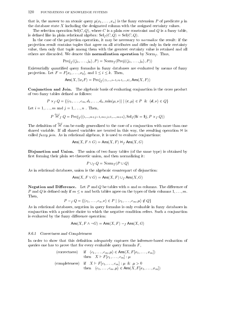#### 120 FOUNDATIONS OF KNOWLEDGE SYSTEMS

that is, the answer to an atomic query  $p(x_1,...,x_n)$  is the fuzzy extension P of predicate p in the database state  $X$  including the designated column with the assigned certainty values.

The selection operation  $\text{Sel}(C, Q)$ , where C is a plain row constraint and Q is a fuzzy table, is defined like in plain relational algebra:  $\text{Sel}_f(C, Q) = \text{Sel}(C, Q)$ .

In the case of the projection operation, it may be necessary to *normalize* the result: if the projection result contains tuples that agree on all attributes and differ only in their certainty value, then only that tuple among them with the greatest certainty value is retained and all others are discarded. We denote this **normalization operation** by  $Norm_f$ . Thus,

$$
Proj_f(\langle j_1, \ldots, j_k \rangle, P) = Norm_f(Proj(\langle j_1, \ldots, j_k \rangle, P))
$$

Existentially quantied query formulas in fuzzy databases are evaluated by means of fuzzy projection. Let  $F = F[x_1, \ldots, x_k]$ , and  $1 \le i \le k$ . Then,

$$
\mathsf{Ans}(X,\exists x_i F) = \operatorname{Proj}_f(\langle 1,\ldots,i-1,i+1,\ldots,k\rangle,\mathsf{Ans}(X,F))
$$

Conjunction and Join. The algebraic basis of evaluating conjunction is the cross product of two fuzzy tables dened as follows: bles defined as follows:<br>  $f Q = \{ \langle c_1, \ldots, c_m, d_1, \ldots, d_n, \min(\mu, \nu) \rangle \mid \langle c, \mu \rangle \in P \& \langle d, \nu \rangle \in Q \}$ 

$$
P \times_f Q = \{ \langle c_1, \ldots, c_m, d_1, \ldots, d_n, \min(\mu, \nu) \rangle \mid \langle c, \mu \rangle \in P \ \& \ \langle d, \nu \rangle \in Q \}
$$

Let  $i=1,\ldots,m$  and  $j=1,\ldots,n$  . Then,

 $\sim 10$ 

$$
P \stackrel{i=1}{\bowtie} f Q = \text{Proj}_f(\langle 1,...,m+j-1,m+j+1,...,m+n \rangle, \text{Sel}_f(\$i = \$j, P \times_f Q))
$$

The definition of  $\overline{\mathbb{R}}^j$  can be easily generalized to the case of a conjunction with more than one shared variable. If all shared variables are treated in this way, the resulting operation  $\bowtie$  is called  $fuzzy\ join$ . As in relational algebras, it is used to evaluate conjunctions:

$$
Ans(X, F \wedge G) = Ans(X, F) \bowtie_f Ans(X, G)
$$

**Disjunction and Union.** The union of two fuzzy tables (of the same type) is obtained by first forming their plain set-theoretic union, and then normalizing it:

$$
P \cup_f Q = \text{Norm}_f(P \cup Q)
$$

As in relational databases, union is the algebraic counterpart of disjunction:

$$
Ans(X, F \vee G) = Ans(X, F) \cup_f Ans(X, G)
$$

**Negation and Difference.** Let P and Q be tables with n and m columns. The difference of P and Q is defined only if  $m \le n$  and both tables agree on the types of their columns  $1, \ldots, m$ .<br>Then,<br> $P -_f Q = \{ \langle c_1, \ldots, c_n, \nu \rangle \in P \mid \langle c_1, \ldots, c_m, \mu \rangle \notin Q \}$ Then,

$$
P -_f Q = \{ \langle c_1, \ldots, c_n, \nu \rangle \in P \mid \langle c_1, \ldots, c_m, \mu \rangle \notin Q \}
$$

As in relational databases, negation in query formulas is only evaluable in fuzzy databases in conjunction with a positive choice to which the negative condition refers. Such a conjunction is evaluated by the fuzzy dierence operation: difference operation:<br>Ans $(X, F \wedge \neg G) = \text{Ans}(X, F) - f \text{ Ans}(X, G)$ 

$$
Ans(X, F \wedge \neg G) = Ans(X, F) -_f Ans(X, G)
$$

#### 8.6.1 Correctness and Completeness

In order to show that this definition adequately captures the inference-based evaluation of queries one has to prove that for every evaluable query formula  $F$ , (correctness) if  $(c_1, \ldots, c_m, \mu) \in \text{Ans}(X, F[x_1, \ldots, x_m])$ 

then  $X \sqsubset F$   $[c_1,\ldots,c_m]$  :  $\mu$ (completeness) if  $X \vdash F[c_1,\ldots,c_m] : \mu \& \mu > 0$ then  $\langle c_1,\ldots,c_m,\mu \rangle \in \mathsf{Ans}(X,F[x_1,\ldots,x_m])$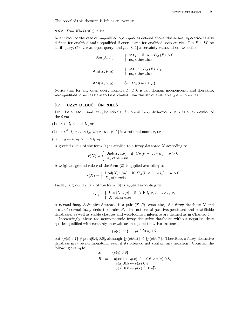The proof of this theorem is left as an exercise.

#### 8.6.2 Four Kinds of Queries

In addition to the case of unqualified open queries defined above, the answer operation is also defined for qualified and unqualified if-queries and for qualified open queries. Let  $F\in L_\Sigma^\perp$  be an if-query,  $G \in L_{\Sigma}$  an open query, and  $\mu \in [0, 1]$  a certainty value. Then, we define

$$
\begin{aligned}\n\text{Ans}(X, F) &= \begin{cases}\n\text{yes: } \mu, & \text{if } \mu = C_X(F) > 0 \\
\text{no, otherwise}\n\end{cases} \\
\text{Ans}(X, F: \mu) &= \begin{cases}\n\text{yes, if } C_X(F) \ge \mu \\
\text{no, otherwise}\n\end{cases} \\
\text{Ans}(X, G: \mu) &= \begin{cases}\n\sigma \mid C_X(G\sigma) \ge \mu\n\end{cases}\n\end{aligned}
$$

Notice that for any open query formula  $F$ ,  $F:0$  is not domain independent, and therefore, zero-qualied formulas have to be excluded from the set of evaluable query formulas.

#### 8.7 FUZZY DEDUCTION RULES

Let a be an atom, and let  $l_i$  be literals. A normal fuzzy deduction rule r is an expression of the form

- $(1)$   $a \leftarrow l_1 \wedge \ldots \wedge l_k$ , or
- $(2)$  a  $\leftarrow$   $l_1 \wedge \ldots \wedge l_k$ , where  $\mu \in (0,1]$  is a rational number, or
- (3)  $a: \mu \leftarrow l_1 : \nu_1 \wedge \ldots \wedge l_k : \nu_k$ .

A ground rule  $r$  of the form (1) is applied to a fuzzy database  $X$  according to

$$
r(X) = \begin{cases} \text{Upd}(X, a:\nu), & \text{if } C_X(l_1 \wedge \ldots \wedge l_k) = \nu > 0 \\ X, & \text{otherwise} \end{cases}
$$

A weighted ground rule  $r$  of the form  $(2)$  is applied according to

$$
r(X) = \begin{cases} \text{Upd}(X, a: \mu\nu), & \text{if } C_X(l_1 \wedge \ldots \wedge l_k) = \nu > 0 \\ X, & \text{otherwise} \end{cases}
$$

Finally, a ground rule  $r$  of the form  $(3)$  is applied according to

$$
r(X) = \begin{cases} \text{Upd}(X, a: \mu), & \text{if } X \vdash l_1: \nu_1 \wedge \ldots \wedge l_k: \nu_k \\ X, & \text{otherwise} \end{cases}
$$

A normal fuzzy deductive database is a pair  $\langle X, R \rangle$ , consisting of a fuzzy database X and a set of normal fuzzy deduction rules R. The notions of positive/persistent and stratifiable databases, as well as stable closures and well-founded inference are defined as in Chapter 5.

Interestingly, there are nonmonotonic fuzzy deductive databases without negation since queries qualied with certainty intervals are not persistent. For instance,

$$
\{p(c):0.5\} \ \vdash \ p(c) \ \vdots \ [0.4, 0.6]
$$

but  ${p(c):0.7}\ \forall \ p(c):[0.4, 0.6],$  although  ${p(c):0.5}\leq {p(c):0.7}.$  Therefore, a fuzzy deductive database may be nonmonotonic even if its rules do not contain any negation. Consider the following example:

$$
X = \{r(c):0.9\}
$$
  
\n
$$
R = \{p(x):1 \leftarrow q(x):[0.4, 0.6] \land r(x):0.8,
$$
  
\n
$$
q(x):0.5 \leftarrow r(x):0.5,
$$
  
\n
$$
q(x):0.8 \leftarrow p(x):[0, 0.5]\}
$$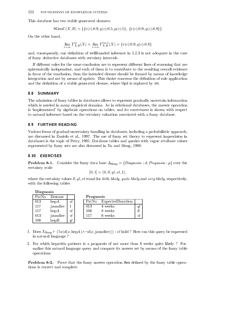This database has two stable generated closures:

$$
SGenC(X, R) = \{ \{r(c): 0.9, q(c): 0.5, p(c): 1 \}, \{r(c): 0.9, q(c): 0.8 \} \}
$$

On the other hand,

$$
\lim_{i \to \infty} \Gamma_{X,R}^{2i}(X) = \lim_{i \to \infty} \Gamma_{X,R}^{2i+1}(X) = \{r(c): 0.9, q(c): 0.8\}
$$

and, consequently, our definition of wellfounded inference in 5.2.3 is not adequate in the case of fuzzy deductive databases with certainty intervals.

If different rules for the same conclusion are to represent different lines of reasoning that are epistemically independent, and each of them is to contribute to the resulting overall evidence in favor of the conclusion, then the intended closure should be formed by means of knowledge integration and not by means of update. This choice concerns the denition of rule application and the definition of a stable generated closure, where Upd is replaced by Int.

The admission of fuzzy tables in databases allows to represent gradually uncertain information which is needed in many empirical domains. As in relational databases, the answer operation is `implemented' by algebraic operations on tables, and its correctness is shown with respect to natural inference based on the certainty valuation associated with a fuzzy database.

#### 89 FURTHER READING

Various forms of gradual uncertainty handling in databases, including a probabilistic approach, are discussed in Zaniolo et al., 1997. The use of fuzzy set theory to represent imprecision in databases is the topic of Petry, 1995. Database tables and queries with vague attribute values represented by fuzzy sets are also discussed in Yu and Meng, 1998.

#### 8.10 EXERCISES

**Problem 8-1.** Consider the fuzzy data base  $\Delta_{\text{Hosp}} = \{Diagonosis : d, Programosis : p\}$  over the certainty scale

$$
[0,1] = \langle 0, ll,ql,vl,1 \rangle,
$$

where the certainty values ll, ql, vl stand for little likely, quite likely and very likely, respectively, with the following tables

| Diagnosis |          |          |           |                  |         |
|-----------|----------|----------|-----------|------------------|---------|
| PatNo     | Desease  |          | Prognosis |                  |         |
| 013       | hepA     | $v\iota$ | PatNo     | ExpectedDuration |         |
| 117       | jaundice |          | 013       | 4 weeks          | ql      |
| 117       | hepA     | $v\ell$  | 106       | 8 weeks          | IJ      |
| 013       | jaundice | $v$ l    |           | 6 weeks          | $v\ell$ |
| 106       | hepB     | ql       |           |                  |         |

- 1. Does  $X_{Hosp} \vdash (\exists x (d(x, hepA) \land \neg d(x, jaundice))) : vl \text{ hold ? How can this query be expressed}$ in natural language ?
- 2. For which hepatitis patients is a prognosis of not more than 6 weeks quite likely ? Formalize this natural language query and compute its answer set by means of the fuzzy table operations.

**Problem 8-2.** Prove that the fuzzy answer operation Ans defined by the fuzzy table operations is correct and complete.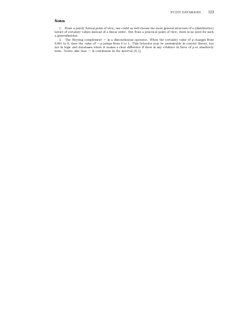#### Notes

1. From a purely formal point of view, one could as well choose the more general structure of a (distributive) lattice of certainty values instead of a linear order. But from a practical point of view, there is no need for such a generalization.

2. The Heyting complement  $\frown$  is a discontinuous operator. When the certainty value of p changes from 0.001 to 0, then the value of  $-p$  jumps from 0 to 1. This behavior may be undesirable in control theory, but not in logic and databases where it makes a clear difference if there is any evidence in favor of p or absolutely none. Notice also that  $\frown$  is continuous in the interval  $(0, 1]$ .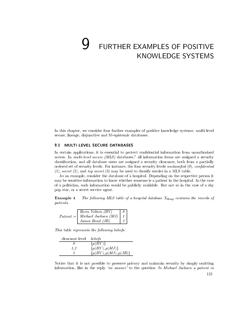## FURTHER EXAMPLES OF POSITIVE KNOWLEDGE SYSTEMS

In this chapter, we consider four further examples of positive knowledge systems: multi-level secure, lineage, disjunctive and S5-epistemic databases.

#### 9.1 MULTI-LEVEL SECURE DATABASES

In certain applications, it is essential to protect condential information from unauthorized access. In multi-level secure (MLS) databases,<sup>1</sup> all information items are assigned a security classication, and all database users are assigned a security clearance, both from a partially ordered set of security levels. For instance, the four security levels unclassified  $(0)$ , confidential (1), secret (2), and top secret (3) may be used to classify entries in a MLS table.

As an example, consider the database of a hospital. Depending on the respective person it may be sensitive information to know whether someone is a patient in the hospital. In the case of a politician, such information would be publicly available. But not so in the case of a shy pop star, or a secret service agent.

**Example 4** The following MLS table of a hospital database  $X_{Hosp}$  contains the records of patients.

| <i>Boris Yeltsin (BY)</i>                |  |
|------------------------------------------|--|
| $Patient =   Michael Jackson (MJ)   1  $ |  |
| James Bond (JB)                          |  |

This table represents the following beliefs:

| clearance level <i>beliefs</i> |                            |
|--------------------------------|----------------------------|
|                                | $\{p(BY)\}\$               |
| 1.2                            | $\{p(BY), p(MJ)\}\$        |
|                                | $\{p(BY), p(MJ), p(JB)\}\$ |

Notice that it is not possible to preserve privacy and maintain security by simply omitting information, like in the reply 'no answer' to the question 'Is Michael Jackson a patient in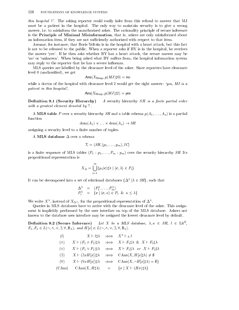this hospital ?'. The asking reporter could easily infer from this refusal to answer that MJ must be a patient in the hospital. The only way to maintain security is to give a wrong answer, i.e. to misinform the unauthorized asker. The rationality principle of secure inference is the **Principle of Minimal Misinformation**, that is, askers are only misinformed about an information item, if they are not sufficiently authorized with respect to that item.

Assume, for instance, that Boris Yeltsin is in the hospital with a heart attack, but this fact is not to be released to the public. When a reporter asks if BY is in the hospital, he receives the answer `yes'. If he then asks whether BY has a heart attack, the secure answer may be 'no' or 'unknown'. When being asked what BY suffers from, the hospital information system may reply to the reporter that he has a severe influenza.

MLS queries are labelled by the clearance level of the asker. Since reporters have clearance level 0 (unclassied), we get

$$
Ans(X_{\rm{Hosp}}, p(MJ)\sharp 0) = \text{no}
$$

while a doctor of the hospital with clearance level 2 would get the right answer: 'yes,  $MJ$  is a patient in this hospital',

$$
Ans(X_{\rm Hosp}, p(MJ)\sharp 2) = yes
$$

**Definition 9.1 (Security Hierarchy)** A security hierarchy  $SH$  is a finite partial order with a greatest element denoted by  $\top$ .

A MLS table P over a security hierarchy SH and a table schema  $p(A_1,\ldots,A_n)$  is a partial function

$$
dom(A_1) \times \ldots \times dom(A_n) \rightarrow SH
$$

assigning a security level to a finite number of tuples.

A MLS database  $\Delta$  over a schema

$$
\Sigma = \langle SH, \langle p_1, \ldots, p_m \rangle, IC \rangle
$$

is a finite sequence of MLS tables  $\langle P_1 : p_1, \ldots, P_m : p_m \rangle$  over the security hierarchy SH. Its propositional representation is

$$
X_{\Delta} = \bigcup_{i=1}^{m} \{p_i(c) \sharp \lambda \mid \langle c, \lambda \rangle \in P_i \}
$$

It can be decomposed into a set of relational databases  $\{\Delta^{\cdots} | \Delta \in \partial H\}$ , such that

$$
\begin{array}{rcl}\n\Delta^{\lambda} & = & \langle P_1^{\lambda}, \dots, P_m^{\lambda} \rangle \\
P_i^{\lambda} & = & \{c \mid \langle c, \kappa \rangle \in P_i \ \& \ \kappa \leq \lambda \}\n\end{array}
$$

We write  $\Lambda$ , instead of  $\Lambda_{\Delta\lambda}$ , for the propositional representation of  $\Delta$ .

Queries in MLS databases have to arrive with the clearance level of the asker. This assignment is implicitly performed by the user interface on top of the MLS database. Askers not known to the database user interface may be assigned the lowest clearance level by default.

**Definition 9.2 (Secure Inference)** Let X be a MLS database,  $\lambda, \kappa \in SH, l \in Lit^0$ ,  $F_1, F_2 \in L(\neg, \wedge, \vee, \exists, \forall, B_\lambda), \text{ and } H[x] \in L(\neg, \wedge, \vee, \exists, \forall, B_\lambda).$ 

\n- (l) 
$$
X \vdash l \sharp \lambda \iff X^{\lambda} \vdash_A l
$$
\n- (A)  $X \vdash (F_1 \land F_2) \sharp \lambda \iff X \vdash F_1 \sharp \lambda \& X \vdash F_2 \sharp \lambda$
\n- (V)  $X \vdash (F_1 \lor F_2) \sharp \lambda \iff X \vdash F_1 \sharp \lambda \text{ or } X \vdash F_2 \sharp \lambda$
\n- (i)  $X \vdash (xH[x]) \sharp \lambda \iff \text{CAns}(X, H[x] \sharp \lambda) \neq \emptyset$
\n- (v)  $X \vdash (\forall xH[x]) \sharp \lambda \iff \text{CAns}(X, \neg H[x] \sharp \lambda) = \emptyset$
\n- (CAns)  $\text{CAns}(X, H \sharp \lambda) = \{\sigma \mid X \vdash (H\sigma) \sharp \lambda\}$
\n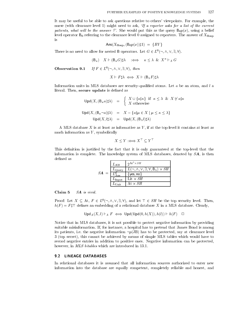It may be useful to be able to ask questions relative to others' viewpoints. For example, the nurse (with clearance level 1) might need to ask,  $\iint a$  reporter asks for a list of the current patients, what will be the answer ?'. She would put this as the query  $B_0p(x)$ , using a belief level operator  $B_0$  referring to the clearance level 0 assigned to reporters. The answer of  $X_{\text{Hosp}}$ 

$$
Ans(XHosp, (B0p(x))\sharp 1) = {BY}
$$

I here is no need to allow for nested **B** operators. Let  $G \in L^{\infty}(\neg, \wedge, \vee, \exists, \vee)$ .

$$
(\mathsf{B}_{\kappa}) \quad X \vdash (\mathsf{B}_{\kappa} G)\sharp \lambda \quad \Longleftrightarrow \quad \kappa \leq \lambda \ \& \ X^{\kappa} \vdash_{A} G
$$

Observation 9.1 If  $F \in L^1(\neg, \wedge, \vee, \exists, \vee)$ , then

$$
X \vdash F \sharp \lambda \iff X \vdash (\mathsf{B}_{\lambda} F) \sharp \lambda
$$

Information units in MLS databases are security-qualified atoms. Let a be an atom, and l a literal. Then, secure update is defined as  $X \cup \{a\sharp\kappa\}$  if  $\kappa \leq \lambda$  &  $X \vdash a\sharp\kappa$ 

$$
\begin{array}{rcl}\n\text{Upd}(X, (\mathsf{B}_{\kappa} a)\sharp \lambda) & = & \left\{ \begin{array}{lcl}\nX \cup \{a\sharp \kappa\} & \text{if} & \kappa \leq \lambda \ \& X \nvdash a\sharp \kappa \\
X & \text{otherwise}\n\end{array} \right. \\
\text{Upd}(X, (\mathsf{B}_{\kappa} \neg a)\sharp \lambda) & = & X - \{a\sharp \mu \in X \mid \mu \leq \kappa \leq \lambda\} \\
\text{Upd}(X, \ell \sharp \lambda) & = & \text{Upd}(X, (\mathsf{B}_{\lambda} l)\sharp \lambda)\n\end{array}
$$

A MLS database  $X$  is at least as informative as  $Y$ , if at the top-level it contains at least as much information as  $Y$ , symbolically

$$
X \le Y \Longleftrightarrow X^{\top} \subseteq Y^{\top}
$$

This definition is justified by the fact that it is only guaranteed at the top-level that the information is complete. The knowledge system of MLS databases, denoted by  $SA$ , is then defined as

|               | $L_{KB}$           | $2\,\mathrm{At}^0 \times SH$                                   |  |
|---------------|--------------------|----------------------------------------------------------------|--|
|               | $L_{\rm Query}$    | $L(\neg, \wedge, \vee, \exists, \forall, B_\lambda) \times SH$ |  |
| $SA = \Gamma$ | Ans                | $\{yes, no\}$                                                  |  |
|               | $L_{\text{Input}}$ | Lit $\times$ SH                                                |  |
|               | $L_{\rm Unit}$     | At $\times$ <i>SH</i>                                          |  |

 $$ 

**Claim 5** SA is vivid.<br>Proof: Let  $X \subseteq At$ ,  $F \in L^0(\neg, \wedge, \vee, \exists, \forall)$ , and let  $\top \in SH$  be the top security level. Then,  $h(F) = F \uparrow \top$  defines an embedding of a relational database X in a MLS database. Clearly,

$$
\mathsf{Upd}_A(X,l) \vdash_A F \iff \mathsf{Upd}(\mathsf{Upd}(0,h(X)),h(l)) \vdash h(F) \quad \Box
$$

Notice that in MLS databases, it is not possible to protect negative information by providing suitable misinformation. If, for instance, a hospital has to pretend that James Bond is among its patients, i.e. the negative information  $\neg p$ (JB) has to be protected, say at clearance level 3 (top secret), this cannot be achieved by means of simple MLS tables which would have to record negative entries in addition to positive ones. Negative information can be protected, however, in *MLS bitables* which are introduced in 13.1.

#### 9.2 LINEAGE DATABASES

In relational databases it is assumed that all information sources authorized to enter new information into the database are equally competent, completely reliable and honest, and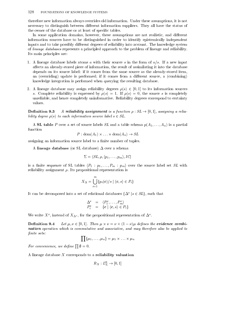#### 128 FOUNDATIONS OF KNOWLEDGE SYSTEMS

therefore new information always overrides old information. Under these assumptions, it is not necessary to distinguish between different information suppliers. They all have the status of the owner of the database or at least of specific tables.

In some application domains, however, these assumptions are not realistic, and different information sources have to be distinguished in order to identify epistemically independent inputs and to take possibly different degrees of reliability into account. The knowledge system of lineage databases represents a principled approach to the problem of lineage and reliability. Its main principles are:

- 1. A lineage database labels atoms a with their source s in the form of  $a/s$ . If a new input affects an already-stored piece of information, the result of assimilating it into the database depends on its source label: if it comes from the same source as the already-stored item, an (overriding) update is performed; if it comes from a different source, a (combining) knowledge integration is performed when querying the resulting database.
- 2. A lineage database may assign reliability degrees  $\rho(s) \in [0, 1]$  to its information sources s. Complete reliability is expressed by  $\rho(s) = 1$ . If  $\rho(s) = 0$ , the source s is completely unreliable, and hence completely uninformative. Reliability degrees correspond to certainty values.

**Definition 9.3** A reliability assignment is a function  $\rho : SL \rightarrow [0,1]$ , assigning a reliability degree  $\rho(s)$  to each information source label  $s \in SL$ .

A SL table P over a set of source labels SL and a table schema  $p(A_1,\ldots,A_n)$  is a partial function

$$
P: \text{dom}(A_1) \times \ldots \times \text{dom}(A_n) \to SL
$$

assigning an information source label to a finite number of tuples.

A lineage database (or SL database)  $\Delta$  over a schema

$$
\Sigma = \langle SL, \rho, \langle p_1, \ldots, p_m \rangle, IC \rangle
$$

is a finite sequence of SL tables  $\langle P_1 : p_1, \ldots, P_m : p_m \rangle$  over the source label set SL with reliability assignment  $\rho$ . Its propositional representation is

$$
X_{\Delta} = \bigcup_{i=1}^{m} \{p_i(\mathbf{c})/s \mid \langle \mathbf{c}, s \rangle \in P_i\}
$$

It can be decomposed into a set of relational databases  $\{\Delta^{\circ} | s \in SL\}$ , such that

$$
\begin{array}{rcl}\n\Delta^s & = & \langle P_1^s, \dots, P_m^s \rangle \\
P_i^s & = & \{c \mid \langle c, s \rangle \in P_i \}\n\end{array}
$$

We write  $X^*$ , instead of  $X_{\Delta^s}$ , for the propositional representation of  $\Delta^*$ .

**Definition 9.4** Let  $\mu, \nu \in [0, 1]$ . Then  $\mu \times \nu = \nu + (1 - \nu) \mu$  defines the evidence compination operation which is commutative and associative, and may therefore also be applied to finite sets:

$$
\prod\{\mu_1,\ldots,\mu_n\}=\mu_1\times\ldots\times\mu_n
$$

For convenience, we define  $\prod \emptyset = 0$ .

A lineage database X corresponds to a reliability valuation

$$
R_X: L^0_\Sigma \to [0,1]
$$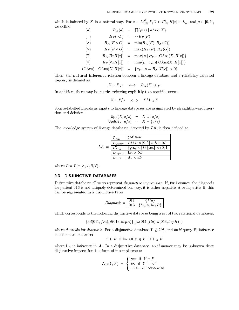which is induced by  $X$  in a natural way. For  $a \in \mathcal{A}$ t<sub> $\Sigma$ </sub>,  $F, G \in L_{\Sigma}^{\times}$ ,  $H[x] \in L_{\Sigma}$ , and  $\mu \in [0,1]$ , we define

> (a)  $R_X(a) = \prod {\{\rho(s) \mid a/s \in X\}}$ (¬)  $R_X(\neg F) = \bigcap R_X(F)$  $R_X(F \wedge G) = \min(R_X(F), R_X(G))$ (V)  $R_X(F \vee G) = \max(R_X(F), R_X(G))$ (3)  $R_X(\exists x H[x]) = \max{\mu | c:\mu \in \text{CAns}(X, H[x])}$ ( $\forall$ )  $R_X(\forall x H[x]) = \min\{\mu \mid c: \mu \in \text{CAns}(X, H[x])\}$  $(CAns)$   $CAns(X, H[x]) = \{c: \mu \mid \mu = R_X(H[c]) > 0\}$

Then, the natural inference relation between a lineage database and a reliability-valuated if-query is defined as

$$
X \vdash F: \mu \quad \Longleftrightarrow \quad R_X(F) \ge \mu
$$

In addition, there may be queries referring explicitly to a specific source:

$$
X \vdash F/s \quad :\Longleftrightarrow \quad X^s \vdash_A F
$$

to lineage databases are assimilated by<br>  $\mathsf{Upd}(X, a/s) = X \cup \{a/s\}$ Source-labelled literals as inputs to lineage databases are assimilated by straightforward insertion and deletion:

$$
Upd(X, a/s) = X \cup {a/s}
$$
  

$$
Upd(X, \neg a/s) = X - {a/s}
$$

The knowledge system of lineage databases, denoted by  $LA$ , is then defined as

|        | $L_{KB}$                | $2\,\mathrm{At}^0 \times SL$             |
|--------|-------------------------|------------------------------------------|
|        | $L_{\rm Query}$         | $L \cup L \times [0,1] \cup L \times SL$ |
| $LA =$ | Ans                     | $\{yes, no\} \cup \{yes\} \times (0, 1]$ |
|        | $L_{\rm Input}$         | Lit $\times SL$                          |
|        | $\iota_{\mathrm{Unit}}$ | At $\times SL$                           |

where  $L = L(\neg, \wedge, \vee, \exists, \forall).$ 

#### 9.3 DISJUNCTIVE DATABASES

Disjunctive databases allow to represent *disjunctive imprecision*. If, for instance, the diagnosis for patient 013 is not uniquely determined but, say, it is either hepatitis A or hepatitis B, this can be represented in a disjunctive table:

$$
Diagonosis = \begin{bmatrix} 011 & \{flu\} \\ 013 & \{hepA, hepB\} \end{bmatrix}
$$

which corresponds to the following disjunctive database being a set of two relational databases:

 $\{ \{d(011, flu), d(013, hepA)\}, \{d(011, flu), d(013, hepB)\} \}$ 

where a stands for diagnosis. For a disjunctive database  $Y \subseteq Z^{++}$ , and an if-query F, inference is defined elementwise:

$$
Y \vdash F
$$
 if for all  $X \in Y : X \vdash_A F$ 

where  $\vdash_A$  is inference in A. In a disjunctive database, an if-answer may be unknown since disjunctive imprecision is a form of incompleteness:

Ans
$$
(Y, F)
$$
 = 
$$
\begin{cases} \text{yes if } Y \vdash F \\ \text{no if } Y \vdash \neg F \\ \text{unknown otherwise} \end{cases}
$$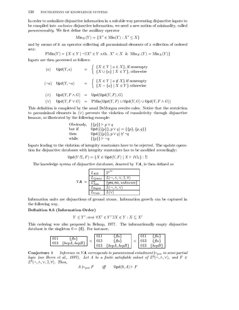In order to assimilate disjunctive information in a suitable way preventing disjunctive inputs to be compiled into *exclusive* disjunctive information, we need a new notion of minimality, called paraminimality. We first define the auxiliary operator

$$
Min_X(Y) = \{ X' \in Min(Y) : X' \le X \}
$$

and by means of it an operator collecting all paraminimal elements of a collection of ordered sets: eans of it an operator collecting all paraminimal elements of a collection of order<br>  $\text{PMin}(Y) = \{X \in Y \mid \neg \exists X' \in Y \text{ s.th. } X' < X \& \text{Min}_{X'}(Y) = \text{Min}_X(Y)\}\$ 

$$
\text{PMin}(Y) = \{ X \in Y \mid \neg \exists X' \in Y \text{ s.th. } X' < X \& \text{Min}_{X'}(Y) = \text{Min}_X(Y) \}
$$

Inputs are then processed as follows:

(a) 
$$
\mathsf{Upd}(Y,a) = \begin{cases} \{X \in Y \mid a \in X\}, \text{ if nonempty} \\ \{X \cup \{a\} \mid X \in Y\}, \text{ otherwise} \end{cases}
$$

$$
(\neg a) \quad \mathsf{Upd}(Y, \neg a) = \begin{cases} \{X \in Y \mid a \notin X\} \text{ if nonempty} \\ \{X - \{a\} \mid X \in Y\} \text{ otherwise} \end{cases}
$$

$$
(\wedge) \quad \mathsf{Upd}(Y, F \wedge G) = \mathsf{Upd}(\mathsf{Upd}(Y, F), G)
$$

$$
(\vee) \quad \mathsf{Upd}(Y, F \vee G) = \mathsf{PMin}(\mathsf{Upd}(Y, F) \cup \mathsf{Upd}(Y, G) \cup \mathsf{Upd}(Y, F \wedge G))
$$

This definition is completed by the usual DeMorgan rewrite rules. Notice that the restriction to paraminimal elements in  $(V)$  prevents the violation of cumulativity through disjunctive lemmas, as illustrated by the following example: s in (v) prevents the violation of<br>y the following example:<br>Obviously,  $\{\{p\}\}\vdash p \lor q$ 

Obviously, 
$$
\{\{p\}\}\vdash p \lor q
$$
  
but if  $\text{Upd}(\{\{p\}\}, p \lor q) = \{\{p\}, \{p, q\}\}\$   
then  $\text{Upd}(\{\{p\}\}, p \lor q) \not\vdash \neg q$   
while  $\{\{p\}\}\vdash \neg q$ 

Inputs leading to the violation of integrity constraints have to be rejected. The update operation for disjunctive databases with integrity constraints has to be modified accordingly:

$$
\mathsf{Upd}(Y:\Sigma,F) = \{ X \in \mathsf{Upd}(Y,F) \mid X \vdash IC_{\Sigma} \} : \Sigma
$$

The knowledge system of disjunctive databases, denoted by  $VA$ , is then defined as

|        | $L_{KB}$                          | $2^{At}$                                  |
|--------|-----------------------------------|-------------------------------------------|
|        | $L_{\rm Query}$                   | $L(\neg, \wedge, \vee, \exists, \forall)$ |
| $VA =$ | $\Delta$ ns                       | $\{yes, no, unknown\}$                    |
|        | $L_{\rm Input}$                   | 1. A, V                                   |
|        | $\scriptstyle \rm \nu_{\rm Unit}$ |                                           |

Information units are disjunctions of ground atoms. Information growth can be captured in the following way.

#### Definition 9.5 (Information Order)

$$
\begin{aligned}\n\text{ation Order)}\\
Y \leq Y' : &\Longleftrightarrow \forall X' \in Y' \, \exists X \in Y : X \subseteq X'\n\end{aligned}
$$

This ordering was also proposed in Belnap, 1977. The informationally empty disjunctive database is the singleton  $0 = \{\emptyset\}$ . For instance,

|                                 |     | $\mathcal{H} u$  |     | $\mathcal{H}u$ |  |
|---------------------------------|-----|------------------|-----|----------------|--|
| $\mathcal{H}u$<br>011           |     |                  |     |                |  |
| $\{hepA, hepB\}$<br>$\vert$ 013 |     | ${H}{u}$         | 013 | , Hu           |  |
|                                 | 013 | $\{hepA, hepB\}$ | 013 | $\{hepB\}$     |  |
|                                 |     |                  |     |                |  |

**Conjecture 1** Inference in VA corresponds to paraminimal entailment  $\models_{pm}$  in semi-partial toaic isee Herre et al., 1997). Let  $A$  be a nnite satisfiable subset of  $L^+ \cap$ , $\wedge, \vee$ ), and  $F$   $\in$  $L^{\circ}$  (  $\neg$  ,  $\wedge$  ,  $\vee$  ,  $\Box$  ,  $\vee$  ),  $\quad$   $I$   $\mathit{ne}\, n$  ,  $\qquad$ 

$$
A \models_{pm} F \qquad \text{iff} \qquad \mathsf{Upd}(0, A) \vdash F
$$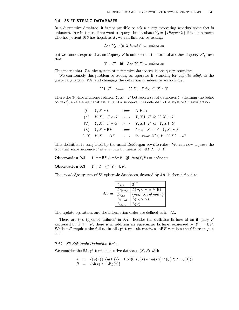In a disjunctive database, it is not possible to ask a query expressing whether some fact is unknown. For instance, if we want to query the database  $Y_d = \{Diagnosis\}$  if it is unknown whether patient  $013$  has hepatitis A, we can find out by asking:

Ans
$$
(Y_d, p(013, hepA)) = unknown
$$

but we cannot express that an if-query  $F$  is unknown in the form of another if-query  $F'$ , such that

 $Y \vdash F'$  iff  $Ans(Y, F) = unknown$ 

This means that VA, the system of disjunctive databases, is not query-complete.

We can remedy this problem by adding an operator  $B$ , standing for *definite belief*, to the query language of  $VA$ , and changing the definition of inference accordingly:

$$
Y \vdash F \quad \iff \quad Y, X \vdash F \text{ for all } X \in Y
$$

where the 3-place inference relation  $Y, X \vdash F$  between a set of databases Y (defining the belief context), a reference database  $X$ , and a sentence  $F$  is defined in the style of S5 satisfaction:

> (*l*)  $Y, X \vdash l \iff X \vdash_A l$  $(A)$   $Y, X \vdash F \wedge G$   $\iff$   $Y, X \vdash F \& Y, X \vdash G$  $(V)$   $Y, X \vdash F \lor G$   $\iff$   $Y, X \vdash F$  or  $Y, X \vdash G$ (D)  $Y, A \sqsubset D$   $Y \longrightarrow$  for all  $A \in Y : Y, A \sqsubset F$ (B)  $Y, X \vdash BF$   $\iff$  for all  $X' \in Y : Y, X' \vdash F$ <br>  $(\neg B)$   $Y, X \vdash \neg BF$   $\iff$  for some  $X' \in Y : Y, X' \vdash \neg F$

This denition is completed by the usual DeMorgan rewrite rules. We can now express the This definition is completed by the usual DeMorgan rewrite rules. We can fact that some sentence F is unknown by means of  $\neg B F \wedge \neg B \neg F$ . fact that some sentence *F* is *unknown* by means of  $\neg B F \land \neg B \neg F$ .<br>**Observation 9.2**  $Y \vdash \neg B F \land \neg B \neg F$  *iff*  $Ans(Y, F) = unknown$ 

Observation 9.3  $Y \vdash F$  iff  $Y \vdash BF$ .

The knowledge system of S5-epistemic databases, denoted by  $5\text{A}$ , is then defined as

|           | $L_{\it KB}$    | $2^{At}$                                     |
|-----------|-----------------|----------------------------------------------|
| $5\bm{A}$ | $L_{\rm Query}$ | $L(\neg, \wedge, \vee, \exists, \forall, B)$ |
|           | Ans             | $\{yes, no, unknown\}$                       |
|           | $L_{\rm Input}$ |                                              |
|           | $L_{\rm Unit}$  |                                              |

The update operation, and the information order are defined as in  $VA$ .

There are two types of 'failures' in  $5A$ . Besides the **definite failure** of an if-query F expressed by  $Y \vdash \neg F$ , there is in addition an epistemic failure, expressed by  $Y \vdash \neg BF$ . While  $\neg F$  requires the failure in all epistemic alternatives,  $\neg BF$  requires the failure in just one.

#### 9.4.1 S5-Epistemic Deduction Rules

We consider the S5-epistemic deductive database 
$$
\langle X, R \rangle
$$
 with  
\n
$$
X = \{ \{g(J)\}, \{g(P)\} \} = \text{Upd}(0, (g(J) \land \neg g(P)) \lor (g(P) \land \neg g(J)))
$$
\n
$$
R = \{ \text{pi}(x) \leftarrow \neg \text{B}g(x) \}
$$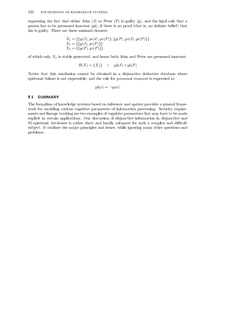expressing the fact that either John (J) or Peter (P) is guilty (g), and the legal rule that a person has to be presumed innocent (pi), if there is no proof (that is, no definite belief) that she is guilty. There are three minimal closures:

$$
X_1 = \{ \{ g(J), pi(J), pi(P) \}, \{ g(P), pi(J), pi(P) \} \}
$$
  
\n
$$
X_2 = \{ \{ g(J), pi(P) \} \}
$$
  
\n
$$
X_3 = \{ \{ g(P), pi(P) \} \}
$$

of which only  $X_1$  is stable generated, and hence both John and Peter are presumed innocent:

$$
R(X) = \{X_1\} \quad \vdash \quad \text{pi}(J) \land \text{pi}(P)
$$

Notice that this conclusion cannot be obtained in a disjunctive deductive database where epistemic failure is not expressible, and the rule for presumed innocent is expressed as

$$
\mathrm{pi}(x) \leftarrow \neg g(x)
$$

#### 9.5 SUMMARY

The formalism of knowledge systems based on inference and update provides a general frame work for modeling various cognitive parameters of information processing. Security requirements and lineage tracking are two examples of cognitive parameters that may have to be made explicit in certain applications. Our discussion of disjunctive information in disjunctive and S5-epistemic databases is rather short and hardly adequate for such a complex and difficult subject. It outlines the major principles and issues, while ignoring many other questions and problems.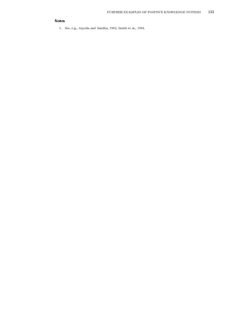## Notes

1. See, e.g., Ja jodia and Sandhu, 1991; Smith et al., 1994.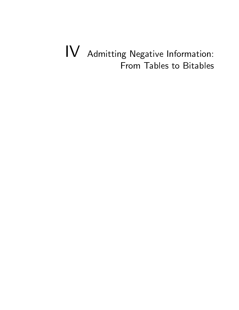# IV Admitting Negative Information: From Tables to Bitables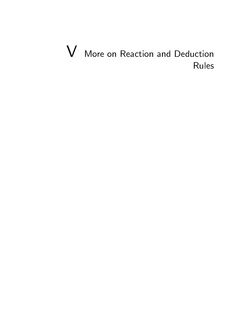## <sup>V</sup> More on Reaction and Deduction Rules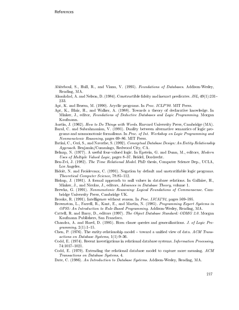References

- Abiteboul, S., Hull, R., and Vianu, V. (1995). Foundations of Databases. Addison-Wesley, Reading, MA.
- Almukdad, A. and Nelson, D. (1984). Constructible falsity and inexact predicates. JSL, 49(1):231-233.
- Apt, K. and Bezem, M. (1990). Acyclic programs. In Proc. ICLP'90. MIT Press.
- Apt, K., Blair, H., and Walker, A. (1988). Towards a theory of declarative knowledge. In Minker, J., editor, Foundations of Deductive Databases and Logic Programming. Morgan Kaufmann.
- Austin, J. (1962). How to Do Things with Words. Harvard University Press, Cambridge (MA).
- Baral, C. and Subrahmanian, V. (1991). Duality between alternative semantics of logic programs and nonmonotonic formalisms. In Proc. of Int. Workshop on Logic Programming and  $Nonmonotonic$   $Reasoning$ , pages 69–86. MIT Press.
- Batini, C., Ceri, S., and Navathe, S. (1992). Conceptual Database Design: An Entity-Relationship Approach. Benjamin/Cummings, Redwood City, CA.
- Belnap, N. (1977). A useful four-valued logic. In Epstein, G. and Dunn, M., editors, Modern Uses of Multiple Valued Logic, pages 8-37. Reidel, Dordrecht.
- Ben-Zvi, J. (1982). The Time Relational Model. PhD thesis, Computer Science Dep., UCLA. Los Angeles.
- Bidoit, N. and Froidevaux, C. (1991). Negation by default and unstratiable logic programs. Theoretical Computer Science, 78:85-112.
- Biskup, J. (1981). A formal approach to null values in database relations. In Gallaire, H., Minker, J., and Nicolas, J., editors, Advances in Database Theory, volume 1.
- Brewka, G. (1991). Nonmonotonic Reasoning: Logical Foundations of Commonsense. Cambridge University Press, Cambridge UK.
- Brooks, R. (1991). Intelligence without reason. In *Proc. IJCAI'91*, pages 569–595.
- Brownston, L., Farrell, R., Kant, E., and Martin, N. (1985). Programming Expert Systems in OPS5: An Introduction to Rule-Based Programming. Addison-Wesley, Reading, MA.
- Cattell, R. and Barry, D., editors (1997). The Object Database Standard: ODMG 2.0. Morgan Kaufmann Publishers, San Francisco.
- Chandra, A. and Harel, D. (1985). Horn clause queries and generalizations. J. of Logic Programming,  $2(1):1-15$ .
- Chen, P. (1976). The entity-relationship model  $-$  toward a unified view of data. ACM Transactions on Database Systems,  $1(1):9-36$ .
- Codd, E. (1974). Recent investigations in relational database systems. Information Processing. 74:1017-1021.
- Codd, E. (1979). Extending the relational database model to capture more meaning.  $ACM$ Transactions on Database Systems, 4.
- Date, C. (1986). An Introduction to Database Systems. Addison-Wesley, Reading, MA.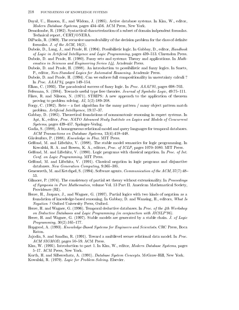- Dayal, U., Hanson, E., and Widom, J. (1995). Active database systems. In Kim, W., editor, Modern Database Systems, pages 434-456. ACM Press, New York.
- Demolombe, R. (1982). Syntactical characterization of a subset of domain indpendent formulas. Technical report, CERT/ONERA.
- DiPaola, R.  $(1969)$ . The recursive unresolvability of the decision problem for the class of definite formulas. *J. of the ACM*,  $16(2)$ .
- Dubois, D., Lang, J., and Prade, H. (1994). Possibilistic logic. In Gabbay, D., editor, *Handbook* of Logic in Artificial Intelligence and Logic Programming, pages 439–513. Clarendon Press.
- Dubois, D. and Prade, H. (1980). Fuzzy sets and systems: Theory and applications. In Mathematics in Sciences and Engineering Series 144. Academic Press.
- Dubois, D. and Prade, H. (1988). An introduction to possibilistic and fuzzy logics. In Smets, P., editor, Non-Standard Logics for Automated Reasoning. Academic Press.
- Dubois, D. and Prade, H. (1994). Can we enforce full compositionality in uncertainty calculi ? In Proc.  $AAAI'94$ , pages 149-154.
- Elkan, C. (1993). The paradoxical success of fuzzy logic. In *Proc.*  $AAAI'93$ , pages 698–703.
- Feferman, S. (1984). Towards useful type free theories. Journal of Symbolic Logic,  $49:75{-}111$ .
- Fikes, R. and Nilsson, N. (1971). STRIPS: A new approach to the application of theorem proving to problem solving.  $AI$ ,  $5(2):189{-}208$ .
- Forgy, C. (1982). Rete a fast algorithm for the many pattern  $/$  many object pattern match problem. Artificial Intelligence, 19:17-37.
- Gabbay, D. (1985). Theoretical foundations of nonmonotonic reasoning in expert systems. In Apt, K., editor, Proc. NATO Advanced Study Institute on Logics and Models of Concurrent  $Systems, pages 439–457. Springer-Verlag.$
- Gadia, S. (1988). A homogeneous relational model and query languages for temporal databases.  $ACM$  Transactions on Database Systems,  $13(4):418-448$ .
- Gärdenfors, P. (1988). Knowledge in Flux. MIT Press.
- Gelfond, M. and Lifschitz, V. (1988). The stable model semantics for logic programming. In Kowalski, R. A. and Bowen, K. A., editors, *Proc. of ICLP*, pages  $1070{\text -}1080$ . MIT Press.
- Gelfond, M. and Lifschitz, V. (1990). Logic programs with classical negation. In Proc. of Int. Conf. on Logic Programming. MIT Press.
- Gelfond, M. and Lifschitz, V. (1991). Classical negation in logic programs and disjunctive databases. New Generation Computing, 9:365-385.
- Genesereth, M. and Ketchpel, S. (1994). Software agents. Communication of the ACM, 37(7):48-
- Gilmore, P. (1974). The consistency of partial set theory without extensionality. In Proceedings of Symposia in Pure Mathematics, volume Vol. 13 Part II. American Mathematical Society, Providence (RI).
- Herre, H., Jaspars, J., and Wagner, G. (1997). Partial logics with two kinds of negation as a foundation of knowledge-based reasoning. In Gabbay, D. and Wansing, H., editors, What Is Negation ? Oxford University Press, Oxford.
- Herre, H. and Wagner, G. (1996). Temporal deductive databases. In Proc. of the 4th Workshop on Deductive Databases and Logic Programming (in conjunction with JICSLP'96).
- Herre, H. and Wagner, G. (1997). Stable models are generated by a stable chain. J. of Logic  $Programming, 30(2): 165–177.$
- Hopgood, A. (1993). Know ledge-Based Systems for Engineers and Scientists. CRC Press, Boca Raton.
- Ja jodia, S. and Sandhu, R. (1991). Toward a multilevel secure relational data model. In Proc.  $ACM$  SIGMOD, pages 50–59. ACM Press.
- Kim, W. (1995). Introduction to part 1. In Kim, W., editor, Modern Database Systems, pages 5{17. ACM Press, New York.
- Korth, H. and Silberschatz, A. (1991). Database System Concepts. McGraw-Hill, New York. Kowalski, R. (1979). Logic for Problem Solving. Elsevier.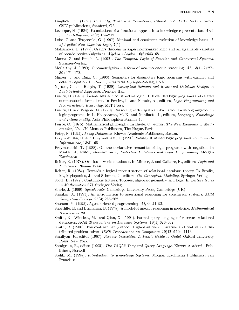- Langholm, T. (1988). Partiality, Truth and Persistence, volume 15 of CSLI Lecture Notes. CSLI publications, Stanford, CA.
- Levesque, H. (1984). Foundations of a functional approach to knowledge representation. Arti ficial Intelligence,  $23(2)$ :155-212.
- Lobo, J. and Trajcevski, G. (1997). Minimal and consistent evolution of knowledge bases. J. of Applied Non-Classical Logic, 7(1).
- Maksimova, L. (1977). Craig's theorem in superintuitionistic logic and amalgamable varieties of pseudo-boolean algebras. Algebra i Logika,  $16(6):643{-}681$ .
- Manna, Z. and Pnueli, A. (1992). The Temporal Logic of Reactive and Concurrent Systems. Springer-Verlag.
- McCarthy, J. (1980). Circumscription a form of non-monotonic reasoning.  $AI$ , 13(1+2):27–  $39+171-172.$
- Minker, J. and Ruiz, C. (1993). Semantics for disjunctive logic programs with explicit and default negation. In Proc. of ISMIS'93. Springer-Verlag, LNAI.
- Nijssen, G. and Halpin, T. (1989). Conceptual Schema and Relational Database Design: A Fact-Oriented Approach. Prentice Hall.
- Pearce, D. (1993). Answer sets and constructive logic, II: Extended logic programs and related nonmonotonic formalisms. In Pereira, L. and Nerode, A., editors, Logic Programming and Nonmonotonic Reasoning. MIT Press.
- Pearce, D. and Wagner, G.  $(1990)$ . Reasoning with negative information I  $-$  strong negation in logic programs. In L. Haaparanta, M. K. and Niiniluoto, I., editors, Language, Knowledge and Intentionality. Acta Philosophica Fennica 49.
- Peirce, C. (1976). Mathematical philosophy. In Eisele, C., editor, The New Elements of Mathematics, Vol. IV. Mouton Publishers, The Hague/Paris.
- Petry, F. (1995). Fuzzy Databases. Kluwer Academic Publishers, Boston.
- Przymusinska, H. and Przymusinksi, T. (1990). Weakly stratied logic programs. Fundamenta  $Informaticae, 13:51–65.$
- Przymusinski, T. (1988). On the declarative semantics of logic programs with negation. In Minker, J., editor, Foundations of Deductive Databases and Logic Programming. Morgan Kaufmann.
- Reiter, R. (1978). On closed-world databases. In Minker, J. and Gallaire, H., editors, Logic and Databases. Plenum Press.
- Reiter, R. (1984). Towards a logical reconstruction of relational database theory. In Brodie, M., Mylopoulos, J., and Schmidt, J., editors, On Conceptual Modeling. Springer-Verlag.
- Scott, D. (1972). Continuous lattices: Toposes, algebraic geometry and logic. In Lecture Notes in Mathematics 274. Springer-Verlag.
- Searle, J. (1969). Speech Acts. Cambridge University Press, Cambridge (UK).
- Shankar, A. (1993). An introduction to assertional reasoning for concurrent systems.  $ACM$ Computing Surveys,  $25(3):225{-}262$ .
- Shoham, Y. (1993). Agent-oriented programming.  $AI$ , 60:51-92.
- Shortliffe, E. and Buchanan, B. (1975). A model of inexact reasoning in medicine. *Mathematical* Biosciences, 23.
- Smith, K., Winslett, M., and Qian, X. (1994). Formal query languages for secure relational databases. ACM Transactions on Database Systems,  $19(4):626-662$ .
- Smith, R. (1980). The contract net protocol: High-level communication and control in a distributed problem solver. IEEE Transactions on Computers,  $29(12):1104-1113$ .
- Smullyan, R., editor (1987). Forever Undecided: A Puzzle Guide to Gödel. Oxford University Press, New York.
- Snodgrass, R., editor (1995). The TSQL2 Temporal Query Language. Kluwer Academic Publishers, Norwell.
- Stefik, M. (1995). *Introduction to Knowledge Systems*. Morgan Kaufmann Publishers, San Francisco.